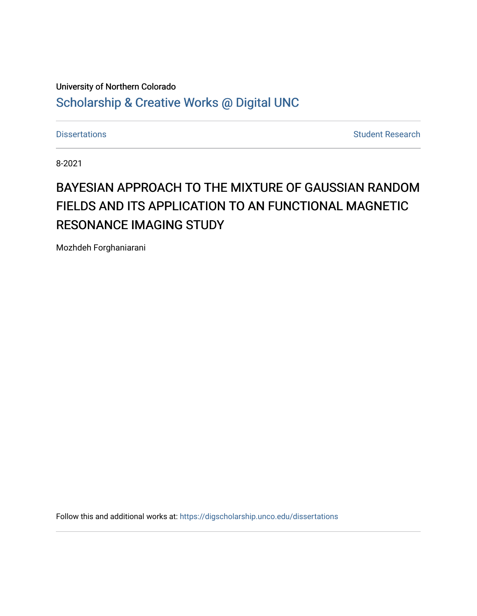# University of Northern Colorado [Scholarship & Creative Works @ Digital UNC](https://digscholarship.unco.edu/)

[Dissertations](https://digscholarship.unco.edu/dissertations) **Student Research** 

8-2021

# BAYESIAN APPROACH TO THE MIXTURE OF GAUSSIAN RANDOM FIELDS AND ITS APPLICATION TO AN FUNCTIONAL MAGNETIC RESONANCE IMAGING STUDY

Mozhdeh Forghaniarani

Follow this and additional works at: [https://digscholarship.unco.edu/dissertations](https://digscholarship.unco.edu/dissertations?utm_source=digscholarship.unco.edu%2Fdissertations%2F825&utm_medium=PDF&utm_campaign=PDFCoverPages)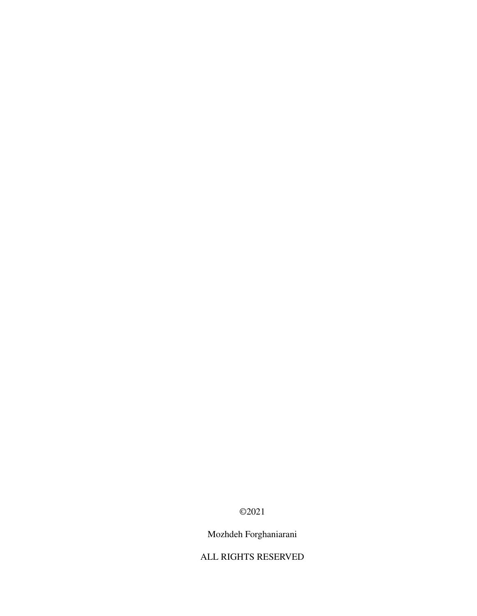©2021

Mozhdeh Forghaniarani

ALL RIGHTS RESERVED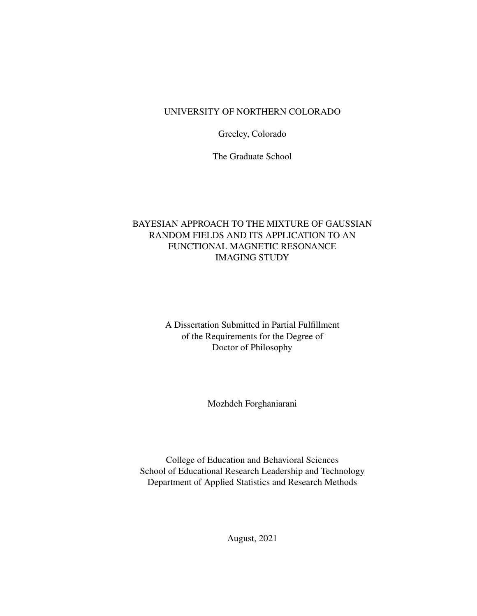### UNIVERSITY OF NORTHERN COLORADO

Greeley, Colorado

The Graduate School

### BAYESIAN APPROACH TO THE MIXTURE OF GAUSSIAN RANDOM FIELDS AND ITS APPLICATION TO AN FUNCTIONAL MAGNETIC RESONANCE IMAGING STUDY

A Dissertation Submitted in Partial Fulfillment of the Requirements for the Degree of Doctor of Philosophy

Mozhdeh Forghaniarani

College of Education and Behavioral Sciences School of Educational Research Leadership and Technology Department of Applied Statistics and Research Methods

August, 2021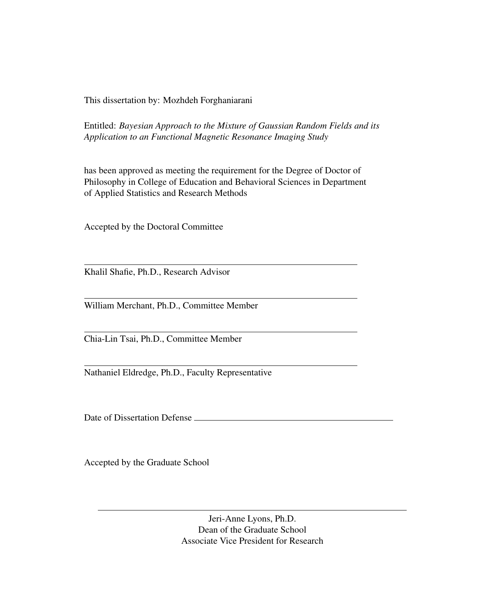This dissertation by: Mozhdeh Forghaniarani

Entitled: *Bayesian Approach to the Mixture of Gaussian Random Fields and its Application to an Functional Magnetic Resonance Imaging Study*

has been approved as meeting the requirement for the Degree of Doctor of Philosophy in College of Education and Behavioral Sciences in Department of Applied Statistics and Research Methods

Accepted by the Doctoral Committee

Khalil Shafie, Ph.D., Research Advisor

William Merchant, Ph.D., Committee Member

Chia-Lin Tsai, Ph.D., Committee Member

Nathaniel Eldredge, Ph.D., Faculty Representative

Date of Dissertation Defense

Accepted by the Graduate School

Jeri-Anne Lyons, Ph.D. Dean of the Graduate School Associate Vice President for Research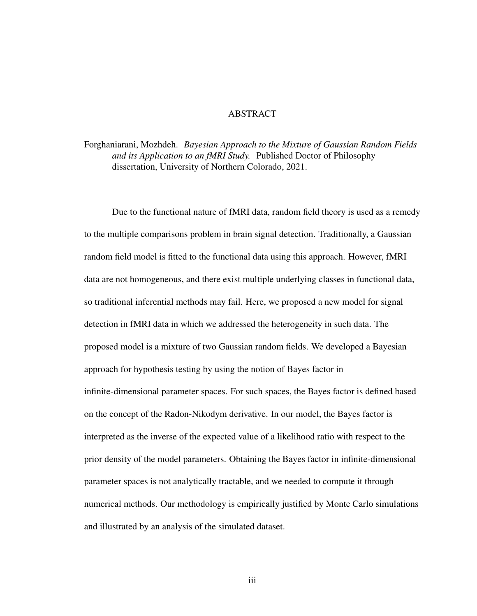#### ABSTRACT

### Forghaniarani, Mozhdeh. *Bayesian Approach to the Mixture of Gaussian Random Fields and its Application to an fMRI Study.* Published Doctor of Philosophy dissertation, University of Northern Colorado, 2021.

Due to the functional nature of fMRI data, random field theory is used as a remedy to the multiple comparisons problem in brain signal detection. Traditionally, a Gaussian random field model is fitted to the functional data using this approach. However, fMRI data are not homogeneous, and there exist multiple underlying classes in functional data, so traditional inferential methods may fail. Here, we proposed a new model for signal detection in fMRI data in which we addressed the heterogeneity in such data. The proposed model is a mixture of two Gaussian random fields. We developed a Bayesian approach for hypothesis testing by using the notion of Bayes factor in infinite-dimensional parameter spaces. For such spaces, the Bayes factor is defined based on the concept of the Radon-Nikodym derivative. In our model, the Bayes factor is interpreted as the inverse of the expected value of a likelihood ratio with respect to the prior density of the model parameters. Obtaining the Bayes factor in infinite-dimensional parameter spaces is not analytically tractable, and we needed to compute it through numerical methods. Our methodology is empirically justified by Monte Carlo simulations and illustrated by an analysis of the simulated dataset.

iii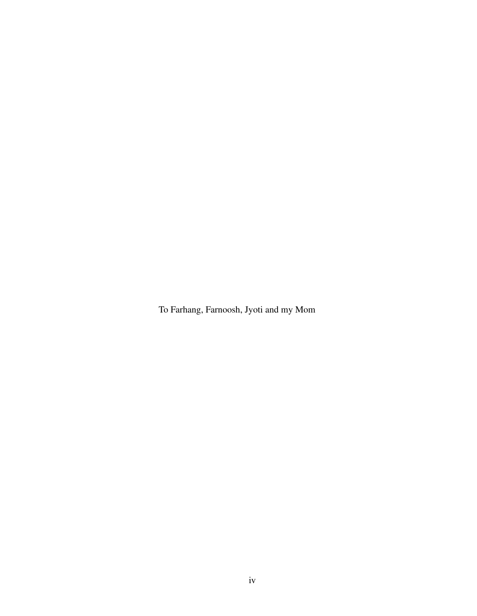To Farhang, Farnoosh, Jyoti and my Mom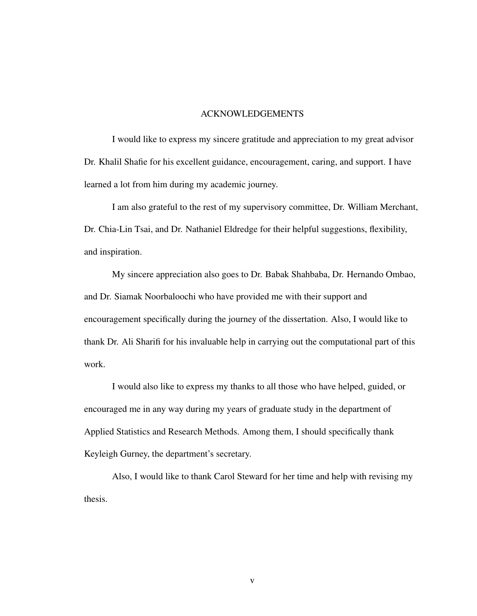#### ACKNOWLEDGEMENTS

I would like to express my sincere gratitude and appreciation to my great advisor Dr. Khalil Shafie for his excellent guidance, encouragement, caring, and support. I have learned a lot from him during my academic journey.

I am also grateful to the rest of my supervisory committee, Dr. William Merchant, Dr. Chia-Lin Tsai, and Dr. Nathaniel Eldredge for their helpful suggestions, flexibility, and inspiration.

My sincere appreciation also goes to Dr. Babak Shahbaba, Dr. Hernando Ombao, and Dr. Siamak Noorbaloochi who have provided me with their support and encouragement specifically during the journey of the dissertation. Also, I would like to thank Dr. Ali Sharifi for his invaluable help in carrying out the computational part of this work.

I would also like to express my thanks to all those who have helped, guided, or encouraged me in any way during my years of graduate study in the department of Applied Statistics and Research Methods. Among them, I should specifically thank Keyleigh Gurney, the department's secretary.

Also, I would like to thank Carol Steward for her time and help with revising my thesis.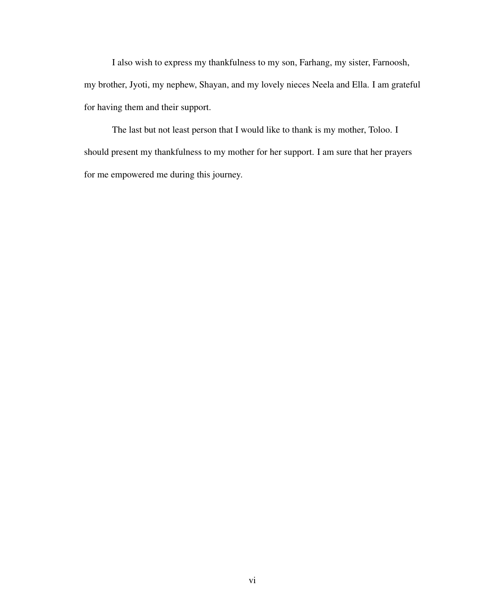I also wish to express my thankfulness to my son, Farhang, my sister, Farnoosh, my brother, Jyoti, my nephew, Shayan, and my lovely nieces Neela and Ella. I am grateful for having them and their support.

The last but not least person that I would like to thank is my mother, Toloo. I should present my thankfulness to my mother for her support. I am sure that her prayers for me empowered me during this journey.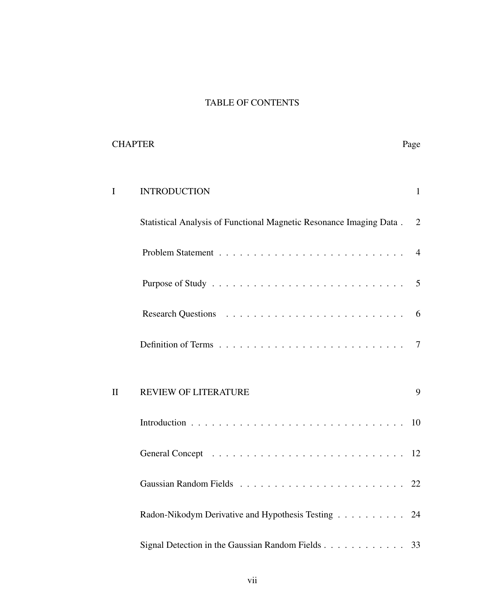# TABLE OF CONTENTS

| <b>CHAPTER</b>      |                                                                     | Page           |
|---------------------|---------------------------------------------------------------------|----------------|
| I                   | <b>INTRODUCTION</b>                                                 | $\mathbf{1}$   |
|                     | Statistical Analysis of Functional Magnetic Resonance Imaging Data. | 2              |
|                     |                                                                     | $\overline{4}$ |
|                     |                                                                     | 5              |
|                     |                                                                     | 6              |
|                     |                                                                     | $\tau$         |
|                     |                                                                     |                |
| $\overline{\rm II}$ | <b>REVIEW OF LITERATURE</b>                                         | 9              |
|                     |                                                                     |                |
|                     |                                                                     |                |
|                     |                                                                     |                |
|                     | Radon-Nikodym Derivative and Hypothesis Testing                     | 24             |
|                     | Signal Detection in the Gaussian Random Fields                      | 33             |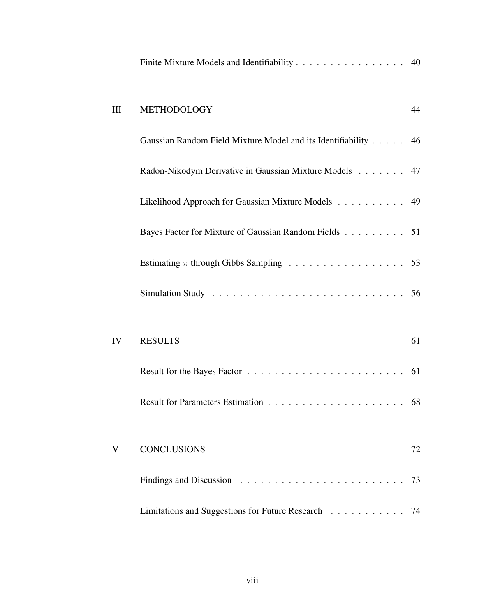|    | Finite Mixture Models and Identifiability 40                   |    |
|----|----------------------------------------------------------------|----|
| Ш  | METHODOLOGY                                                    | 44 |
|    | Gaussian Random Field Mixture Model and its Identifiability 46 |    |
|    | Radon-Nikodym Derivative in Gaussian Mixture Models 47         |    |
|    | Likelihood Approach for Gaussian Mixture Models 49             |    |
|    | Bayes Factor for Mixture of Gaussian Random Fields 51          |    |
|    | Estimating $\pi$ through Gibbs Sampling 53                     |    |
|    |                                                                |    |
|    |                                                                |    |
| IV | <b>RESULTS</b>                                                 | 61 |
|    |                                                                |    |
|    |                                                                |    |
|    |                                                                |    |
| V  | <b>CONCLUSIONS</b>                                             | 72 |
|    |                                                                | 73 |
|    | Limitations and Suggestions for Future Research 74             |    |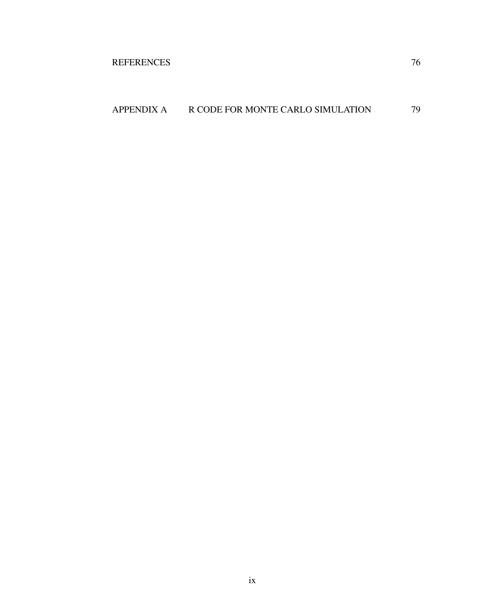# APPENDIX A R CODE FOR MONTE CARLO SIMULATION 79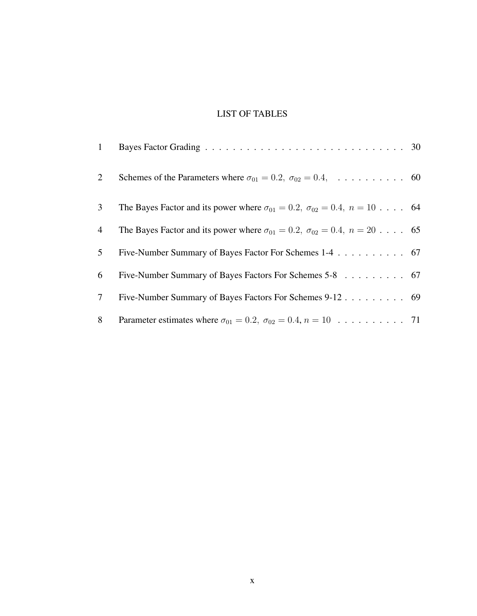# LIST OF TABLES

| $\mathbf{1}$   |                                                                                              |  |
|----------------|----------------------------------------------------------------------------------------------|--|
| $\overline{2}$ | Schemes of the Parameters where $\sigma_{01} = 0.2$ , $\sigma_{02} = 0.4$ ,  60              |  |
| 3 <sup>1</sup> | The Bayes Factor and its power where $\sigma_{01} = 0.2$ , $\sigma_{02} = 0.4$ , $n = 10$ 64 |  |
| $\overline{4}$ | The Bayes Factor and its power where $\sigma_{01} = 0.2$ , $\sigma_{02} = 0.4$ , $n = 20$ 65 |  |
| 5 <sup>5</sup> | Five-Number Summary of Bayes Factor For Schemes 1-4 67                                       |  |
| 6              | Five-Number Summary of Bayes Factors For Schemes 5-8 67                                      |  |
| 7 <sup>1</sup> | Five-Number Summary of Bayes Factors For Schemes 9-12 69                                     |  |
| 8              |                                                                                              |  |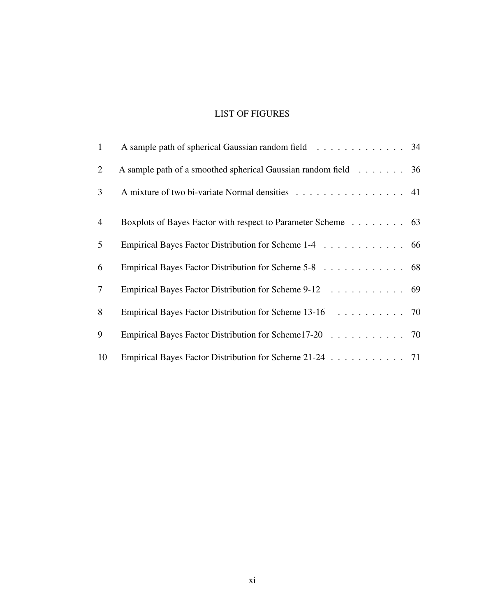# LIST OF FIGURES

| $\mathbf{1}$   | A sample path of spherical Gaussian random field 34            |  |
|----------------|----------------------------------------------------------------|--|
| 2              | A sample path of a smoothed spherical Gaussian random field 36 |  |
| $\mathfrak{Z}$ | A mixture of two bi-variate Normal densities 41                |  |
| $\overline{4}$ | Boxplots of Bayes Factor with respect to Parameter Scheme 63   |  |
| $\mathfrak{S}$ | Empirical Bayes Factor Distribution for Scheme 1-4 66          |  |
| 6              | Empirical Bayes Factor Distribution for Scheme 5-8 68          |  |
| $\tau$         | Empirical Bayes Factor Distribution for Scheme 9-12 69         |  |
| 8              | Empirical Bayes Factor Distribution for Scheme 13-16 70        |  |
| 9              | Empirical Bayes Factor Distribution for Scheme17-20 70         |  |
| 10             | Empirical Bayes Factor Distribution for Scheme 21-24 71        |  |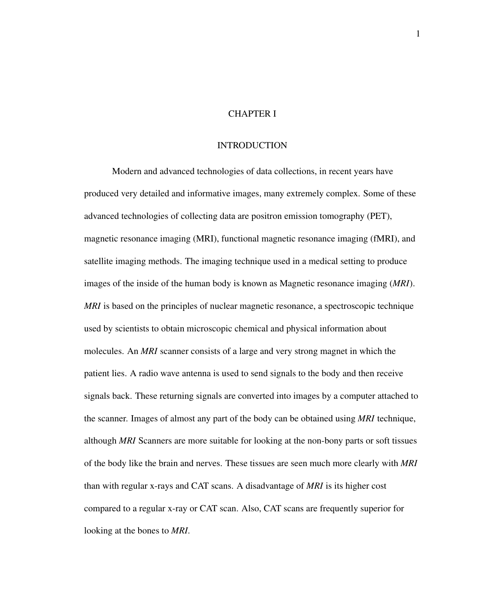#### CHAPTER I

#### INTRODUCTION

Modern and advanced technologies of data collections, in recent years have produced very detailed and informative images, many extremely complex. Some of these advanced technologies of collecting data are positron emission tomography (PET), magnetic resonance imaging (MRI), functional magnetic resonance imaging (fMRI), and satellite imaging methods. The imaging technique used in a medical setting to produce images of the inside of the human body is known as Magnetic resonance imaging (*MRI*). *MRI* is based on the principles of nuclear magnetic resonance, a spectroscopic technique used by scientists to obtain microscopic chemical and physical information about molecules. An *MRI* scanner consists of a large and very strong magnet in which the patient lies. A radio wave antenna is used to send signals to the body and then receive signals back. These returning signals are converted into images by a computer attached to the scanner. Images of almost any part of the body can be obtained using *MRI* technique, although *MRI* Scanners are more suitable for looking at the non-bony parts or soft tissues of the body like the brain and nerves. These tissues are seen much more clearly with *MRI* than with regular x-rays and CAT scans. A disadvantage of *MRI* is its higher cost compared to a regular x-ray or CAT scan. Also, CAT scans are frequently superior for looking at the bones to *MRI*.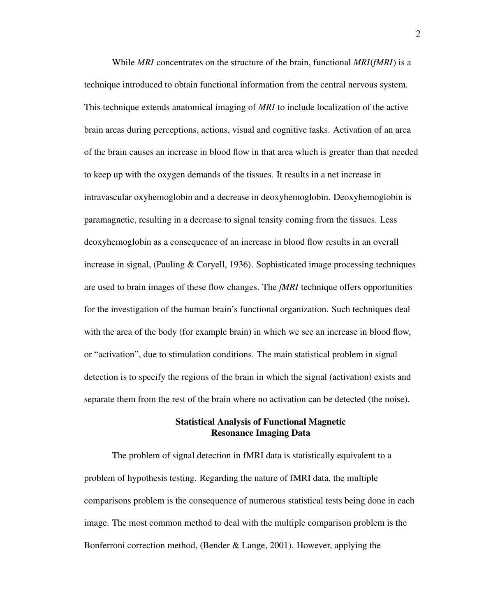While *MRI* concentrates on the structure of the brain, functional *MRI*(*fMRI*) is a technique introduced to obtain functional information from the central nervous system. This technique extends anatomical imaging of *MRI* to include localization of the active brain areas during perceptions, actions, visual and cognitive tasks. Activation of an area of the brain causes an increase in blood flow in that area which is greater than that needed to keep up with the oxygen demands of the tissues. It results in a net increase in intravascular oxyhemoglobin and a decrease in deoxyhemoglobin. Deoxyhemoglobin is paramagnetic, resulting in a decrease to signal tensity coming from the tissues. Less deoxyhemoglobin as a consequence of an increase in blood flow results in an overall increase in signal, (Pauling & Coryell, 1936). Sophisticated image processing techniques are used to brain images of these flow changes. The *fMRI* technique offers opportunities for the investigation of the human brain's functional organization. Such techniques deal with the area of the body (for example brain) in which we see an increase in blood flow, or "activation", due to stimulation conditions. The main statistical problem in signal detection is to specify the regions of the brain in which the signal (activation) exists and separate them from the rest of the brain where no activation can be detected (the noise).

#### Statistical Analysis of Functional Magnetic Resonance Imaging Data

The problem of signal detection in fMRI data is statistically equivalent to a problem of hypothesis testing. Regarding the nature of fMRI data, the multiple comparisons problem is the consequence of numerous statistical tests being done in each image. The most common method to deal with the multiple comparison problem is the Bonferroni correction method, (Bender & Lange, 2001). However, applying the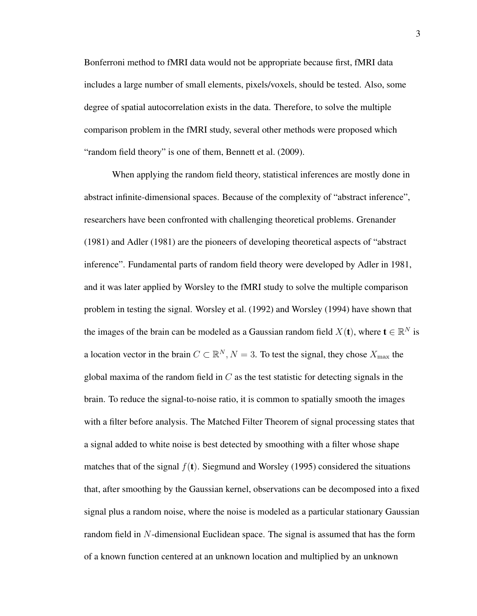Bonferroni method to fMRI data would not be appropriate because first, fMRI data includes a large number of small elements, pixels/voxels, should be tested. Also, some degree of spatial autocorrelation exists in the data. Therefore, to solve the multiple comparison problem in the fMRI study, several other methods were proposed which "random field theory" is one of them, Bennett et al. (2009).

When applying the random field theory, statistical inferences are mostly done in abstract infinite-dimensional spaces. Because of the complexity of "abstract inference", researchers have been confronted with challenging theoretical problems. Grenander (1981) and Adler (1981) are the pioneers of developing theoretical aspects of "abstract inference". Fundamental parts of random field theory were developed by Adler in 1981, and it was later applied by Worsley to the fMRI study to solve the multiple comparison problem in testing the signal. Worsley et al. (1992) and Worsley (1994) have shown that the images of the brain can be modeled as a Gaussian random field  $X(\mathbf{t})$ , where  $\mathbf{t} \in \mathbb{R}^N$  is a location vector in the brain  $C \subset \mathbb{R}^N$ ,  $N = 3$ . To test the signal, they chose  $X_{\text{max}}$  the global maxima of the random field in  $C$  as the test statistic for detecting signals in the brain. To reduce the signal-to-noise ratio, it is common to spatially smooth the images with a filter before analysis. The Matched Filter Theorem of signal processing states that a signal added to white noise is best detected by smoothing with a filter whose shape matches that of the signal  $f(t)$ . Siegmund and Worsley (1995) considered the situations that, after smoothing by the Gaussian kernel, observations can be decomposed into a fixed signal plus a random noise, where the noise is modeled as a particular stationary Gaussian random field in N-dimensional Euclidean space. The signal is assumed that has the form of a known function centered at an unknown location and multiplied by an unknown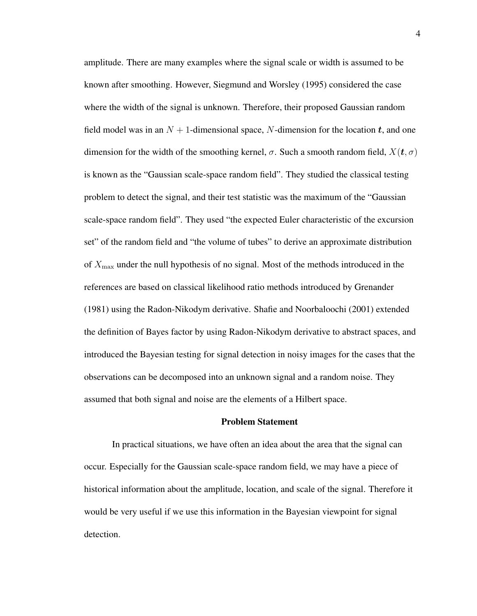amplitude. There are many examples where the signal scale or width is assumed to be known after smoothing. However, Siegmund and Worsley (1995) considered the case where the width of the signal is unknown. Therefore, their proposed Gaussian random field model was in an  $N + 1$ -dimensional space, N-dimension for the location t, and one dimension for the width of the smoothing kernel,  $\sigma$ . Such a smooth random field,  $X(t, \sigma)$ is known as the "Gaussian scale-space random field". They studied the classical testing problem to detect the signal, and their test statistic was the maximum of the "Gaussian scale-space random field". They used "the expected Euler characteristic of the excursion set" of the random field and "the volume of tubes" to derive an approximate distribution of  $X_{\text{max}}$  under the null hypothesis of no signal. Most of the methods introduced in the references are based on classical likelihood ratio methods introduced by Grenander (1981) using the Radon-Nikodym derivative. Shafie and Noorbaloochi (2001) extended the definition of Bayes factor by using Radon-Nikodym derivative to abstract spaces, and introduced the Bayesian testing for signal detection in noisy images for the cases that the observations can be decomposed into an unknown signal and a random noise. They assumed that both signal and noise are the elements of a Hilbert space.

#### Problem Statement

In practical situations, we have often an idea about the area that the signal can occur. Especially for the Gaussian scale-space random field, we may have a piece of historical information about the amplitude, location, and scale of the signal. Therefore it would be very useful if we use this information in the Bayesian viewpoint for signal detection.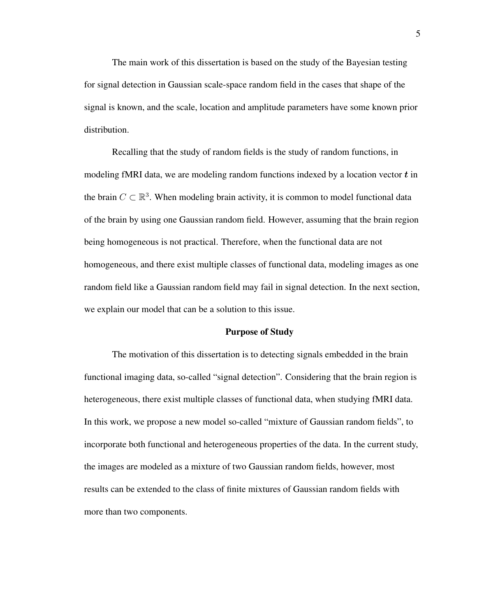The main work of this dissertation is based on the study of the Bayesian testing for signal detection in Gaussian scale-space random field in the cases that shape of the signal is known, and the scale, location and amplitude parameters have some known prior distribution.

Recalling that the study of random fields is the study of random functions, in modeling fMRI data, we are modeling random functions indexed by a location vector  $t$  in the brain  $C \subset \mathbb{R}^3$ . When modeling brain activity, it is common to model functional data of the brain by using one Gaussian random field. However, assuming that the brain region being homogeneous is not practical. Therefore, when the functional data are not homogeneous, and there exist multiple classes of functional data, modeling images as one random field like a Gaussian random field may fail in signal detection. In the next section, we explain our model that can be a solution to this issue.

#### Purpose of Study

The motivation of this dissertation is to detecting signals embedded in the brain functional imaging data, so-called "signal detection". Considering that the brain region is heterogeneous, there exist multiple classes of functional data, when studying fMRI data. In this work, we propose a new model so-called "mixture of Gaussian random fields", to incorporate both functional and heterogeneous properties of the data. In the current study, the images are modeled as a mixture of two Gaussian random fields, however, most results can be extended to the class of finite mixtures of Gaussian random fields with more than two components.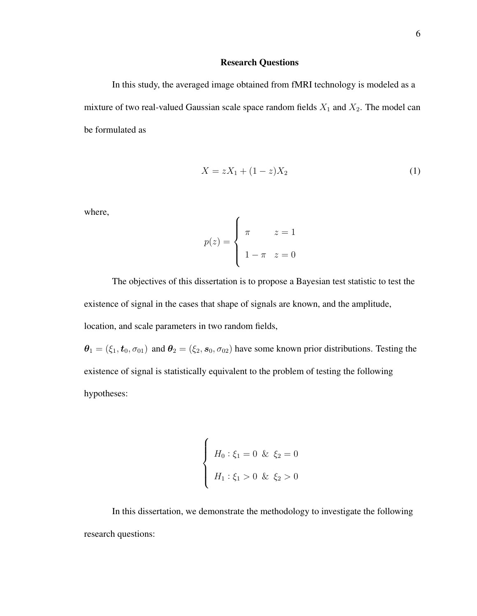#### Research Questions

In this study, the averaged image obtained from fMRI technology is modeled as a mixture of two real-valued Gaussian scale space random fields  $X_1$  and  $X_2$ . The model can be formulated as

$$
X = zX_1 + (1 - z)X_2 \tag{1}
$$

where,

$$
p(z) = \begin{cases} \pi & z = 1 \\ 1 - \pi & z = 0 \end{cases}
$$

The objectives of this dissertation is to propose a Bayesian test statistic to test the existence of signal in the cases that shape of signals are known, and the amplitude, location, and scale parameters in two random fields,

 $\theta_1 = (\xi_1, t_0, \sigma_{01})$  and  $\theta_2 = (\xi_2, s_0, \sigma_{02})$  have some known prior distributions. Testing the existence of signal is statistically equivalent to the problem of testing the following hypotheses:

$$
\begin{cases}\nH_0: \xi_1 = 0 & \& \xi_2 = 0 \\
H_1: \xi_1 > 0 & \& \xi_2 > 0\n\end{cases}
$$

In this dissertation, we demonstrate the methodology to investigate the following research questions: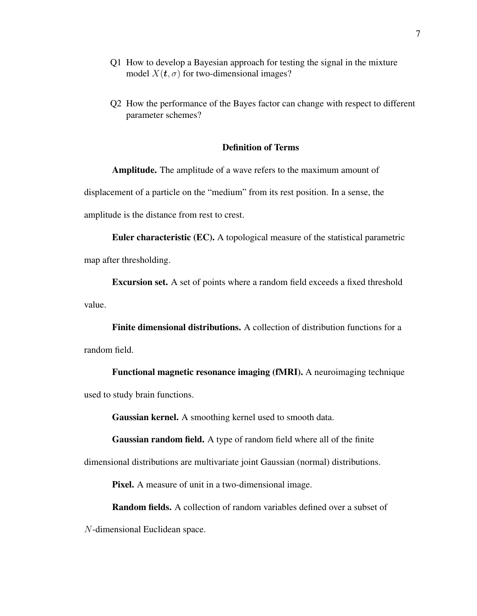- Q1 How to develop a Bayesian approach for testing the signal in the mixture model  $X(t, \sigma)$  for two-dimensional images?
- Q2 How the performance of the Bayes factor can change with respect to different parameter schemes?

#### Definition of Terms

Amplitude. The amplitude of a wave refers to the maximum amount of displacement of a particle on the "medium" from its rest position. In a sense, the amplitude is the distance from rest to crest.

Euler characteristic (EC). A topological measure of the statistical parametric map after thresholding.

Excursion set. A set of points where a random field exceeds a fixed threshold value.

Finite dimensional distributions. A collection of distribution functions for a random field.

Functional magnetic resonance imaging (fMRI). A neuroimaging technique used to study brain functions.

Gaussian kernel. A smoothing kernel used to smooth data.

Gaussian random field. A type of random field where all of the finite

dimensional distributions are multivariate joint Gaussian (normal) distributions.

Pixel. A measure of unit in a two-dimensional image.

Random fields. A collection of random variables defined over a subset of

N-dimensional Euclidean space.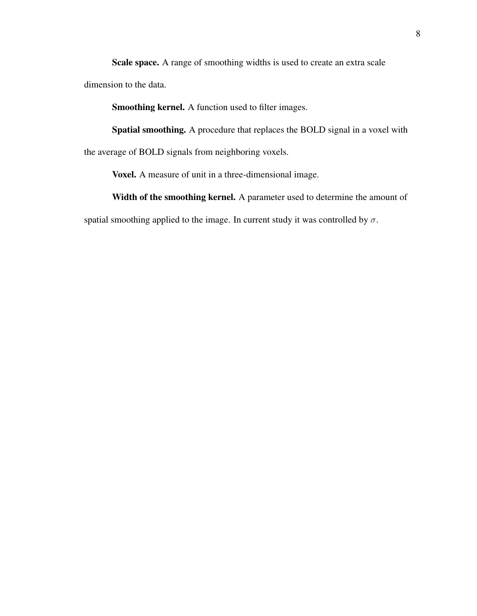Scale space. A range of smoothing widths is used to create an extra scale dimension to the data.

Smoothing kernel. A function used to filter images.

Spatial smoothing. A procedure that replaces the BOLD signal in a voxel with the average of BOLD signals from neighboring voxels.

Voxel. A measure of unit in a three-dimensional image.

Width of the smoothing kernel. A parameter used to determine the amount of spatial smoothing applied to the image. In current study it was controlled by  $\sigma$ .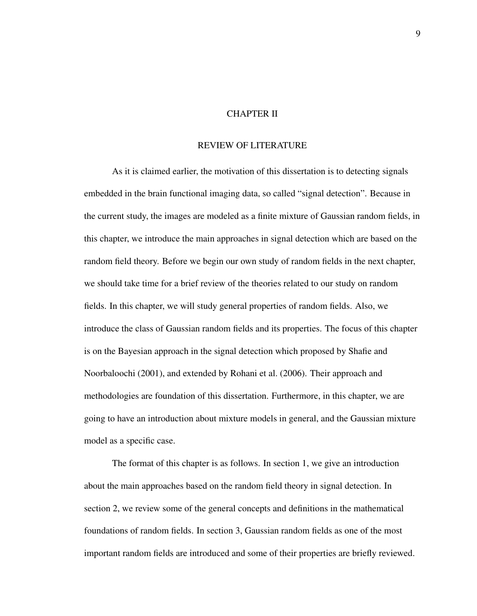#### CHAPTER II

#### REVIEW OF LITERATURE

As it is claimed earlier, the motivation of this dissertation is to detecting signals embedded in the brain functional imaging data, so called "signal detection". Because in the current study, the images are modeled as a finite mixture of Gaussian random fields, in this chapter, we introduce the main approaches in signal detection which are based on the random field theory. Before we begin our own study of random fields in the next chapter, we should take time for a brief review of the theories related to our study on random fields. In this chapter, we will study general properties of random fields. Also, we introduce the class of Gaussian random fields and its properties. The focus of this chapter is on the Bayesian approach in the signal detection which proposed by Shafie and Noorbaloochi (2001), and extended by Rohani et al. (2006). Their approach and methodologies are foundation of this dissertation. Furthermore, in this chapter, we are going to have an introduction about mixture models in general, and the Gaussian mixture model as a specific case.

The format of this chapter is as follows. In section 1, we give an introduction about the main approaches based on the random field theory in signal detection. In section 2, we review some of the general concepts and definitions in the mathematical foundations of random fields. In section 3, Gaussian random fields as one of the most important random fields are introduced and some of their properties are briefly reviewed.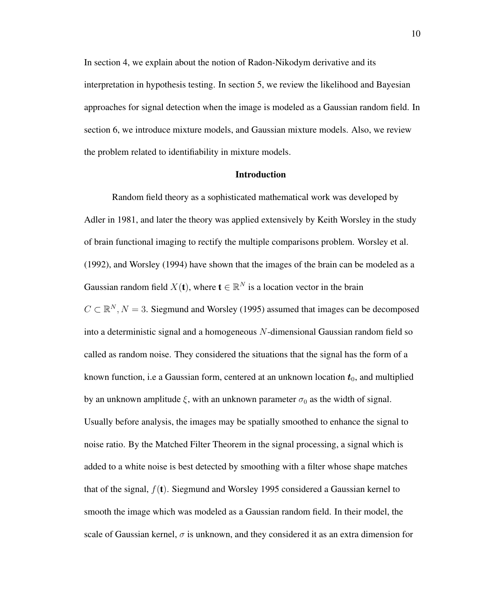In section 4, we explain about the notion of Radon-Nikodym derivative and its interpretation in hypothesis testing. In section 5, we review the likelihood and Bayesian approaches for signal detection when the image is modeled as a Gaussian random field. In section 6, we introduce mixture models, and Gaussian mixture models. Also, we review the problem related to identifiability in mixture models.

#### Introduction

Random field theory as a sophisticated mathematical work was developed by Adler in 1981, and later the theory was applied extensively by Keith Worsley in the study of brain functional imaging to rectify the multiple comparisons problem. Worsley et al. (1992), and Worsley (1994) have shown that the images of the brain can be modeled as a Gaussian random field  $X(t)$ , where  $t \in \mathbb{R}^N$  is a location vector in the brain  $C \subset \mathbb{R}^N, N = 3$ . Siegmund and Worsley (1995) assumed that images can be decomposed into a deterministic signal and a homogeneous N-dimensional Gaussian random field so called as random noise. They considered the situations that the signal has the form of a known function, i.e a Gaussian form, centered at an unknown location  $t_0$ , and multiplied by an unknown amplitude  $\xi$ , with an unknown parameter  $\sigma_0$  as the width of signal. Usually before analysis, the images may be spatially smoothed to enhance the signal to noise ratio. By the Matched Filter Theorem in the signal processing, a signal which is added to a white noise is best detected by smoothing with a filter whose shape matches that of the signal,  $f(t)$ . Siegmund and Worsley 1995 considered a Gaussian kernel to smooth the image which was modeled as a Gaussian random field. In their model, the scale of Gaussian kernel,  $\sigma$  is unknown, and they considered it as an extra dimension for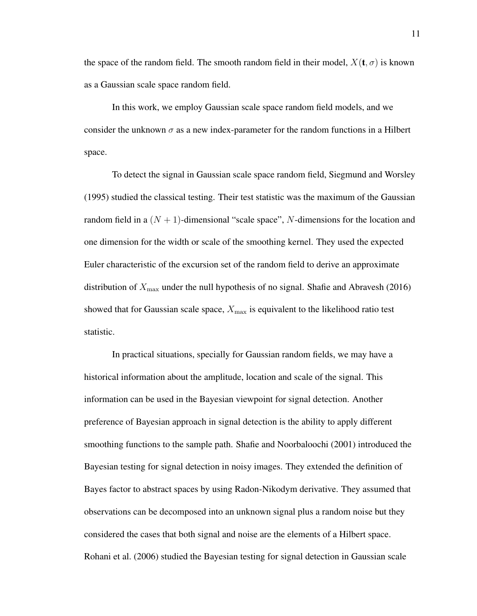the space of the random field. The smooth random field in their model,  $X(t, \sigma)$  is known as a Gaussian scale space random field.

In this work, we employ Gaussian scale space random field models, and we consider the unknown  $\sigma$  as a new index-parameter for the random functions in a Hilbert space.

To detect the signal in Gaussian scale space random field, Siegmund and Worsley (1995) studied the classical testing. Their test statistic was the maximum of the Gaussian random field in a  $(N + 1)$ -dimensional "scale space", N-dimensions for the location and one dimension for the width or scale of the smoothing kernel. They used the expected Euler characteristic of the excursion set of the random field to derive an approximate distribution of  $X_{\text{max}}$  under the null hypothesis of no signal. Shafie and Abravesh (2016) showed that for Gaussian scale space,  $X_{\text{max}}$  is equivalent to the likelihood ratio test statistic.

In practical situations, specially for Gaussian random fields, we may have a historical information about the amplitude, location and scale of the signal. This information can be used in the Bayesian viewpoint for signal detection. Another preference of Bayesian approach in signal detection is the ability to apply different smoothing functions to the sample path. Shafie and Noorbaloochi (2001) introduced the Bayesian testing for signal detection in noisy images. They extended the definition of Bayes factor to abstract spaces by using Radon-Nikodym derivative. They assumed that observations can be decomposed into an unknown signal plus a random noise but they considered the cases that both signal and noise are the elements of a Hilbert space. Rohani et al. (2006) studied the Bayesian testing for signal detection in Gaussian scale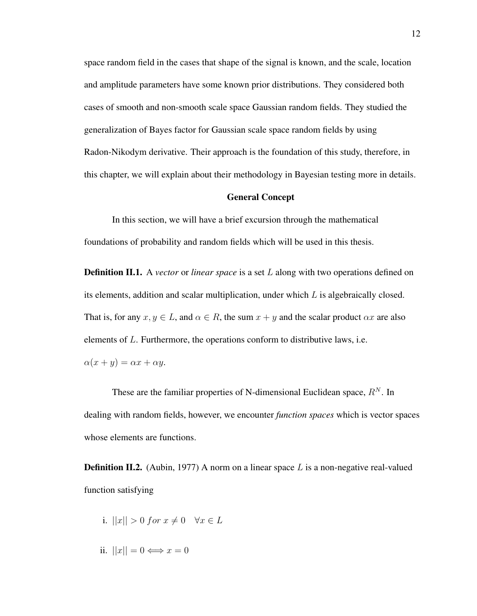space random field in the cases that shape of the signal is known, and the scale, location and amplitude parameters have some known prior distributions. They considered both cases of smooth and non-smooth scale space Gaussian random fields. They studied the generalization of Bayes factor for Gaussian scale space random fields by using Radon-Nikodym derivative. Their approach is the foundation of this study, therefore, in this chapter, we will explain about their methodology in Bayesian testing more in details.

#### General Concept

In this section, we will have a brief excursion through the mathematical foundations of probability and random fields which will be used in this thesis.

**Definition II.1.** A *vector* or *linear space* is a set L along with two operations defined on its elements, addition and scalar multiplication, under which L is algebraically closed. That is, for any  $x, y \in L$ , and  $\alpha \in R$ , the sum  $x + y$  and the scalar product  $\alpha x$  are also elements of L. Furthermore, the operations conform to distributive laws, i.e.  $\alpha(x + y) = \alpha x + \alpha y.$ 

These are the familiar properties of N-dimensional Euclidean space,  $R^N$ . In dealing with random fields, however, we encounter *function spaces* which is vector spaces whose elements are functions.

**Definition II.2.** (Aubin, 1977) A norm on a linear space L is a non-negative real-valued function satisfying

- i.  $||x|| > 0$  for  $x \neq 0 \quad \forall x \in L$
- ii.  $||x|| = 0 \Longleftrightarrow x = 0$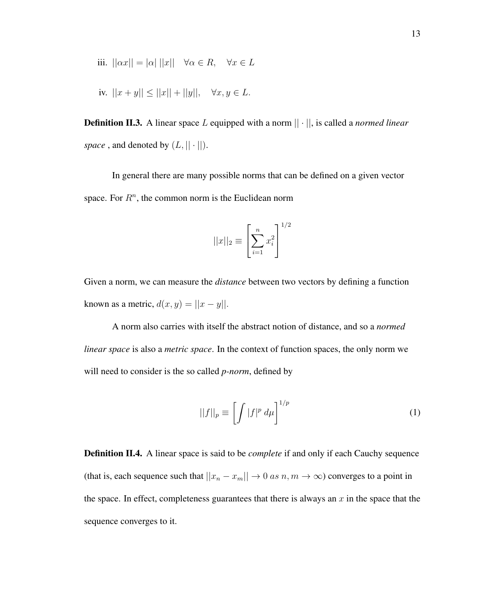iii. 
$$
||\alpha x|| = |\alpha| ||x|| \quad \forall \alpha \in R, \quad \forall x \in L
$$

iv. 
$$
||x + y|| \le ||x|| + ||y||
$$
,  $\forall x, y \in L$ .

**Definition II.3.** A linear space L equipped with a norm  $|| \cdot ||$ , is called a *normed linear space*, and denoted by  $(L, || \cdot ||)$ .

In general there are many possible norms that can be defined on a given vector space. For  $R<sup>n</sup>$ , the common norm is the Euclidean norm

$$
||x||_2 \equiv \left[\sum_{i=1}^n x_i^2\right]^{1/2}
$$

Given a norm, we can measure the *distance* between two vectors by defining a function known as a metric,  $d(x, y) = ||x - y||$ .

A norm also carries with itself the abstract notion of distance, and so a *normed linear space* is also a *metric space*. In the context of function spaces, the only norm we will need to consider is the so called *p-norm*, defined by

$$
||f||_p \equiv \left[ \int |f|^p \ d\mu \right]^{1/p} \tag{1}
$$

Definition II.4. A linear space is said to be *complete* if and only if each Cauchy sequence (that is, each sequence such that  $||x_n - x_m|| \to 0$  *as*  $n, m \to \infty$ ) converges to a point in the space. In effect, completeness guarantees that there is always an  $x$  in the space that the sequence converges to it.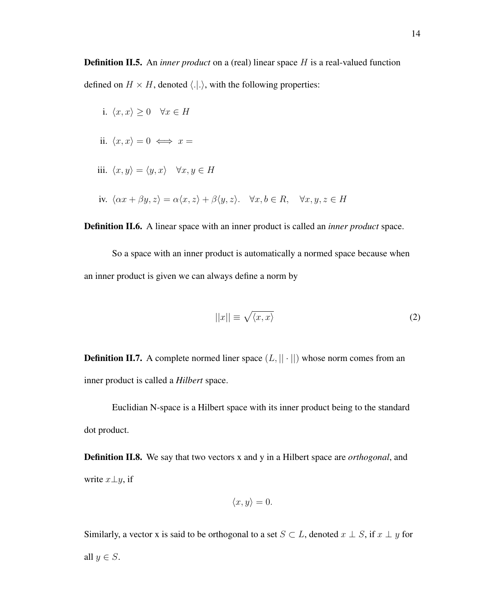**Definition II.5.** An *inner product* on a (real) linear space H is a real-valued function defined on  $H \times H$ , denoted  $\langle .|. \rangle$ , with the following properties:

i.  $\langle x, x \rangle \geq 0 \quad \forall x \in H$ ii.  $\langle x, x \rangle = 0 \iff x =$ iii.  $\langle x, y \rangle = \langle y, x \rangle \quad \forall x, y \in H$ iv.  $\langle \alpha x + \beta y, z \rangle = \alpha \langle x, z \rangle + \beta \langle y, z \rangle$ .  $\forall x, b \in R$ ,  $\forall x, y, z \in H$ 

Definition II.6. A linear space with an inner product is called an *inner product* space.

So a space with an inner product is automatically a normed space because when an inner product is given we can always define a norm by

$$
||x|| \equiv \sqrt{\langle x, x \rangle} \tag{2}
$$

**Definition II.7.** A complete normed liner space  $(L, || \cdot ||)$  whose norm comes from an inner product is called a *Hilbert* space.

Euclidian N-space is a Hilbert space with its inner product being to the standard dot product.

Definition II.8. We say that two vectors x and y in a Hilbert space are *orthogonal*, and write  $x \perp y$ , if

$$
\langle x, y \rangle = 0.
$$

Similarly, a vector x is said to be orthogonal to a set  $S \subset L$ , denoted  $x \perp S$ , if  $x \perp y$  for all  $y \in S$ .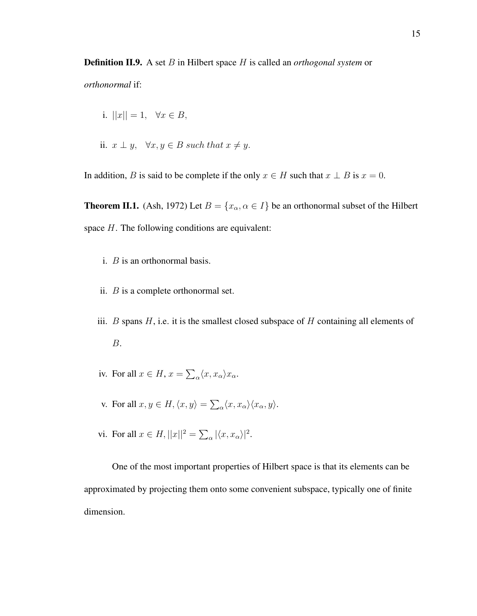Definition II.9. A set B in Hilbert space H is called an *orthogonal system* or

*orthonormal* if:

i. 
$$
||x|| = 1, \quad \forall x \in B,
$$
  
ii.  $x \perp y, \quad \forall x, y \in B \text{ such that } x \neq y.$ 

In addition, B is said to be complete if the only  $x \in H$  such that  $x \perp B$  is  $x = 0$ .

**Theorem II.1.** (Ash, 1972) Let  $B = \{x_\alpha, \alpha \in I\}$  be an orthonormal subset of the Hilbert space  $H$ . The following conditions are equivalent:

- i. B is an orthonormal basis.
- ii.  $B$  is a complete orthonormal set.
- iii.  $B$  spans  $H$ , i.e. it is the smallest closed subspace of  $H$  containing all elements of B.
- iv. For all  $x \in H$ ,  $x = \sum_{\alpha} \langle x, x_{\alpha} \rangle x_{\alpha}$ .
- v. For all  $x, y \in H, \langle x, y \rangle = \sum_{\alpha} \langle x, x_{\alpha} \rangle \langle x_{\alpha}, y \rangle$ .
- vi. For all  $x \in H$ ,  $||x||^2 = \sum_{\alpha} |\langle x, x_{\alpha} \rangle|^2$ .

One of the most important properties of Hilbert space is that its elements can be approximated by projecting them onto some convenient subspace, typically one of finite dimension.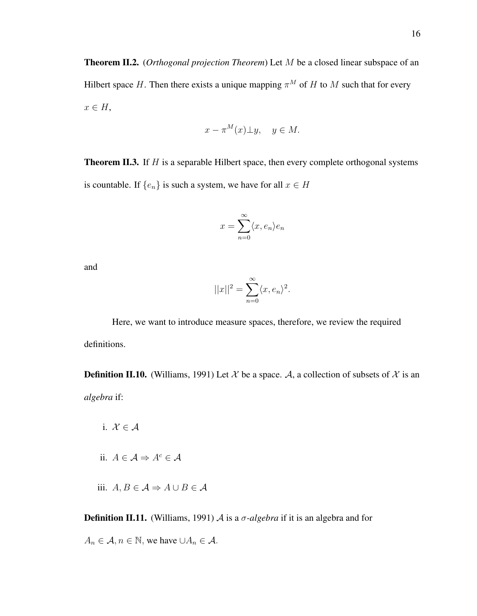$$
x - \pi^M(x) \perp y, \quad y \in M.
$$

**Theorem II.3.** If  $H$  is a separable Hilbert space, then every complete orthogonal systems is countable. If  $\{e_n\}$  is such a system, we have for all  $x \in H$ 

$$
x = \sum_{n=0}^{\infty} \langle x, e_n \rangle e_n
$$

and

$$
||x||^2 = \sum_{n=0}^{\infty} \langle x, e_n \rangle^2.
$$

Here, we want to introduce measure spaces, therefore, we review the required definitions.

**Definition II.10.** (Williams, 1991) Let X be a space. A, a collection of subsets of X is an *algebra* if:

i.  $\mathcal{X} \in \mathcal{A}$ ii.  $A \in \mathcal{A} \Rightarrow A^c \in \mathcal{A}$ iii.  $A, B \in \mathcal{A} \Rightarrow A \cup B \in \mathcal{A}$ 

**Definition II.11.** (Williams, 1991) A is a  $\sigma$ -algebra if it is an algebra and for

 $A_n \in \mathcal{A}, n \in \mathbb{N}$ , we have  $\cup A_n \in \mathcal{A}$ .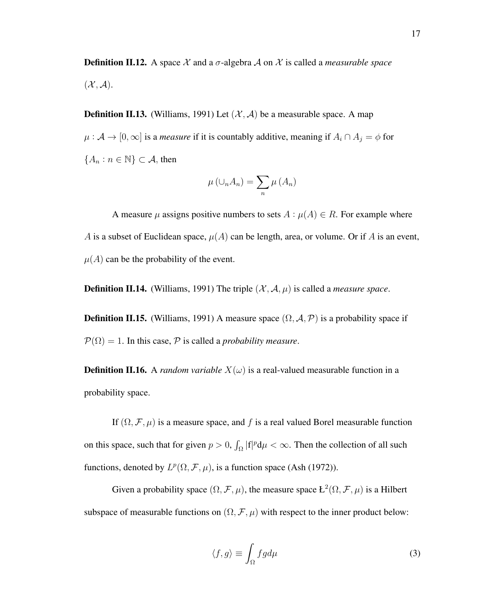**Definition II.12.** A space  $\mathcal X$  and a  $\sigma$ -algebra  $\mathcal A$  on  $\mathcal X$  is called a *measurable space*  $({\mathcal{X}}, {\mathcal{A}}).$ 

**Definition II.13.** (Williams, 1991) Let  $(\mathcal{X}, \mathcal{A})$  be a measurable space. A map  $\mu : \mathcal{A} \to [0, \infty]$  is a *measure* if it is countably additive, meaning if  $A_i \cap A_j = \phi$  for  ${A_n : n \in \mathbb{N} \subset \mathcal{A}, \text{ then}}$ 

$$
\mu\left(\cup_{n} A_{n}\right) = \sum_{n} \mu\left(A_{n}\right)
$$

A measure  $\mu$  assigns positive numbers to sets  $A : \mu(A) \in R$ . For example where A is a subset of Euclidean space,  $\mu(A)$  can be length, area, or volume. Or if A is an event,  $\mu(A)$  can be the probability of the event.

**Definition II.14.** (Williams, 1991) The triple  $(\mathcal{X}, \mathcal{A}, \mu)$  is called a *measure space*.

**Definition II.15.** (Williams, 1991) A measure space  $(\Omega, \mathcal{A}, \mathcal{P})$  is a probability space if  $P(\Omega) = 1$ . In this case, P is called a *probability measure*.

**Definition II.16.** A *random variable*  $X(\omega)$  is a real-valued measurable function in a probability space.

If  $(\Omega, \mathcal{F}, \mu)$  is a measure space, and f is a real valued Borel measurable function on this space, such that for given  $p > 0$ ,  $\int_{\Omega} |f|^p d\mu < \infty$ . Then the collection of all such functions, denoted by  $L^p(\Omega, \mathcal{F}, \mu)$ , is a function space (Ash (1972)).

Given a probability space  $(\Omega, \mathcal{F}, \mu)$ , the measure space  $L^2(\Omega, \mathcal{F}, \mu)$  is a Hilbert subspace of measurable functions on  $(\Omega, \mathcal{F}, \mu)$  with respect to the inner product below:

$$
\langle f, g \rangle \equiv \int_{\Omega} f g d\mu \tag{3}
$$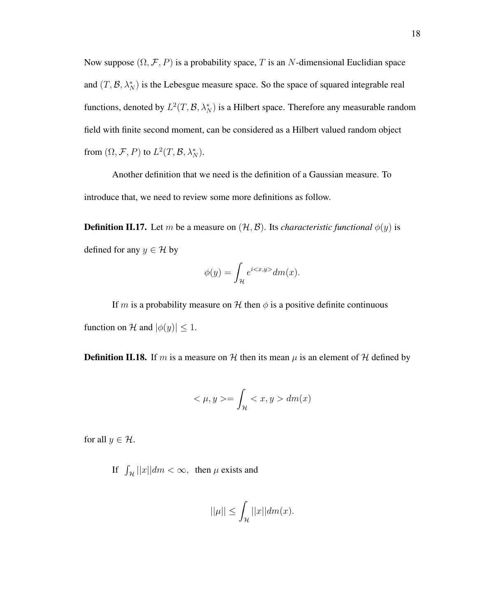Now suppose  $(\Omega, \mathcal{F}, P)$  is a probability space, T is an N-dimensional Euclidian space and  $(T, \mathcal{B}, \lambda_N^*)$  is the Lebesgue measure space. So the space of squared integrable real functions, denoted by  $L^2(T, \mathcal{B}, \lambda_N^*)$  is a Hilbert space. Therefore any measurable random field with finite second moment, can be considered as a Hilbert valued random object from  $(\Omega, \mathcal{F}, P)$  to  $L^2(T, \mathcal{B}, \lambda_N^*)$ .

Another definition that we need is the definition of a Gaussian measure. To introduce that, we need to review some more definitions as follow.

**Definition II.17.** Let m be a measure on  $(\mathcal{H}, \mathcal{B})$ . Its *characteristic functional*  $\phi(y)$  is defined for any  $y \in \mathcal{H}$  by

$$
\phi(y) = \int_{\mathcal{H}} e^{i \langle x, y \rangle} dm(x).
$$

If m is a probability measure on H then  $\phi$  is a positive definite continuous function on H and  $|\phi(y)| \leq 1$ .

**Definition II.18.** If m is a measure on H then its mean  $\mu$  is an element of H defined by

$$
\langle \mu, y \rangle = \int_{\mathcal{H}} \langle x, y \rangle dm(x)
$$

for all  $y \in \mathcal{H}$ .

If  $\int_{\mathcal{H}} ||x|| dm < \infty$ , then  $\mu$  exists and

$$
||\mu|| \le \int_{\mathcal{H}} ||x|| dm(x).
$$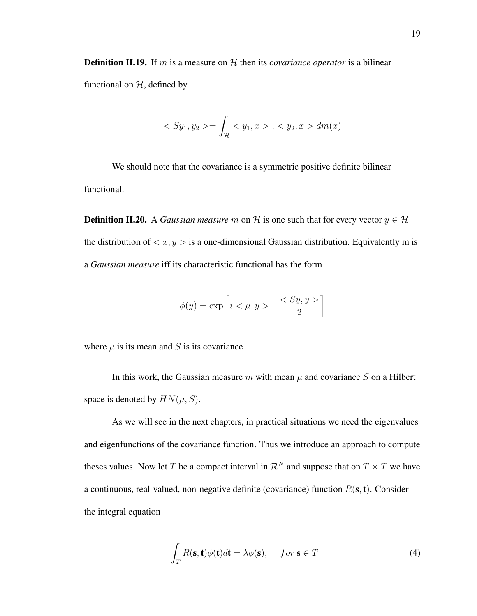**Definition II.19.** If m is a measure on  $H$  then its *covariance operator* is a bilinear functional on  $H$ , defined by

$$
\langle Sy_1, y_2 \rangle = \int_{\mathcal{H}} \langle y_1, x \rangle \, . \langle y_2, x \rangle \, dm(x)
$$

We should note that the covariance is a symmetric positive definite bilinear functional.

**Definition II.20.** A *Gaussian measure* m on H is one such that for every vector  $y \in H$ the distribution of  $\langle x, y \rangle$  is a one-dimensional Gaussian distribution. Equivalently m is a *Gaussian measure* iff its characteristic functional has the form

$$
\phi(y) = \exp\left[i < \mu, y > -\frac{< Sy, y >}{2}\right]
$$

where  $\mu$  is its mean and S is its covariance.

In this work, the Gaussian measure m with mean  $\mu$  and covariance S on a Hilbert space is denoted by  $HN(\mu, S)$ .

As we will see in the next chapters, in practical situations we need the eigenvalues and eigenfunctions of the covariance function. Thus we introduce an approach to compute theses values. Now let T be a compact interval in  $\mathcal{R}^N$  and suppose that on  $T \times T$  we have a continuous, real-valued, non-negative definite (covariance) function  $R(s, t)$ . Consider the integral equation

$$
\int_{T} R(\mathbf{s}, \mathbf{t}) \phi(\mathbf{t}) d\mathbf{t} = \lambda \phi(\mathbf{s}), \quad \text{for } \mathbf{s} \in T
$$
\n(4)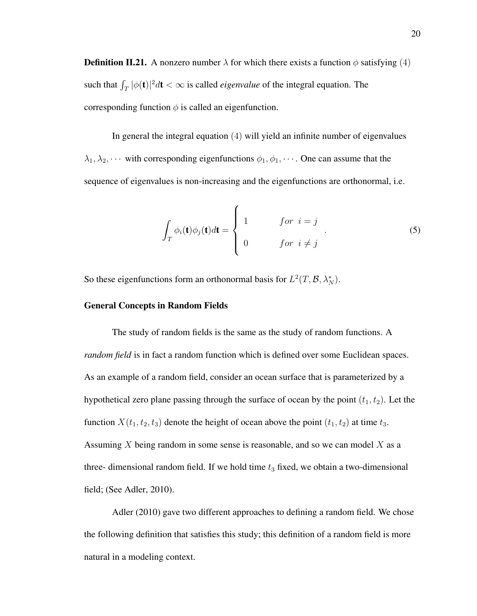**Definition II.21.** A nonzero number  $\lambda$  for which there exists a function  $\phi$  satisfying (4) such that  $\int_T |\phi(\mathbf{t})|^2 d\mathbf{t} < \infty$  is called *eigenvalue* of the integral equation. The corresponding function  $\phi$  is called an eigenfunction.

In general the integral equation (4) will yield an infinite number of eigenvalues  $\lambda_1, \lambda_2, \cdots$  with corresponding eigenfunctions  $\phi_1, \phi_1, \cdots$ . One can assume that the sequence of eigenvalues is non-increasing and the eigenfunctions are orthonormal, i.e.

$$
\int_{T} \phi_{i}(\mathbf{t}) \phi_{j}(\mathbf{t}) d\mathbf{t} = \begin{cases} 1 & \text{for } i = j \\ 0 & \text{for } i \neq j \end{cases}
$$
 (5)

So these eigenfunctions form an orthonormal basis for  $L^2(T, \mathcal{B}, \lambda_N^*)$ .

#### General Concepts in Random Fields

The study of random fields is the same as the study of random functions. A *random field* is in fact a random function which is defined over some Euclidean spaces. As an example of a random field, consider an ocean surface that is parameterized by a hypothetical zero plane passing through the surface of ocean by the point  $(t_1, t_2)$ . Let the function  $X(t_1, t_2, t_3)$  denote the height of ocean above the point  $(t_1, t_2)$  at time  $t_3$ . Assuming X being random in some sense is reasonable, and so we can model  $X$  as a three- dimensional random field. If we hold time  $t_3$  fixed, we obtain a two-dimensional field; (See Adler, 2010).

Adler (2010) gave two different approaches to defining a random field. We chose the following definition that satisfies this study; this definition of a random field is more natural in a modeling context.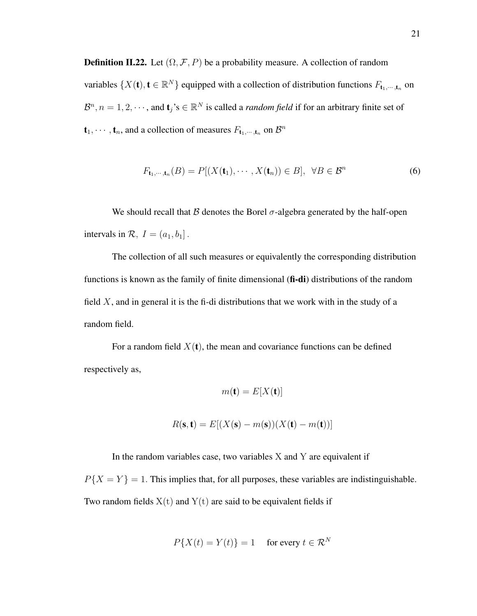**Definition II.22.** Let  $(\Omega, \mathcal{F}, P)$  be a probability measure. A collection of random variables  $\{X(t), t \in \mathbb{R}^N\}$  equipped with a collection of distribution functions  $F_{t_1,\dots,t_n}$  on  $\mathcal{B}^n$ ,  $n = 1, 2, \dots$ , and  $\mathbf{t}_j$ 's  $\in \mathbb{R}^N$  is called a *random field* if for an arbitrary finite set of  $\mathbf{t}_1, \dots, \mathbf{t}_n$ , and a collection of measures  $F_{\mathbf{t}_1, \dots, \mathbf{t}_n}$  on  $\mathcal{B}^n$ 

$$
F_{\mathbf{t}_1,\cdots,\mathbf{t}_n}(B) = P[(X(\mathbf{t}_1),\cdots,X(\mathbf{t}_n)) \in B], \ \forall B \in \mathcal{B}^n
$$
 (6)

We should recall that  $\beta$  denotes the Borel  $\sigma$ -algebra generated by the half-open intervals in  $\mathcal{R}, I = (a_1, b_1]$ .

The collection of all such measures or equivalently the corresponding distribution functions is known as the family of finite dimensional (fi-di) distributions of the random field  $X$ , and in general it is the fi-di distributions that we work with in the study of a random field.

For a random field  $X(t)$ , the mean and covariance functions can be defined respectively as,

$$
m(\mathbf{t}) = E[X(\mathbf{t})]
$$

$$
R(\mathbf{s}, \mathbf{t}) = E[(X(\mathbf{s}) - m(\mathbf{s}))(X(\mathbf{t}) - m(\mathbf{t}))]
$$

In the random variables case, two variables  $X$  and  $Y$  are equivalent if

 $P{X = Y} = 1$ . This implies that, for all purposes, these variables are indistinguishable. Two random fields  $X(t)$  and  $Y(t)$  are said to be equivalent fields if

$$
P\{X(t) = Y(t)\} = 1 \quad \text{ for every } t \in \mathcal{R}^N
$$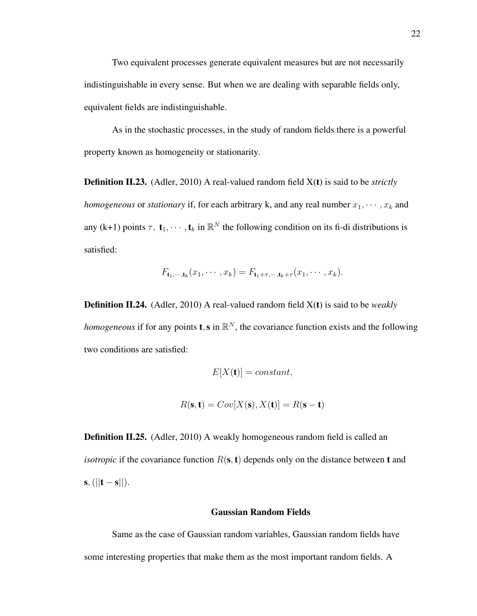Two equivalent processes generate equivalent measures but are not necessarily indistinguishable in every sense. But when we are dealing with separable fields only, equivalent fields are indistinguishable.

As in the stochastic processes, in the study of random fields there is a powerful property known as homogeneity or stationarity.

Definition II.23. (Adler, 2010) A real-valued random field X(t) is said to be *strictly homogeneous* or *stationary* if, for each arbitrary k, and any real number  $x_1, \dots, x_k$  and any (k+1) points  $\tau$ ,  $\mathbf{t}_1, \dots, \mathbf{t}_k$  in  $\mathbb{R}^N$  the following condition on its fi-di distributions is satisfied:

$$
F_{\mathbf{t}_1,\dots,\mathbf{t}_k}(x_1,\dots,x_k)=F_{\mathbf{t}_1+\tau,\dots,\mathbf{t}_k+\tau}(x_1,\dots,x_k).
$$

Definition II.24. (Adler, 2010) A real-valued random field X(t) is said to be *weakly homogeneous* if for any points **t**, **s** in  $\mathbb{R}^N$ , the covariance function exists and the following two conditions are satisfied:

$$
E[X(\mathbf{t})] = constant,
$$
  

$$
R(\mathbf{s}, \mathbf{t}) = Cov[X(\mathbf{s}), X(\mathbf{t})] = R(\mathbf{s} - \mathbf{t})
$$

**Definition II.25.** (Adler, 2010) A weakly homogeneous random field is called an *isotropic* if the covariance function  $R(s, t)$  depends only on the distance between t and  $s, (||t - s||).$ 

#### Gaussian Random Fields

Same as the case of Gaussian random variables, Gaussian random fields have some interesting properties that make them as the most important random fields. A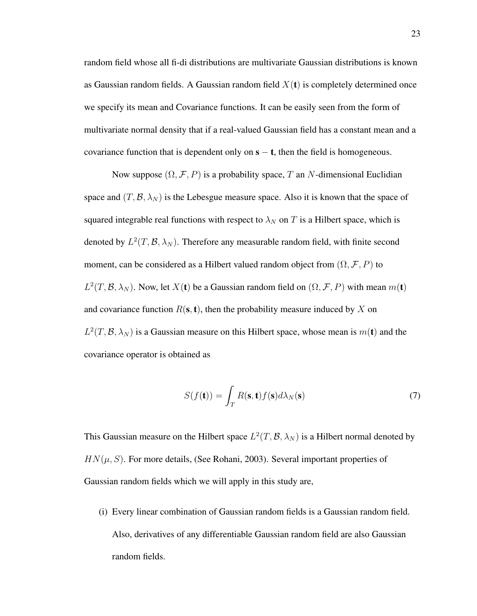random field whose all fi-di distributions are multivariate Gaussian distributions is known as Gaussian random fields. A Gaussian random field  $X(t)$  is completely determined once we specify its mean and Covariance functions. It can be easily seen from the form of multivariate normal density that if a real-valued Gaussian field has a constant mean and a covariance function that is dependent only on  $s - t$ , then the field is homogeneous.

Now suppose  $(\Omega, \mathcal{F}, P)$  is a probability space, T an N-dimensional Euclidian space and  $(T, \mathcal{B}, \lambda_N)$  is the Lebesgue measure space. Also it is known that the space of squared integrable real functions with respect to  $\lambda_N$  on T is a Hilbert space, which is denoted by  $L^2(T, \mathcal{B}, \lambda_N)$ . Therefore any measurable random field, with finite second moment, can be considered as a Hilbert valued random object from  $(\Omega, \mathcal{F}, P)$  to  $L^2(T, \mathcal{B}, \lambda_N)$ . Now, let  $X(t)$  be a Gaussian random field on  $(\Omega, \mathcal{F}, P)$  with mean  $m(t)$ and covariance function  $R(s, t)$ , then the probability measure induced by X on  $L^2(T, \mathcal{B}, \lambda_N)$  is a Gaussian measure on this Hilbert space, whose mean is  $m(\mathbf{t})$  and the covariance operator is obtained as

$$
S(f(\mathbf{t})) = \int_{T} R(\mathbf{s}, \mathbf{t}) f(\mathbf{s}) d\lambda_{N}(\mathbf{s})
$$
\n(7)

This Gaussian measure on the Hilbert space  $L^2(T, \mathcal{B}, \lambda_N)$  is a Hilbert normal denoted by  $HN(\mu, S)$ . For more details, (See Rohani, 2003). Several important properties of Gaussian random fields which we will apply in this study are,

(i) Every linear combination of Gaussian random fields is a Gaussian random field. Also, derivatives of any differentiable Gaussian random field are also Gaussian random fields.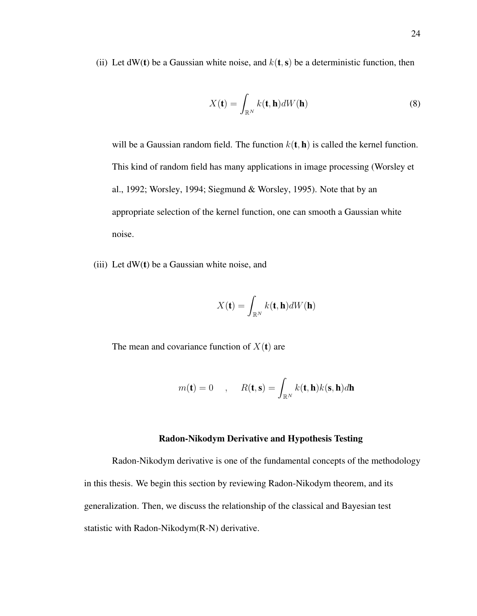(ii) Let dW(t) be a Gaussian white noise, and  $k(t, s)$  be a deterministic function, then

$$
X(\mathbf{t}) = \int_{\mathbb{R}^N} k(\mathbf{t}, \mathbf{h}) dW(\mathbf{h})
$$
 (8)

will be a Gaussian random field. The function  $k(\mathbf{t}, \mathbf{h})$  is called the kernel function. This kind of random field has many applications in image processing (Worsley et al., 1992; Worsley, 1994; Siegmund & Worsley, 1995). Note that by an appropriate selection of the kernel function, one can smooth a Gaussian white noise.

(iii) Let  $dW(t)$  be a Gaussian white noise, and

$$
X(\mathbf{t}) = \int_{\mathbb{R}^N} k(\mathbf{t}, \mathbf{h}) dW(\mathbf{h})
$$

The mean and covariance function of  $X(t)$  are

$$
m(\mathbf{t}) = 0 \quad , \quad R(\mathbf{t}, \mathbf{s}) = \int_{\mathbb{R}^N} k(\mathbf{t}, \mathbf{h}) k(\mathbf{s}, \mathbf{h}) d\mathbf{h}
$$

#### Radon-Nikodym Derivative and Hypothesis Testing

Radon-Nikodym derivative is one of the fundamental concepts of the methodology in this thesis. We begin this section by reviewing Radon-Nikodym theorem, and its generalization. Then, we discuss the relationship of the classical and Bayesian test statistic with Radon-Nikodym(R-N) derivative.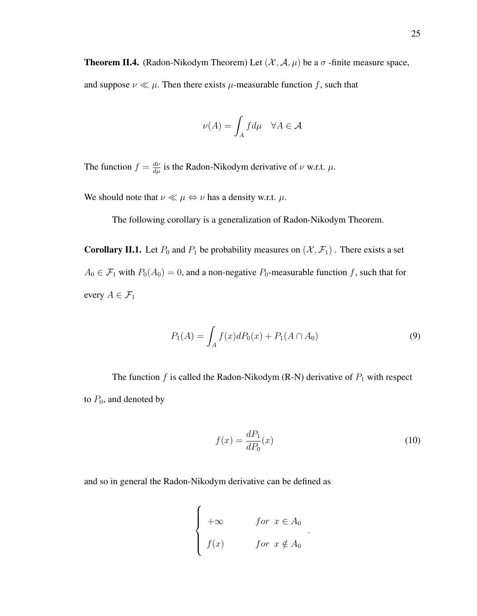**Theorem II.4.** (Radon-Nikodym Theorem) Let  $(\mathcal{X}, \mathcal{A}, \mu)$  be a  $\sigma$ -finite measure space,

and suppose  $\nu \ll \mu$ . Then there exists  $\mu$ -measurable function f, such that

$$
\nu(A) = \int_A f d\mu \quad \forall A \in \mathcal{A}
$$

The function  $f = \frac{d\nu}{d\mu}$  is the Radon-Nikodym derivative of  $\nu$  w.r.t.  $\mu$ .

We should note that  $\nu \ll \mu \Leftrightarrow \nu$  has a density w.r.t.  $\mu$ .

The following corollary is a generalization of Radon-Nikodym Theorem.

**Corollary II.1.** Let  $P_0$  and  $P_1$  be probability measures on  $(\mathcal{X}, \mathcal{F}_1)$ . There exists a set  $A_0 \in \mathcal{F}_1$  with  $P_0(A_0) = 0$ , and a non-negative  $P_0$ -measurable function f, such that for every  $A \in \mathcal{F}_1$ 

$$
P_1(A) = \int_A f(x)dP_0(x) + P_1(A \cap A_0)
$$
\n(9)

The function  $f$  is called the Radon-Nikodym (R-N) derivative of  $P_1$  with respect to  $P_0$ , and denoted by

$$
f(x) = \frac{dP_1}{dP_0}(x) \tag{10}
$$

.

and so in general the Radon-Nikodym derivative can be defined as

$$
\begin{cases}\n+\infty & \text{for } x \in A_0 \\
f(x) & \text{for } x \notin A_0\n\end{cases}
$$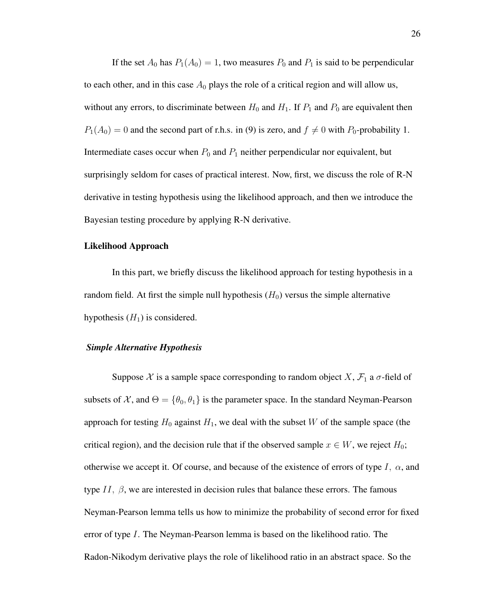If the set  $A_0$  has  $P_1(A_0) = 1$ , two measures  $P_0$  and  $P_1$  is said to be perpendicular to each other, and in this case  $A_0$  plays the role of a critical region and will allow us, without any errors, to discriminate between  $H_0$  and  $H_1$ . If  $P_1$  and  $P_0$  are equivalent then  $P_1(A_0) = 0$  and the second part of r.h.s. in (9) is zero, and  $f \neq 0$  with  $P_0$ -probability 1. Intermediate cases occur when  $P_0$  and  $P_1$  neither perpendicular nor equivalent, but surprisingly seldom for cases of practical interest. Now, first, we discuss the role of R-N derivative in testing hypothesis using the likelihood approach, and then we introduce the Bayesian testing procedure by applying R-N derivative.

#### Likelihood Approach

In this part, we briefly discuss the likelihood approach for testing hypothesis in a random field. At first the simple null hypothesis  $(H_0)$  versus the simple alternative hypothesis  $(H_1)$  is considered.

### *Simple Alternative Hypothesis*

Suppose X is a sample space corresponding to random object X,  $\mathcal{F}_1$  a  $\sigma$ -field of subsets of X, and  $\Theta = {\theta_0, \theta_1}$  is the parameter space. In the standard Neyman-Pearson approach for testing  $H_0$  against  $H_1$ , we deal with the subset W of the sample space (the critical region), and the decision rule that if the observed sample  $x \in W$ , we reject  $H_0$ ; otherwise we accept it. Of course, and because of the existence of errors of type I,  $\alpha$ , and type  $II$ ,  $\beta$ , we are interested in decision rules that balance these errors. The famous Neyman-Pearson lemma tells us how to minimize the probability of second error for fixed error of type I. The Neyman-Pearson lemma is based on the likelihood ratio. The Radon-Nikodym derivative plays the role of likelihood ratio in an abstract space. So the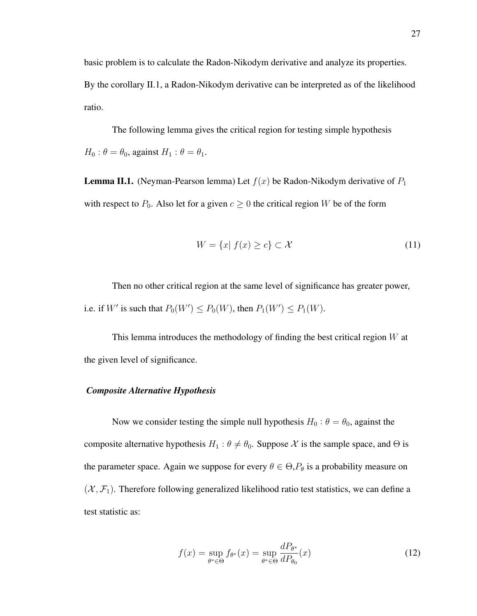basic problem is to calculate the Radon-Nikodym derivative and analyze its properties. By the corollary II.1, a Radon-Nikodym derivative can be interpreted as of the likelihood ratio.

The following lemma gives the critical region for testing simple hypothesis  $H_0: \theta = \theta_0$ , against  $H_1: \theta = \theta_1$ .

**Lemma II.1.** (Neyman-Pearson lemma) Let  $f(x)$  be Radon-Nikodym derivative of  $P_1$ with respect to  $P_0$ . Also let for a given  $c \geq 0$  the critical region W be of the form

$$
W = \{x | f(x) \ge c\} \subset \mathcal{X}
$$
\n<sup>(11)</sup>

Then no other critical region at the same level of significance has greater power, i.e. if W' is such that  $P_0(W') \le P_0(W)$ , then  $P_1(W') \le P_1(W)$ .

This lemma introduces the methodology of finding the best critical region  $W$  at the given level of significance.

## *Composite Alternative Hypothesis*

Now we consider testing the simple null hypothesis  $H_0: \theta = \theta_0$ , against the composite alternative hypothesis  $H_1$ :  $\theta \neq \theta_0$ . Suppose X is the sample space, and  $\Theta$  is the parameter space. Again we suppose for every  $\theta \in \Theta$ ,  $P_{\theta}$  is a probability measure on  $(X, \mathcal{F}_1)$ . Therefore following generalized likelihood ratio test statistics, we can define a test statistic as:

$$
f(x) = \sup_{\theta^* \in \Theta} f_{\theta^*}(x) = \sup_{\theta^* \in \Theta} \frac{dP_{\theta^*}}{dP_{\theta_0}}(x)
$$
(12)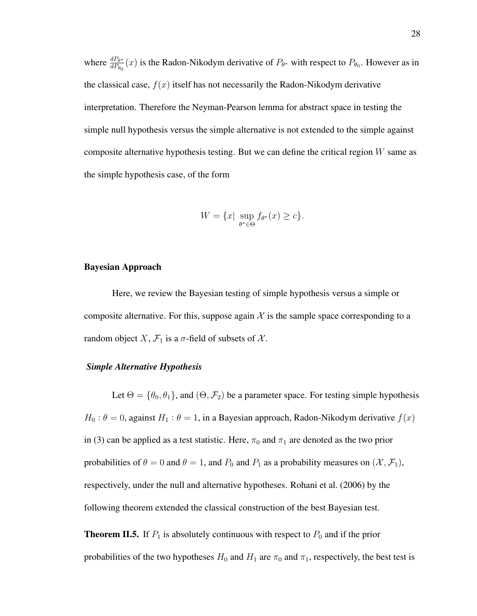where  $\frac{dP_{\theta^*}}{dP_{\theta_0}}(x)$  is the Radon-Nikodym derivative of  $P_{\theta^*}$  with respect to  $P_{\theta_0}$ . However as in the classical case,  $f(x)$  itself has not necessarily the Radon-Nikodym derivative interpretation. Therefore the Neyman-Pearson lemma for abstract space in testing the simple null hypothesis versus the simple alternative is not extended to the simple against composite alternative hypothesis testing. But we can define the critical region  $W$  same as the simple hypothesis case, of the form

$$
W = \{x \mid \sup_{\theta^* \in \Theta} f_{\theta^*}(x) \ge c\}.
$$

#### Bayesian Approach

Here, we review the Bayesian testing of simple hypothesis versus a simple or composite alternative. For this, suppose again  $X$  is the sample space corresponding to a random object X,  $\mathcal{F}_1$  is a  $\sigma$ -field of subsets of X.

#### *Simple Alternative Hypothesis*

Let  $\Theta = {\theta_0, \theta_1}$ , and  $(\Theta, \mathcal{F}_2)$  be a parameter space. For testing simple hypothesis  $H_0: \theta = 0$ , against  $H_1: \theta = 1$ , in a Bayesian approach, Radon-Nikodym derivative  $f(x)$ in (3) can be applied as a test statistic. Here,  $\pi_0$  and  $\pi_1$  are denoted as the two prior probabilities of  $\theta = 0$  and  $\theta = 1$ , and  $P_0$  and  $P_1$  as a probability measures on  $(\mathcal{X}, \mathcal{F}_1)$ , respectively, under the null and alternative hypotheses. Rohani et al. (2006) by the following theorem extended the classical construction of the best Bayesian test.

**Theorem II.5.** If  $P_1$  is absolutely continuous with respect to  $P_0$  and if the prior probabilities of the two hypotheses  $H_0$  and  $H_1$  are  $\pi_0$  and  $\pi_1$ , respectively, the best test is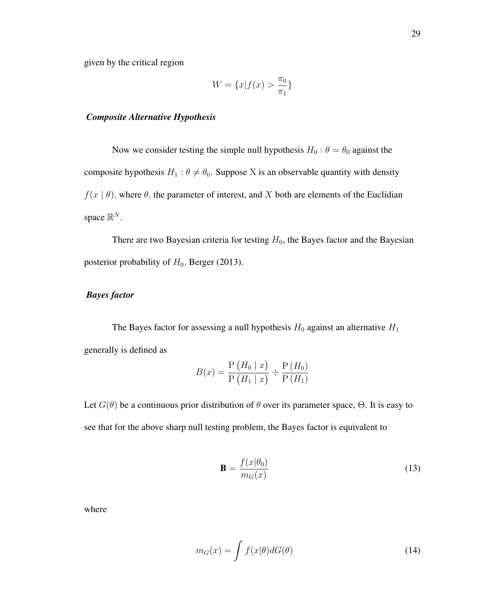$$
W = \{x | f(x) > \frac{\pi_0}{\pi_1}\}
$$

#### *Composite Alternative Hypothesis*

Now we consider testing the simple null hypothesis  $H_0$ :  $\theta = \theta_0$  against the composite hypothesis  $H_1$ :  $\theta \neq \theta_0$ . Suppose X is an observable quantity with density  $f(x | \theta)$ , where  $\theta$ , the parameter of interest, and X both are elements of the Euclidian space  $\mathbb{R}^N$ .

There are two Bayesian criteria for testing  $H_0$ , the Bayes factor and the Bayesian posterior probability of  $H_0$ , Berger (2013).

## *Bayes factor*

The Bayes factor for assessing a null hypothesis  $H_0$  against an alternative  $H_1$ generally is defined as

$$
B(x) = \frac{P(H_0 \mid x)}{P(H_1 \mid x)} \div \frac{P(H_0)}{P(H_1)}
$$

Let  $G(\theta)$  be a continuous prior distribution of  $\theta$  over its parameter space,  $\Theta$ . It is easy to see that for the above sharp null testing problem, the Bayes factor is equivalent to

$$
\mathbf{B} = \frac{f(x|\theta_0)}{m_G(x)}\tag{13}
$$

where

$$
m_G(x) = \int f(x|\theta) dG(\theta)
$$
 (14)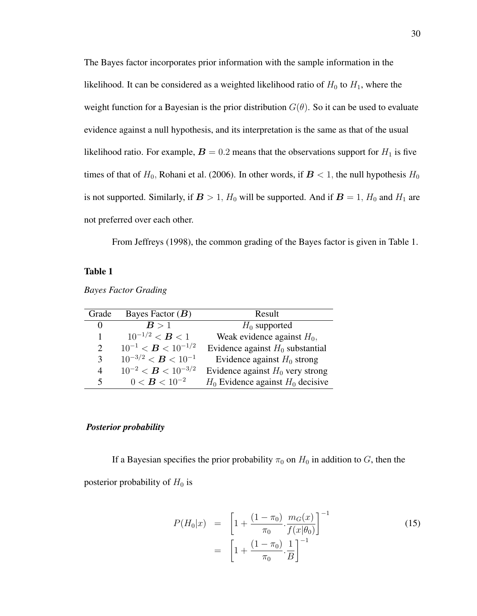The Bayes factor incorporates prior information with the sample information in the likelihood. It can be considered as a weighted likelihood ratio of  $H_0$  to  $H_1$ , where the weight function for a Bayesian is the prior distribution  $G(\theta)$ . So it can be used to evaluate evidence against a null hypothesis, and its interpretation is the same as that of the usual likelihood ratio. For example,  $B = 0.2$  means that the observations support for  $H_1$  is five times of that of  $H_0$ , Rohani et al. (2006). In other words, if  $B < 1$ , the null hypothesis  $H_0$ is not supported. Similarly, if  $B > 1$ ,  $H_0$  will be supported. And if  $B = 1$ ,  $H_0$  and  $H_1$  are not preferred over each other.

From Jeffreys (1998), the common grading of the Bayes factor is given in Table 1.

## Table 1

| Grade                       | Bayes Factor $(B)$        | Result                                |
|-----------------------------|---------------------------|---------------------------------------|
| $\Omega$                    | B > 1                     | $H_0$ supported                       |
| 1                           | $10^{-1/2} < B < 1$       | Weak evidence against $H_0$ ,         |
| $\mathcal{D}_{\mathcal{L}}$ | $10^{-1} < B < 10^{-1/2}$ | Evidence against $H_0$ substantial    |
| 3                           | $10^{-3/2} < B < 10^{-1}$ | Evidence against $H_0$ strong         |
| 4                           | $10^{-2} < B < 10^{-3/2}$ | Evidence against $H_0$ very strong    |
| $\mathcal{F}$               | $0 < B < 10^{-2}$         | $H_0$ Evidence against $H_0$ decisive |

*Bayes Factor Grading*

### *Posterior probability*

If a Bayesian specifies the prior probability  $\pi_0$  on  $H_0$  in addition to G, then the posterior probability of  $H_0$  is

$$
P(H_0|x) = \left[1 + \frac{(1 - \pi_0)}{\pi_0} \cdot \frac{m_G(x)}{f(x|\theta_0)}\right]^{-1}
$$
\n
$$
= \left[1 + \frac{(1 - \pi_0)}{\pi_0} \cdot \frac{1}{B}\right]^{-1}
$$
\n(15)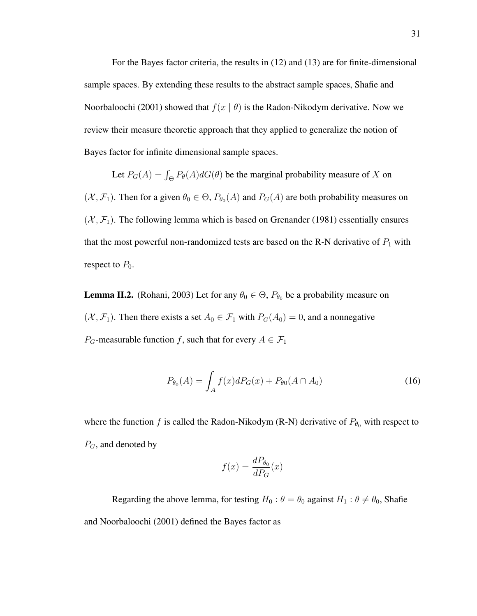For the Bayes factor criteria, the results in (12) and (13) are for finite-dimensional sample spaces. By extending these results to the abstract sample spaces, Shafie and Noorbaloochi (2001) showed that  $f(x | \theta)$  is the Radon-Nikodym derivative. Now we review their measure theoretic approach that they applied to generalize the notion of Bayes factor for infinite dimensional sample spaces.

Let  $P_G(A) = \int_{\Theta} P_{\theta}(A) dG(\theta)$  be the marginal probability measure of X on  $(X, \mathcal{F}_1)$ . Then for a given  $\theta_0 \in \Theta$ ,  $P_{\theta_0}(A)$  and  $P_G(A)$  are both probability measures on  $(X, \mathcal{F}_1)$ . The following lemma which is based on Grenander (1981) essentially ensures that the most powerful non-randomized tests are based on the R-N derivative of  $P_1$  with respect to  $P_0$ .

**Lemma II.2.** (Rohani, 2003) Let for any  $\theta_0 \in \Theta$ ,  $P_{\theta_0}$  be a probability measure on  $(X, \mathcal{F}_1)$ . Then there exists a set  $A_0 \in \mathcal{F}_1$  with  $P_G(A_0) = 0$ , and a nonnegative  $P_G$ -measurable function f, such that for every  $A \in \mathcal{F}_1$ 

$$
P_{\theta_0}(A) = \int_A f(x)dP_G(x) + P_{\theta_0}(A \cap A_0)
$$
\n(16)

where the function f is called the Radon-Nikodym (R-N) derivative of  $P_{\theta_0}$  with respect to  $P_G$ , and denoted by

$$
f(x) = \frac{dP_{\theta_0}}{dP_G}(x)
$$

Regarding the above lemma, for testing  $H_0$  :  $\theta = \theta_0$  against  $H_1$  :  $\theta \neq \theta_0$ , Shafie and Noorbaloochi (2001) defined the Bayes factor as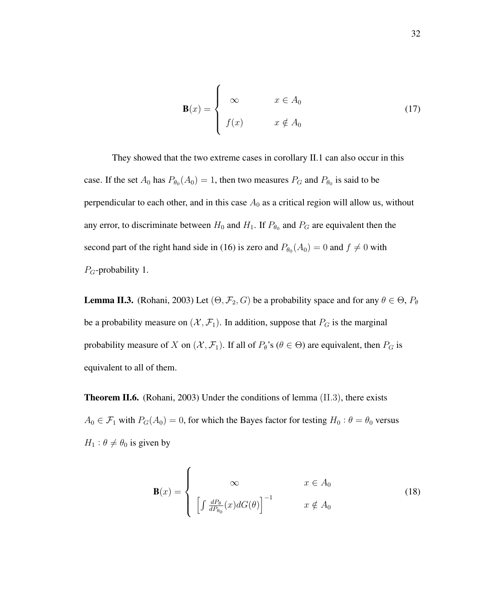$$
\mathbf{B}(x) = \begin{cases} \infty & x \in A_0 \\ f(x) & x \notin A_0 \end{cases}
$$
 (17)

They showed that the two extreme cases in corollary II.1 can also occur in this case. If the set  $A_0$  has  $P_{\theta_0}(A_0) = 1$ , then two measures  $P_G$  and  $P_{\theta_0}$  is said to be perpendicular to each other, and in this case  $A_0$  as a critical region will allow us, without any error, to discriminate between  $H_0$  and  $H_1$ . If  $P_{\theta_0}$  and  $P_G$  are equivalent then the second part of the right hand side in (16) is zero and  $P_{\theta_0}(A_0) = 0$  and  $f \neq 0$  with  $P_G$ -probability 1.

**Lemma II.3.** (Rohani, 2003) Let  $(\Theta, \mathcal{F}_2, G)$  be a probability space and for any  $\theta \in \Theta$ ,  $P_{\theta}$ be a probability measure on  $(\mathcal{X}, \mathcal{F}_1)$ . In addition, suppose that  $P_G$  is the marginal probability measure of X on  $(X, \mathcal{F}_1)$ . If all of  $P_\theta$ 's  $(\theta \in \Theta)$  are equivalent, then  $P_G$  is equivalent to all of them.

Theorem II.6. (Rohani, 2003) Under the conditions of lemma (II.3), there exists  $A_0 \in \mathcal{F}_1$  with  $P_G(A_0) = 0$ , for which the Bayes factor for testing  $H_0: \theta = \theta_0$  versus  $H_1$ :  $\theta \neq \theta_0$  is given by

$$
\mathbf{B}(x) = \begin{cases} \infty & x \in A_0 \\ \left[ \int \frac{dP_{\theta}}{dP_{\theta_0}}(x) dG(\theta) \right]^{-1} & x \notin A_0 \end{cases}
$$
 (18)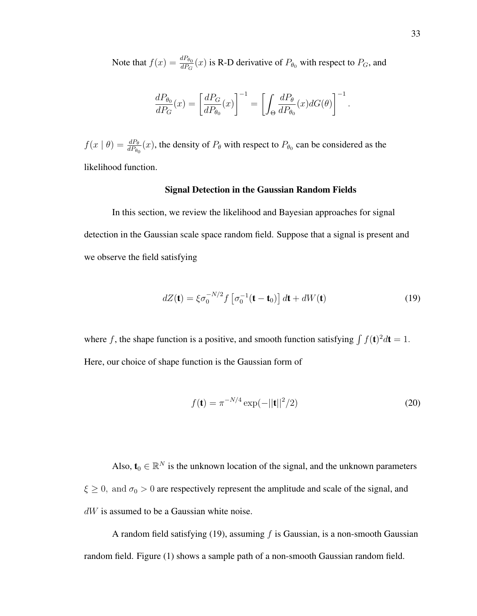Note that  $f(x) = \frac{dP_{\theta_0}}{dP_G}(x)$  is R-D derivative of  $P_{\theta_0}$  with respect to  $P_G$ , and

$$
\frac{dP_{\theta_0}}{dP_G}(x) = \left[\frac{dP_G}{dP_{\theta_0}}(x)\right]^{-1} = \left[\int_{\Theta} \frac{dP_{\theta}}{dP_{\theta_0}}(x) dG(\theta)\right]^{-1}.
$$

 $f(x | \theta) = \frac{dP_{\theta}}{dP_{\theta_0}}(x)$ , the density of  $P_{\theta}$  with respect to  $P_{\theta_0}$  can be considered as the likelihood function.

#### Signal Detection in the Gaussian Random Fields

In this section, we review the likelihood and Bayesian approaches for signal detection in the Gaussian scale space random field. Suppose that a signal is present and we observe the field satisfying

$$
dZ(\mathbf{t}) = \xi \sigma_0^{-N/2} f \left[ \sigma_0^{-1}(\mathbf{t} - \mathbf{t}_0) \right] d\mathbf{t} + dW(\mathbf{t}) \tag{19}
$$

where f, the shape function is a positive, and smooth function satisfying  $\int f(\mathbf{t})^2 d\mathbf{t} = 1$ . Here, our choice of shape function is the Gaussian form of

$$
f(\mathbf{t}) = \pi^{-N/4} \exp(-||\mathbf{t}||^2/2)
$$
 (20)

Also,  $\mathbf{t}_0 \in \mathbb{R}^N$  is the unknown location of the signal, and the unknown parameters  $\xi \geq 0$ , and  $\sigma_0 > 0$  are respectively represent the amplitude and scale of the signal, and  $dW$  is assumed to be a Gaussian white noise.

A random field satisfying (19), assuming  $f$  is Gaussian, is a non-smooth Gaussian random field. Figure (1) shows a sample path of a non-smooth Gaussian random field.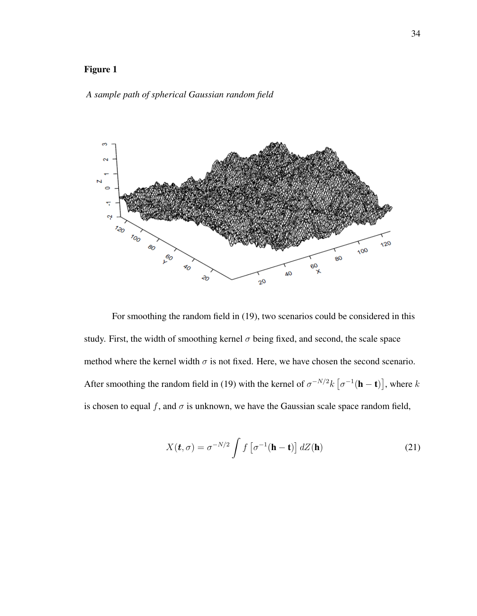# Figure 1

### *A sample path of spherical Gaussian random field*



For smoothing the random field in (19), two scenarios could be considered in this study. First, the width of smoothing kernel  $\sigma$  being fixed, and second, the scale space method where the kernel width  $\sigma$  is not fixed. Here, we have chosen the second scenario. After smoothing the random field in (19) with the kernel of  $\sigma^{-N/2}k \left[ \sigma^{-1}(\mathbf{h}-\mathbf{t}) \right]$ , where k is chosen to equal f, and  $\sigma$  is unknown, we have the Gaussian scale space random field,

$$
X(\boldsymbol{t}, \sigma) = \sigma^{-N/2} \int f\left[\sigma^{-1}(\mathbf{h} - \mathbf{t})\right] dZ(\mathbf{h}) \tag{21}
$$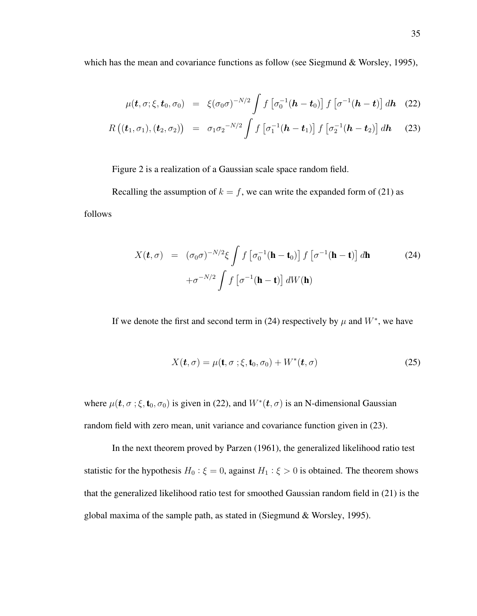which has the mean and covariance functions as follow (see Siegmund & Worsley, 1995),

$$
\mu(\boldsymbol{t},\sigma;\xi,\boldsymbol{t}_0,\sigma_0) = \xi(\sigma_0\sigma)^{-N/2} \int f\left[\sigma_0^{-1}(\boldsymbol{h}-\boldsymbol{t}_0)\right] f\left[\sigma^{-1}(\boldsymbol{h}-\boldsymbol{t})\right] d\boldsymbol{h}
$$
 (22)

$$
R((\boldsymbol{t}_{1}, \sigma_{1}), (\boldsymbol{t}_{2}, \sigma_{2})) = \sigma_{1} \sigma_{2}^{-N/2} \int f\left[\sigma_{1}^{-1}(\boldsymbol{h} - \boldsymbol{t}_{1})\right] f\left[\sigma_{2}^{-1}(\boldsymbol{h} - \boldsymbol{t}_{2})\right] d\boldsymbol{h} \quad (23)
$$

Figure 2 is a realization of a Gaussian scale space random field.

Recalling the assumption of  $k = f$ , we can write the expanded form of (21) as

follows

$$
X(\mathbf{t}, \sigma) = (\sigma_0 \sigma)^{-N/2} \xi \int f \left[ \sigma_0^{-1} (\mathbf{h} - \mathbf{t}_0) \right] f \left[ \sigma^{-1} (\mathbf{h} - \mathbf{t}) \right] d\mathbf{h}
$$
(24)  
 
$$
+ \sigma^{-N/2} \int f \left[ \sigma^{-1} (\mathbf{h} - \mathbf{t}) \right] dW(\mathbf{h})
$$

If we denote the first and second term in (24) respectively by  $\mu$  and  $W^*$ , we have

$$
X(\mathbf{t}, \sigma) = \mu(\mathbf{t}, \sigma; \xi, \mathbf{t}_0, \sigma_0) + W^*(\mathbf{t}, \sigma)
$$
 (25)

where  $\mu(\mathbf{t}, \sigma; \xi, \mathbf{t}_0, \sigma_0)$  is given in (22), and  $W^*(\mathbf{t}, \sigma)$  is an N-dimensional Gaussian random field with zero mean, unit variance and covariance function given in (23).

In the next theorem proved by Parzen (1961), the generalized likelihood ratio test statistic for the hypothesis  $H_0: \xi = 0$ , against  $H_1: \xi > 0$  is obtained. The theorem shows that the generalized likelihood ratio test for smoothed Gaussian random field in (21) is the global maxima of the sample path, as stated in (Siegmund & Worsley, 1995).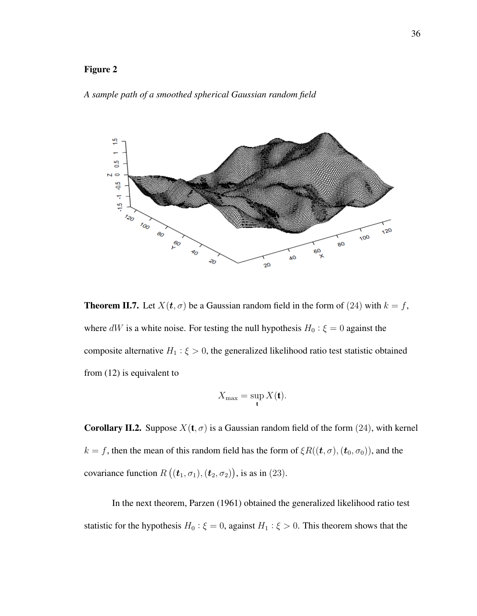## Figure 2





**Theorem II.7.** Let  $X(t, \sigma)$  be a Gaussian random field in the form of (24) with  $k = f$ , where dW is a white noise. For testing the null hypothesis  $H_0: \xi = 0$  against the composite alternative  $H_1$ :  $\xi > 0$ , the generalized likelihood ratio test statistic obtained from (12) is equivalent to

$$
X_{\max} = \sup_{\mathbf{t}} X(\mathbf{t}).
$$

**Corollary II.2.** Suppose  $X(t, \sigma)$  is a Gaussian random field of the form (24), with kernel  $k = f$ , then the mean of this random field has the form of  $\xi R((t, \sigma), (t_0, \sigma_0))$ , and the covariance function  $R((t_1, \sigma_1), (t_2, \sigma_2))$ , is as in (23).

In the next theorem, Parzen (1961) obtained the generalized likelihood ratio test statistic for the hypothesis  $H_0: \xi = 0$ , against  $H_1: \xi > 0$ . This theorem shows that the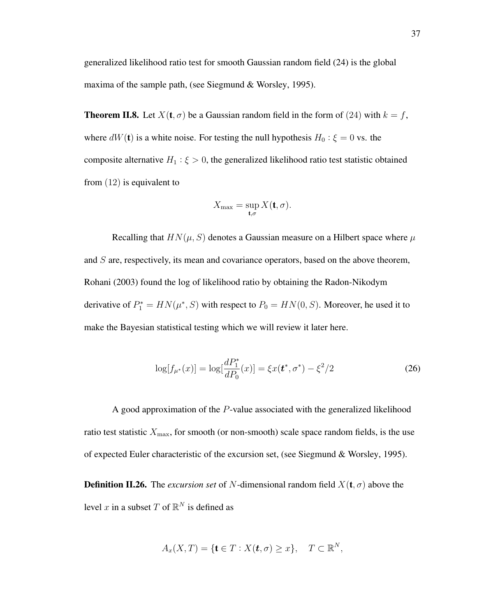generalized likelihood ratio test for smooth Gaussian random field (24) is the global maxima of the sample path, (see Siegmund & Worsley, 1995).

**Theorem II.8.** Let  $X(t, \sigma)$  be a Gaussian random field in the form of (24) with  $k = f$ , where  $dW(t)$  is a white noise. For testing the null hypothesis  $H_0: \xi = 0$  vs. the composite alternative  $H_1: \xi > 0$ , the generalized likelihood ratio test statistic obtained from (12) is equivalent to

$$
X_{\max} = \sup_{\mathbf{t},\sigma} X(\mathbf{t},\sigma).
$$

Recalling that  $HN(\mu, S)$  denotes a Gaussian measure on a Hilbert space where  $\mu$ and  $S$  are, respectively, its mean and covariance operators, based on the above theorem, Rohani (2003) found the log of likelihood ratio by obtaining the Radon-Nikodym derivative of  $P_1^* = HN(\mu^*, S)$  with respect to  $P_0 = HN(0, S)$ . Moreover, he used it to make the Bayesian statistical testing which we will review it later here.

$$
\log[f_{\mu^*}(x)] = \log[\frac{dP_1^*}{dP_0}(x)] = \xi x(t^*, \sigma^*) - \xi^2/2
$$
\n(26)

A good approximation of the P-value associated with the generalized likelihood ratio test statistic  $X_{\text{max}}$ , for smooth (or non-smooth) scale space random fields, is the use of expected Euler characteristic of the excursion set, (see Siegmund & Worsley, 1995).

**Definition II.26.** The *excursion set* of N-dimensional random field  $X(t, \sigma)$  above the level x in a subset T of  $\mathbb{R}^N$  is defined as

$$
A_x(X,T) = \{ \mathbf{t} \in T : X(\mathbf{t}, \sigma) \ge x \}, \quad T \subset \mathbb{R}^N,
$$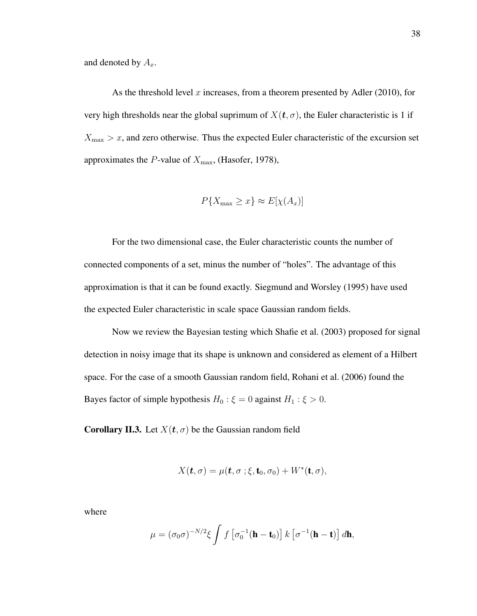and denoted by  $A_x$ .

As the threshold level  $x$  increases, from a theorem presented by Adler (2010), for very high thresholds near the global suprimum of  $X(t, \sigma)$ , the Euler characteristic is 1 if  $X_{\text{max}} > x$ , and zero otherwise. Thus the expected Euler characteristic of the excursion set approximates the P-value of  $X_{\text{max}}$ , (Hasofer, 1978),

$$
P\{X_{\max} \ge x\} \approx E[\chi(A_x)]
$$

For the two dimensional case, the Euler characteristic counts the number of connected components of a set, minus the number of "holes". The advantage of this approximation is that it can be found exactly. Siegmund and Worsley (1995) have used the expected Euler characteristic in scale space Gaussian random fields.

Now we review the Bayesian testing which Shafie et al. (2003) proposed for signal detection in noisy image that its shape is unknown and considered as element of a Hilbert space. For the case of a smooth Gaussian random field, Rohani et al. (2006) found the Bayes factor of simple hypothesis  $H_0: \xi = 0$  against  $H_1: \xi > 0$ .

**Corollary II.3.** Let  $X(t, \sigma)$  be the Gaussian random field

$$
X(\mathbf{t}, \sigma) = \mu(\mathbf{t}, \sigma; \xi, \mathbf{t}_0, \sigma_0) + W^*(\mathbf{t}, \sigma),
$$

where

$$
\mu = (\sigma_0 \sigma)^{-N/2} \xi \int f \left[ \sigma_0^{-1} (\mathbf{h} - \mathbf{t}_0) \right] k \left[ \sigma^{-1} (\mathbf{h} - \mathbf{t}) \right] d\mathbf{h},
$$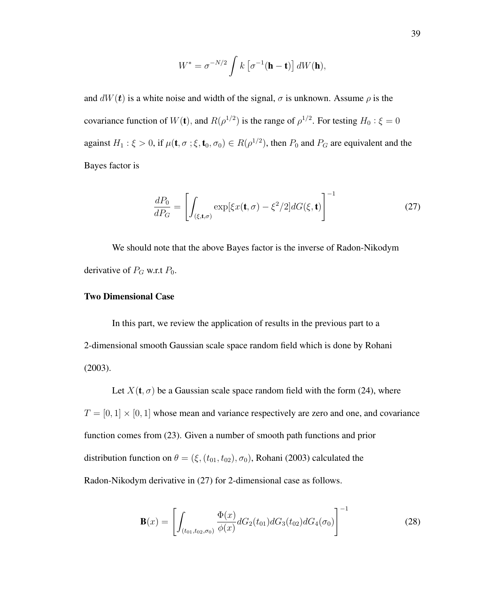$$
W^* = \sigma^{-N/2} \int k \left[ \sigma^{-1}(\mathbf{h} - \mathbf{t}) \right] dW(\mathbf{h}),
$$

and  $dW(t)$  is a white noise and width of the signal,  $\sigma$  is unknown. Assume  $\rho$  is the covariance function of  $W(\mathbf{t})$ , and  $R(\rho^{1/2})$  is the range of  $\rho^{1/2}$ . For testing  $H_0: \xi = 0$ against  $H_1: \xi > 0$ , if  $\mu(\mathbf{t}, \sigma; \xi, \mathbf{t}_0, \sigma_0) \in R(\rho^{1/2})$ , then  $P_0$  and  $P_G$  are equivalent and the Bayes factor is

$$
\frac{dP_0}{dP_G} = \left[ \int_{(\xi, \mathbf{t}, \sigma)} \exp[\xi x(\mathbf{t}, \sigma) - \xi^2 / 2] dG(\xi, \mathbf{t}) \right]^{-1} \tag{27}
$$

We should note that the above Bayes factor is the inverse of Radon-Nikodym derivative of  $P_G$  w.r.t  $P_0$ .

## Two Dimensional Case

In this part, we review the application of results in the previous part to a 2-dimensional smooth Gaussian scale space random field which is done by Rohani (2003).

Let  $X(t, \sigma)$  be a Gaussian scale space random field with the form (24), where  $T = [0, 1] \times [0, 1]$  whose mean and variance respectively are zero and one, and covariance function comes from (23). Given a number of smooth path functions and prior distribution function on  $\theta = (\xi, (t_{01}, t_{02}), \sigma_0)$ , Rohani (2003) calculated the Radon-Nikodym derivative in (27) for 2-dimensional case as follows.

$$
\mathbf{B}(x) = \left[ \int_{(t_{01}, t_{02}, \sigma_0)} \frac{\Phi(x)}{\phi(x)} dG_2(t_{01}) dG_3(t_{02}) dG_4(\sigma_0) \right]^{-1} \tag{28}
$$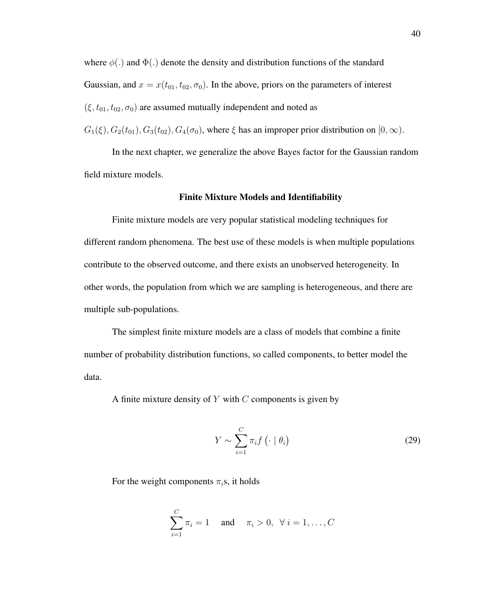where  $\phi(.)$  and  $\Phi(.)$  denote the density and distribution functions of the standard Gaussian, and  $x = x(t_{01}, t_{02}, \sigma_0)$ . In the above, priors on the parameters of interest  $(\xi, t_{01}, t_{02}, \sigma_0)$  are assumed mutually independent and noted as

 $G_1(\xi), G_2(t_{01}), G_3(t_{02}), G_4(\sigma_0)$ , where  $\xi$  has an improper prior distribution on  $[0, \infty)$ .

In the next chapter, we generalize the above Bayes factor for the Gaussian random field mixture models.

#### Finite Mixture Models and Identifiability

Finite mixture models are very popular statistical modeling techniques for different random phenomena. The best use of these models is when multiple populations contribute to the observed outcome, and there exists an unobserved heterogeneity. In other words, the population from which we are sampling is heterogeneous, and there are multiple sub-populations.

The simplest finite mixture models are a class of models that combine a finite number of probability distribution functions, so called components, to better model the data.

A finite mixture density of  $Y$  with  $C$  components is given by

$$
Y \sim \sum_{i=1}^{C} \pi_i f\left(\cdot \mid \theta_i\right) \tag{29}
$$

For the weight components  $\pi_i$ s, it holds

$$
\sum_{i=1}^{C} \pi_i = 1 \text{ and } \pi_i > 0, \ \forall \ i = 1, ..., C
$$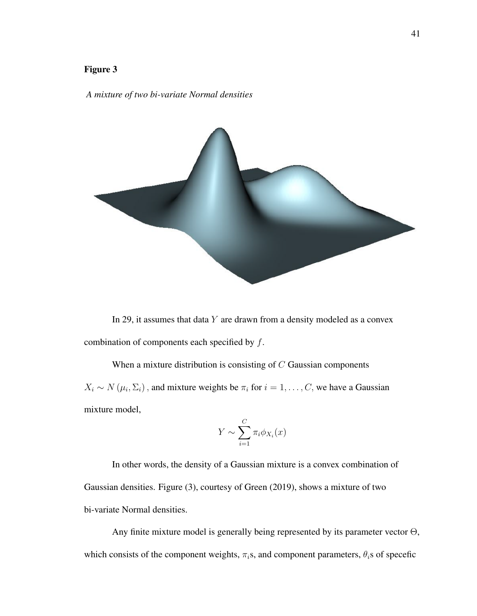## Figure 3

#### *A mixture of two bi-variate Normal densities*



In 29, it assumes that data  $Y$  are drawn from a density modeled as a convex combination of components each specified by  $f$ .

When a mixture distribution is consisting of  $C$  Gaussian components  $X_i \sim N(\mu_i, \Sigma_i)$ , and mixture weights be  $\pi_i$  for  $i = 1, \dots, C$ , we have a Gaussian mixture model,

$$
Y \sim \sum_{i=1}^{C} \pi_i \phi_{X_i}(x)
$$

In other words, the density of a Gaussian mixture is a convex combination of Gaussian densities. Figure (3), courtesy of Green (2019), shows a mixture of two bi-variate Normal densities.

Any finite mixture model is generally being represented by its parameter vector  $\Theta$ , which consists of the component weights,  $\pi_i$ s, and component parameters,  $\theta_i$ s of specefic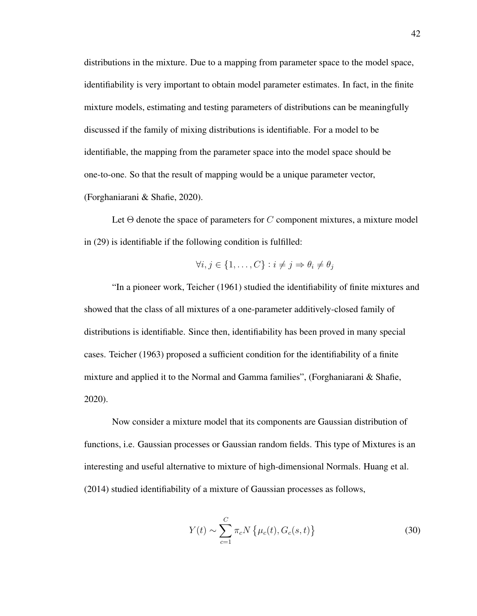distributions in the mixture. Due to a mapping from parameter space to the model space, identifiability is very important to obtain model parameter estimates. In fact, in the finite mixture models, estimating and testing parameters of distributions can be meaningfully discussed if the family of mixing distributions is identifiable. For a model to be identifiable, the mapping from the parameter space into the model space should be one-to-one. So that the result of mapping would be a unique parameter vector, (Forghaniarani & Shafie, 2020).

Let  $\Theta$  denote the space of parameters for C component mixtures, a mixture model in (29) is identifiable if the following condition is fulfilled:

$$
\forall i, j \in \{1, \dots, C\} : i \neq j \Rightarrow \theta_i \neq \theta_j
$$

"In a pioneer work, Teicher (1961) studied the identifiability of finite mixtures and showed that the class of all mixtures of a one-parameter additively-closed family of distributions is identifiable. Since then, identifiability has been proved in many special cases. Teicher (1963) proposed a sufficient condition for the identifiability of a finite mixture and applied it to the Normal and Gamma families", (Forghaniarani & Shafie, 2020).

Now consider a mixture model that its components are Gaussian distribution of functions, i.e. Gaussian processes or Gaussian random fields. This type of Mixtures is an interesting and useful alternative to mixture of high-dimensional Normals. Huang et al. (2014) studied identifiability of a mixture of Gaussian processes as follows,

$$
Y(t) \sim \sum_{c=1}^{C} \pi_c N \{ \mu_c(t), G_c(s, t) \}
$$
 (30)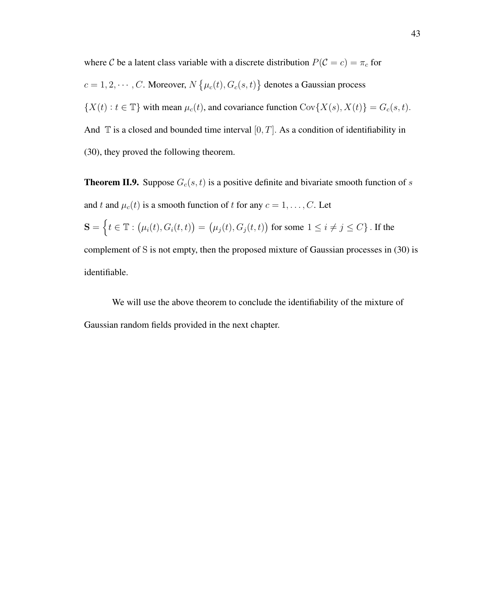where C be a latent class variable with a discrete distribution  $P(C = c) = \pi_c$  for  $c = 1, 2, \dots, C$ . Moreover,  $N\left\{\mu_c(t), G_c(s, t)\right\}$  denotes a Gaussian process  $\{X(t): t \in \mathbb{T}\}\$  with mean  $\mu_c(t)$ , and covariance function  $Cov\{X(s), X(t)\} = G_c(s, t)$ . And  $\mathbb T$  is a closed and bounded time interval  $[0, T]$ . As a condition of identifiability in (30), they proved the following theorem.

**Theorem II.9.** Suppose  $G_c(s, t)$  is a positive definite and bivariate smooth function of s and t and  $\mu_c(t)$  is a smooth function of t for any  $c = 1, \ldots, C$ . Let  $\mathbf{S} = \left\{t \in \mathbb{T}: \big(\mu_i(t), G_i(t, t)\big) = \big(\mu_j(t), G_j(t, t)\big) \text{ for some } 1 \leq i \neq j \leq C\right\}.$  If the complement of S is not empty, then the proposed mixture of Gaussian processes in (30) is identifiable.

We will use the above theorem to conclude the identifiability of the mixture of Gaussian random fields provided in the next chapter.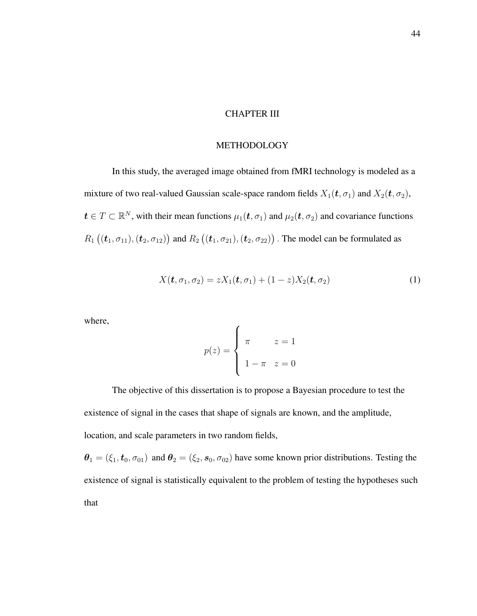### CHAPTER III

## METHODOLOGY

In this study, the averaged image obtained from fMRI technology is modeled as a mixture of two real-valued Gaussian scale-space random fields  $X_1(t, \sigma_1)$  and  $X_2(t, \sigma_2)$ ,  $t \in T \subset \mathbb{R}^N$ , with their mean functions  $\mu_1(\mathbf{t}, \sigma_1)$  and  $\mu_2(\mathbf{t}, \sigma_2)$  and covariance functions  $R_1 ((t_1, \sigma_{11}), (t_2, \sigma_{12}))$  and  $R_2 ((t_1, \sigma_{21}), (t_2, \sigma_{22}))$  . The model can be formulated as

$$
X(\boldsymbol{t}, \sigma_1, \sigma_2) = zX_1(\boldsymbol{t}, \sigma_1) + (1 - z)X_2(\boldsymbol{t}, \sigma_2)
$$
\n<sup>(1)</sup>

where,

$$
p(z) = \begin{cases} \pi & z = 1 \\ 1 - \pi & z = 0 \end{cases}
$$

The objective of this dissertation is to propose a Bayesian procedure to test the existence of signal in the cases that shape of signals are known, and the amplitude, location, and scale parameters in two random fields,

 $\theta_1 = (\xi_1, t_0, \sigma_{01})$  and  $\theta_2 = (\xi_2, s_0, \sigma_{02})$  have some known prior distributions. Testing the existence of signal is statistically equivalent to the problem of testing the hypotheses such that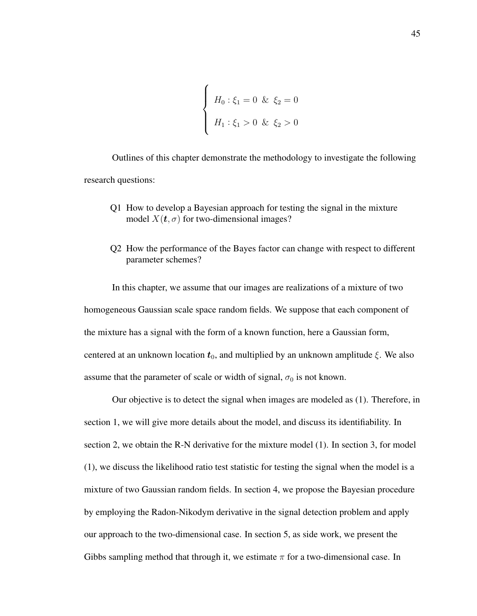$$
\begin{cases}\nH_0: \xi_1 = 0 & \& \xi_2 = 0 \\
H_1: \xi_1 > 0 & \& \xi_2 > 0\n\end{cases}
$$

Outlines of this chapter demonstrate the methodology to investigate the following research questions:

- Q1 How to develop a Bayesian approach for testing the signal in the mixture model  $X(t, \sigma)$  for two-dimensional images?
- Q2 How the performance of the Bayes factor can change with respect to different parameter schemes?

In this chapter, we assume that our images are realizations of a mixture of two homogeneous Gaussian scale space random fields. We suppose that each component of the mixture has a signal with the form of a known function, here a Gaussian form, centered at an unknown location  $t_0$ , and multiplied by an unknown amplitude ξ. We also assume that the parameter of scale or width of signal,  $\sigma_0$  is not known.

Our objective is to detect the signal when images are modeled as (1). Therefore, in section 1, we will give more details about the model, and discuss its identifiability. In section 2, we obtain the R-N derivative for the mixture model (1). In section 3, for model (1), we discuss the likelihood ratio test statistic for testing the signal when the model is a mixture of two Gaussian random fields. In section 4, we propose the Bayesian procedure by employing the Radon-Nikodym derivative in the signal detection problem and apply our approach to the two-dimensional case. In section 5, as side work, we present the Gibbs sampling method that through it, we estimate  $\pi$  for a two-dimensional case. In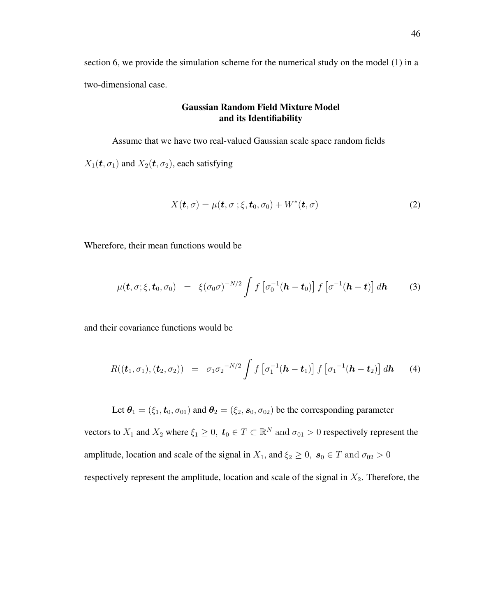section 6, we provide the simulation scheme for the numerical study on the model (1) in a two-dimensional case.

# Gaussian Random Field Mixture Model and its Identifiability

Assume that we have two real-valued Gaussian scale space random fields  $X_1(t, \sigma_1)$  and  $X_2(t, \sigma_2)$ , each satisfying

$$
X(\boldsymbol{t},\sigma) = \mu(\boldsymbol{t},\sigma\ ; \xi,\boldsymbol{t}_0,\sigma_0) + W^*(\boldsymbol{t},\sigma) \tag{2}
$$

Wherefore, their mean functions would be

$$
\mu(\boldsymbol{t},\sigma;\xi,\boldsymbol{t}_0,\sigma_0) = \xi(\sigma_0\sigma)^{-N/2} \int f\left[\sigma_0^{-1}(\boldsymbol{h}-\boldsymbol{t}_0)\right] f\left[\sigma^{-1}(\boldsymbol{h}-\boldsymbol{t})\right] d\boldsymbol{h} \qquad (3)
$$

and their covariance functions would be

$$
R((\boldsymbol{t}_{1},\sigma_{1}),(\boldsymbol{t}_{2},\sigma_{2})) = \sigma_{1}\sigma_{2}^{-N/2} \int f\left[\sigma_{1}^{-1}(\boldsymbol{h}-\boldsymbol{t}_{1})\right] f\left[\sigma_{1}^{-1}(\boldsymbol{h}-\boldsymbol{t}_{2})\right] d\boldsymbol{h} \qquad (4)
$$

Let  $\theta_1 = (\xi_1, t_0, \sigma_{01})$  and  $\theta_2 = (\xi_2, s_0, \sigma_{02})$  be the corresponding parameter

vectors to  $X_1$  and  $X_2$  where  $\xi_1 \geq 0$ ,  $t_0 \in T \subset \mathbb{R}^N$  and  $\sigma_{01} > 0$  respectively represent the amplitude, location and scale of the signal in  $X_1$ , and  $\xi_2 \geq 0$ ,  $s_0 \in T$  and  $\sigma_{02} > 0$ respectively represent the amplitude, location and scale of the signal in  $X_2$ . Therefore, the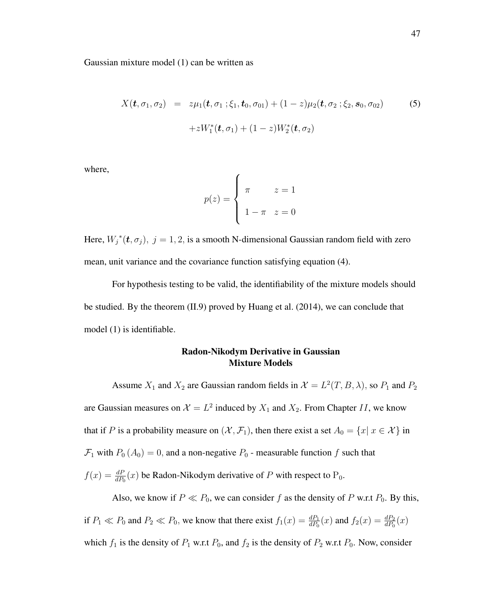Gaussian mixture model (1) can be written as

$$
X(\boldsymbol{t}, \sigma_1, \sigma_2) = z \mu_1(\boldsymbol{t}, \sigma_1; \xi_1, \boldsymbol{t}_0, \sigma_{01}) + (1 - z) \mu_2(\boldsymbol{t}, \sigma_2; \xi_2, \boldsymbol{s}_0, \sigma_{02})
$$
(5)  
+ zW<sub>1</sub><sup>\*</sup>( $\boldsymbol{t}, \sigma_1$ ) + (1 - z)W<sub>2</sub><sup>\*</sup>( $\boldsymbol{t}, \sigma_2$ )

where,

$$
p(z) = \begin{cases} \pi & z = 1 \\ 1 - \pi & z = 0 \end{cases}
$$

Here,  $W_j^*(t, \sigma_j)$ ,  $j = 1, 2$ , is a smooth N-dimensional Gaussian random field with zero mean, unit variance and the covariance function satisfying equation (4).

For hypothesis testing to be valid, the identifiability of the mixture models should be studied. By the theorem (II.9) proved by Huang et al. (2014), we can conclude that model (1) is identifiable.

# Radon-Nikodym Derivative in Gaussian Mixture Models

Assume  $X_1$  and  $X_2$  are Gaussian random fields in  $\mathcal{X} = L^2(T, B, \lambda)$ , so  $P_1$  and  $P_2$ are Gaussian measures on  $\mathcal{X} = L^2$  induced by  $X_1$  and  $X_2$ . From Chapter II, we know that if P is a probability measure on  $(\mathcal{X}, \mathcal{F}_1)$ , then there exist a set  $A_0 = \{x | x \in \mathcal{X}\}\$ in  $\mathcal{F}_1$  with  $P_0$  ( $A_0$ ) = 0, and a non-negative  $P_0$  - measurable function f such that  $f(x) = \frac{dP}{dP_0}(x)$  be Radon-Nikodym derivative of P with respect to P<sub>0</sub>.

Also, we know if  $P \ll P_0$ , we can consider f as the density of P w.r.t  $P_0$ . By this, if  $P_1 \ll P_0$  and  $P_2 \ll P_0$ , we know that there exist  $f_1(x) = \frac{dP_1}{dP_0}(x)$  and  $f_2(x) = \frac{dP_2}{dP_0}(x)$ which  $f_1$  is the density of  $P_1$  w.r.t  $P_0$ , and  $f_2$  is the density of  $P_2$  w.r.t  $P_0$ . Now, consider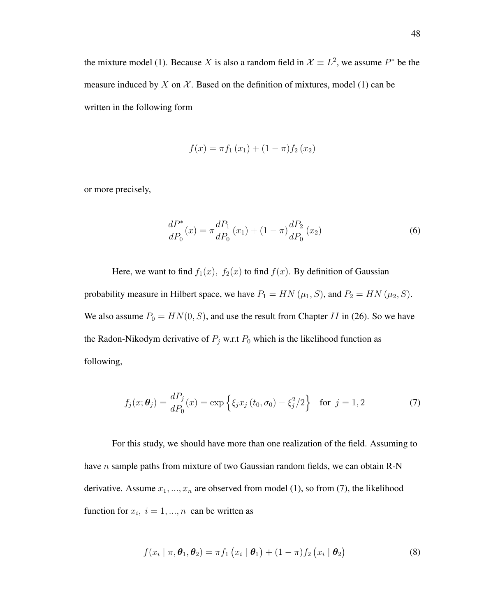the mixture model (1). Because X is also a random field in  $\mathcal{X} \equiv L^2$ , we assume  $P^*$  be the measure induced by X on  $\mathcal X$ . Based on the definition of mixtures, model (1) can be written in the following form

$$
f(x) = \pi f_1(x_1) + (1 - \pi) f_2(x_2)
$$

or more precisely,

$$
\frac{dP^*}{dP_0}(x) = \pi \frac{dP_1}{dP_0}(x_1) + (1 - \pi) \frac{dP_2}{dP_0}(x_2)
$$
\n(6)

Here, we want to find  $f_1(x)$ ,  $f_2(x)$  to find  $f(x)$ . By definition of Gaussian probability measure in Hilbert space, we have  $P_1 = HN(\mu_1, S)$ , and  $P_2 = HN(\mu_2, S)$ . We also assume  $P_0 = HN(0, S)$ , and use the result from Chapter II in (26). So we have the Radon-Nikodym derivative of  $P_j$  w.r.t  $P_0$  which is the likelihood function as following,

$$
f_j(x; \theta_j) = \frac{dP_j}{dP_0}(x) = \exp\left\{\xi_j x_j(t_0, \sigma_0) - \xi_j^2/2\right\} \text{ for } j = 1, 2
$$
 (7)

For this study, we should have more than one realization of the field. Assuming to have *n* sample paths from mixture of two Gaussian random fields, we can obtain R-N derivative. Assume  $x_1, ..., x_n$  are observed from model (1), so from (7), the likelihood function for  $x_i$ ,  $i = 1, ..., n$  can be written as

$$
f(x_i \mid \pi, \boldsymbol{\theta}_1, \boldsymbol{\theta}_2) = \pi f_1(x_i \mid \boldsymbol{\theta}_1) + (1 - \pi) f_2(x_i \mid \boldsymbol{\theta}_2)
$$
(8)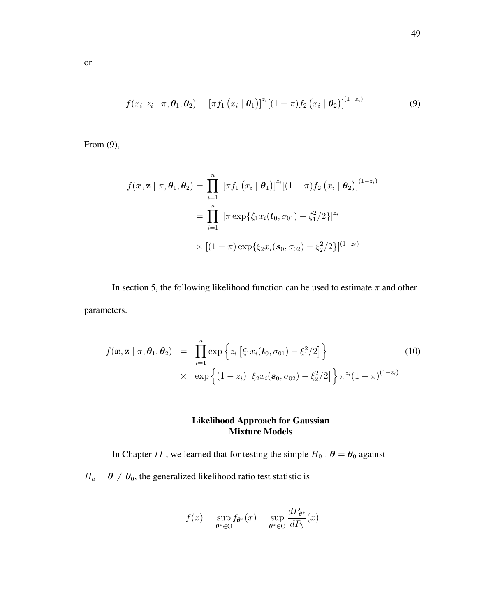$$
f(x_i, z_i \mid \pi, \boldsymbol{\theta}_1, \boldsymbol{\theta}_2) = \left[ \pi f_1 \left( x_i \mid \boldsymbol{\theta}_1 \right) \right]^{z_i} \left[ (1 - \pi) f_2 \left( x_i \mid \boldsymbol{\theta}_2 \right) \right]^{(1 - z_i)} \tag{9}
$$

From (9),

$$
f(\mathbf{x}, \mathbf{z} \mid \pi, \boldsymbol{\theta}_1, \boldsymbol{\theta}_2) = \prod_{i=1}^n [\pi f_1 (x_i \mid \boldsymbol{\theta}_1)]^{z_i} [(1-\pi) f_2 (x_i \mid \boldsymbol{\theta}_2)]^{(1-z_i)}
$$
  
= 
$$
\prod_{i=1}^n [\pi \exp\{\xi_1 x_i(\boldsymbol{t}_0, \sigma_{01}) - \xi_1^2/2\}]^{z_i}
$$
  

$$
\times [(1-\pi) \exp\{\xi_2 x_i(\boldsymbol{s}_0, \sigma_{02}) - \xi_2^2/2\}]^{(1-z_i)}
$$

In section 5, the following likelihood function can be used to estimate  $\pi$  and other parameters.

$$
f(\mathbf{x}, \mathbf{z} \mid \pi, \theta_1, \theta_2) = \prod_{i=1}^n \exp \left\{ z_i \left[ \xi_1 x_i(t_0, \sigma_{01}) - \xi_1^2 / 2 \right] \right\} \times \exp \left\{ (1 - z_i) \left[ \xi_2 x_i(s_0, \sigma_{02}) - \xi_2^2 / 2 \right] \right\} \pi^{z_i} (1 - \pi)^{(1 - z_i)}
$$
\n(10)

# Likelihood Approach for Gaussian Mixture Models

In Chapter II, we learned that for testing the simple  $H_0$ :  $\boldsymbol{\theta} = \boldsymbol{\theta}_0$  against

 $H_a = \theta \neq \theta_0$ , the generalized likelihood ratio test statistic is

$$
f(x) = \sup_{\theta^* \in \Theta} f_{\theta^*}(x) = \sup_{\theta^* \in \Theta} \frac{dP_{\theta^*}}{dP_{\theta}}(x)
$$

or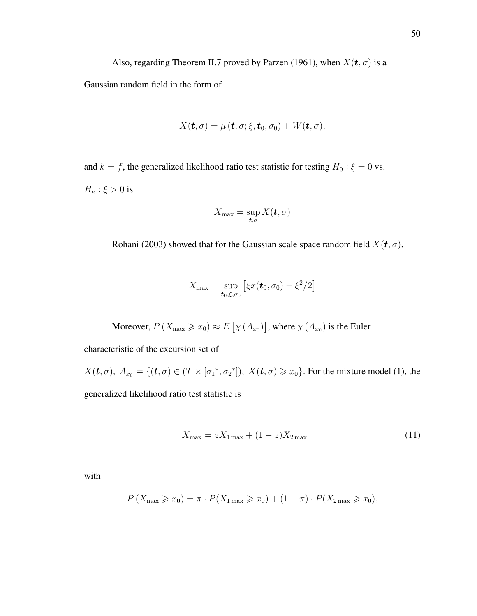Also, regarding Theorem II.7 proved by Parzen (1961), when  $X(t, \sigma)$  is a

Gaussian random field in the form of

$$
X(\boldsymbol{t},\sigma)=\mu\left(\boldsymbol{t},\sigma;\xi,\boldsymbol{t}_{0},\sigma_{0}\right)+W(\boldsymbol{t},\sigma),
$$

and  $k = f$ , the generalized likelihood ratio test statistic for testing  $H_0: \xi = 0$  vs.  $H_a: \xi > 0$  is

$$
X_{\max} = \sup_{\boldsymbol{t},\sigma} X(\boldsymbol{t},\sigma)
$$

Rohani (2003) showed that for the Gaussian scale space random field  $X(t, \sigma)$ ,

$$
X_{\max} = \sup_{\bm{t}_0, \xi, \sigma_0} [\xi x(\bm{t}_0, \sigma_0) - \xi^2/2]
$$

Moreover,  $P(X_{\text{max}} \geq x_0) \approx E\left[\chi(A_{x_0})\right]$ , where  $\chi(A_{x_0})$  is the Euler

characteristic of the excursion set of

 $X(\boldsymbol{t}, \sigma)$ ,  $A_{x_0} = \{(\boldsymbol{t}, \sigma) \in (T \times [\sigma_1^*, \sigma_2^*]), X(\boldsymbol{t}, \sigma) \geq x_0\}$ . For the mixture model (1), the generalized likelihood ratio test statistic is

$$
X_{\text{max}} = zX_{1\text{max}} + (1 - z)X_{2\text{max}} \tag{11}
$$

with

$$
P(X_{\max} \ge x_0) = \pi \cdot P(X_{1 \max} \ge x_0) + (1 - \pi) \cdot P(X_{2 \max} \ge x_0),
$$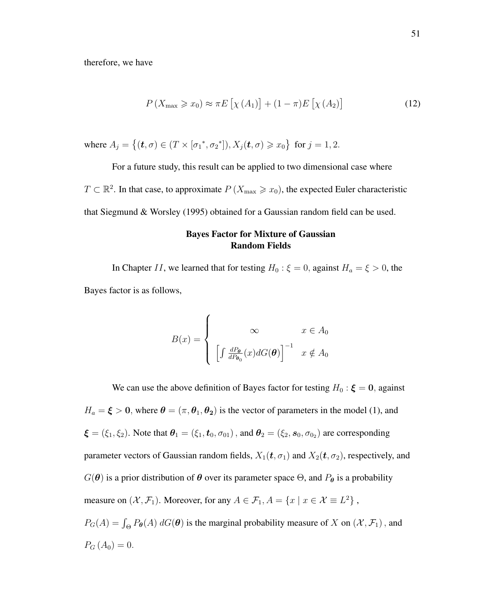therefore, we have

$$
P\left(X_{\max} \geqslant x_0\right) \approx \pi E\left[\chi\left(A_1\right)\right] + (1-\pi)E\left[\chi\left(A_2\right)\right] \tag{12}
$$

where  $A_j = \{ (\mathbf{t}, \sigma) \in (T \times [\sigma_1^*, \sigma_2^*]), X_j(\mathbf{t}, \sigma) \ge x_0 \}$  for  $j = 1, 2$ .

For a future study, this result can be applied to two dimensional case where

 $T \subset \mathbb{R}^2$ . In that case, to approximate  $P(X_{\text{max}} \geq x_0)$ , the expected Euler characteristic that Siegmund & Worsley (1995) obtained for a Gaussian random field can be used.

## Bayes Factor for Mixture of Gaussian Random Fields

In Chapter II, we learned that for testing  $H_0: \xi = 0$ , against  $H_a = \xi > 0$ , the Bayes factor is as follows,

$$
B(x) = \begin{cases} \infty & x \in A_0 \\ \left[ \int \frac{dP_{\theta}}{dP_{\theta_0}}(x) dG(\theta) \right]^{-1} & x \notin A_0 \end{cases}
$$

We can use the above definition of Bayes factor for testing  $H_0: \xi = 0$ , against  $H_a = \xi > 0$ , where  $\theta = (\pi, \theta_1, \theta_2)$  is the vector of parameters in the model (1), and  $\xi = (\xi_1, \xi_2)$ . Note that  $\theta_1 = (\xi_1, t_0, \sigma_{01})$ , and  $\theta_2 = (\xi_2, s_0, \sigma_{02})$  are corresponding parameter vectors of Gaussian random fields,  $X_1(t, \sigma_1)$  and  $X_2(t, \sigma_2)$ , respectively, and  $G(\theta)$  is a prior distribution of  $\theta$  over its parameter space  $\Theta$ , and  $P_{\theta}$  is a probability measure on  $(\mathcal{X}, \mathcal{F}_1)$ . Moreover, for any  $A \in \mathcal{F}_1$ ,  $A = \{x \mid x \in \mathcal{X} \equiv L^2\}$ ,  $P_G(A) = \int_{\Theta} P_{\theta}(A) dG(\theta)$  is the marginal probability measure of X on  $(\mathcal{X}, \mathcal{F}_1)$ , and  $P_{G} (A_{0}) = 0.$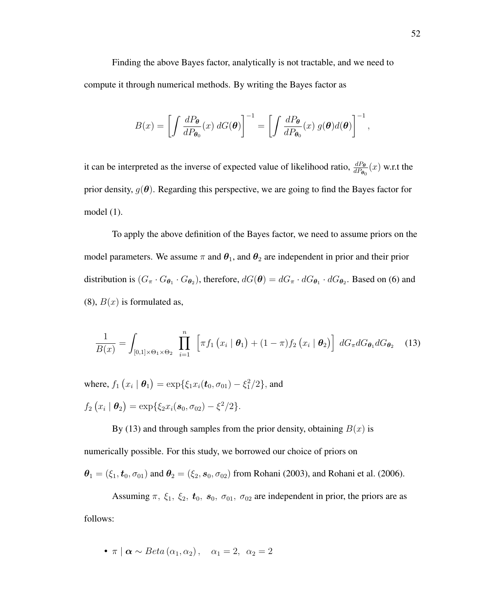Finding the above Bayes factor, analytically is not tractable, and we need to compute it through numerical methods. By writing the Bayes factor as

$$
B(x) = \left[ \int \frac{dP_{\theta}}{dP_{\theta_0}}(x) \ dG(\theta) \right]^{-1} = \left[ \int \frac{dP_{\theta}}{dP_{\theta_0}}(x) \ g(\theta) d(\theta) \right]^{-1},
$$

it can be interpreted as the inverse of expected value of likelihood ratio,  $\frac{dP_{\theta}}{dP_{\theta_0}}(x)$  w.r.t the prior density,  $g(\theta)$ . Regarding this perspective, we are going to find the Bayes factor for model (1).

To apply the above definition of the Bayes factor, we need to assume priors on the model parameters. We assume  $\pi$  and  $\theta_1$ , and  $\theta_2$  are independent in prior and their prior distribution is  $(G_\pi \cdot G_{\theta_1} \cdot G_{\theta_2})$ , therefore,  $dG(\theta) = dG_\pi \cdot dG_{\theta_1} \cdot dG_{\theta_2}$ . Based on (6) and  $(8)$ ,  $B(x)$  is formulated as,

$$
\frac{1}{B(x)} = \int_{[0,1] \times \Theta_1 \times \Theta_2} \prod_{i=1}^n \left[ \pi f_1 \left( x_i \mid \boldsymbol{\theta}_1 \right) + (1 - \pi) f_2 \left( x_i \mid \boldsymbol{\theta}_2 \right) \right] dG_{\pi} dG_{\boldsymbol{\theta}_1} dG_{\boldsymbol{\theta}_2} \quad (13)
$$

where,  $f_1(x_i | \theta_1) = \exp{\{\xi_1 x_i(t_0, \sigma_{01}) - \xi_1^2/2\}}$ , and  $f_2(x_i | \theta_2) = \exp{\{\xi_2 x_i(\mathbf{s}_0, \sigma_{02}) - \xi^2/2\}}.$ 

By (13) and through samples from the prior density, obtaining  $B(x)$  is

numerically possible. For this study, we borrowed our choice of priors on

 $\theta_1 = (\xi_1, t_0, \sigma_{01})$  and  $\theta_2 = (\xi_2, s_0, \sigma_{02})$  from Rohani (2003), and Rohani et al. (2006).

Assuming  $\pi$ ,  $\xi_1$ ,  $\xi_2$ ,  $t_0$ ,  $s_0$ ,  $\sigma_{01}$ ,  $\sigma_{02}$  are independent in prior, the priors are as follows:

• 
$$
\pi | \alpha \sim Beta(\alpha_1, \alpha_2), \quad \alpha_1 = 2, \ \alpha_2 = 2
$$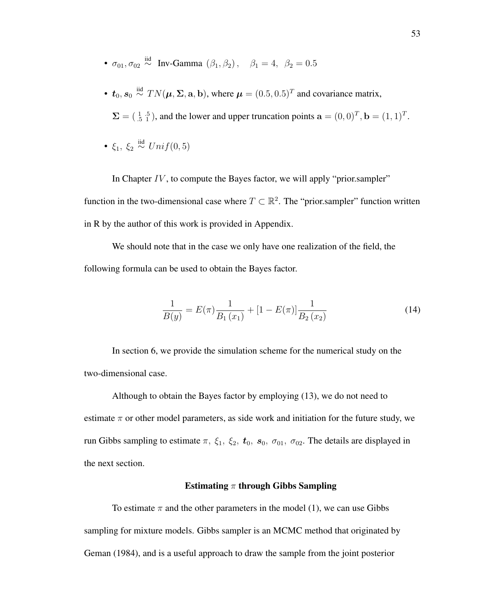- $\sigma_{01}, \sigma_{02} \stackrel{\text{iid}}{\sim} \text{Inv-Gamma } (\beta_1, \beta_2), \quad \beta_1 = 4, \ \beta_2 = 0.5$
- $t_0$ ,  $s_0 \stackrel{\text{iid}}{\sim} TN(\mu, \Sigma, \mathbf{a}, \mathbf{b})$ , where  $\mu = (0.5, 0.5)^T$  and covariance matrix,

 $\Sigma = (\begin{smallmatrix} 1 & .5 \\ .5 & 1 \end{smallmatrix})$ , and the lower and upper truncation points  $\mathbf{a} = (0, 0)^T$ ,  $\mathbf{b} = (1, 1)^T$ .

•  $\xi_1, \xi_2 \stackrel{\text{iid}}{\sim} Unif(0,5)$ 

In Chapter  $IV$ , to compute the Bayes factor, we will apply "prior.sampler" function in the two-dimensional case where  $T \subset \mathbb{R}^2$ . The "prior.sampler" function written in R by the author of this work is provided in Appendix.

We should note that in the case we only have one realization of the field, the following formula can be used to obtain the Bayes factor.

$$
\frac{1}{B(y)} = E(\pi) \frac{1}{B_1(x_1)} + [1 - E(\pi)] \frac{1}{B_2(x_2)}
$$
(14)

In section 6, we provide the simulation scheme for the numerical study on the two-dimensional case.

Although to obtain the Bayes factor by employing (13), we do not need to estimate  $\pi$  or other model parameters, as side work and initiation for the future study, we run Gibbs sampling to estimate  $\pi$ ,  $\xi_1$ ,  $\xi_2$ ,  $t_0$ ,  $s_0$ ,  $\sigma_{01}$ ,  $\sigma_{02}$ . The details are displayed in the next section.

#### Estimating  $\pi$  through Gibbs Sampling

To estimate  $\pi$  and the other parameters in the model (1), we can use Gibbs sampling for mixture models. Gibbs sampler is an MCMC method that originated by Geman (1984), and is a useful approach to draw the sample from the joint posterior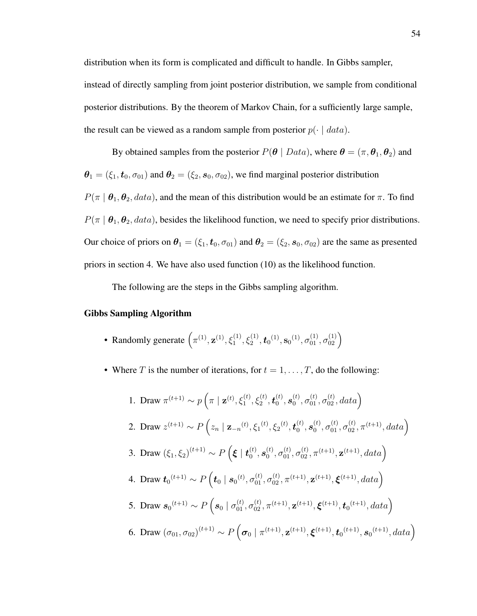distribution when its form is complicated and difficult to handle. In Gibbs sampler, instead of directly sampling from joint posterior distribution, we sample from conditional posterior distributions. By the theorem of Markov Chain, for a sufficiently large sample, the result can be viewed as a random sample from posterior  $p(\cdot | data)$ .

By obtained samples from the posterior  $P(\theta | Data)$ , where  $\theta = (\pi, \theta_1, \theta_2)$  and  $\theta_1 = (\xi_1, t_0, \sigma_{01})$  and  $\theta_2 = (\xi_2, s_0, \sigma_{02})$ , we find marginal posterior distribution  $P(\pi | \theta_1, \theta_2, data)$ , and the mean of this distribution would be an estimate for  $\pi$ . To find  $P(\pi | \theta_1, \theta_2, data)$ , besides the likelihood function, we need to specify prior distributions. Our choice of priors on  $\theta_1 = (\xi_1, t_0, \sigma_{01})$  and  $\theta_2 = (\xi_2, s_0, \sigma_{02})$  are the same as presented priors in section 4. We have also used function (10) as the likelihood function.

The following are the steps in the Gibbs sampling algorithm.

#### Gibbs Sampling Algorithm

- Randomly generate  $(\pi^{(1)}, \mathbf{z}^{(1)}, \xi_1^{(1)}, \xi_2^{(1)}, \mathbf{t}_0^{(1)}, \mathbf{s}_0^{(1)}, \sigma_{01}^{(1)}, \sigma_{02}^{(1)})$
- Where T is the number of iterations, for  $t = 1, \ldots, T$ , do the following:

1. Draw 
$$
\pi^{(t+1)} \sim p\left(\pi \mid \mathbf{z}^{(t)}, \xi_1^{(t)}, \xi_2^{(t)}, \mathbf{t}_0^{(t)}, s_0^{(t)}, \sigma_{01}^{(t)}, \sigma_{02}^{(t)}, data\right)
$$
  
\n2. Draw  $z^{(t+1)} \sim P\left(z_n \mid \mathbf{z}_{-n}^{(t)}, \xi_1^{(t)}, \xi_2^{(t)}, \mathbf{t}_0^{(t)}, s_0^{(t)}, \sigma_{01}^{(t)}, \sigma_{02}^{(t)}, \pi^{(t+1)}, data\right)$   
\n3. Draw  $(\xi_1, \xi_2)^{(t+1)} \sim P\left(\boldsymbol{\xi} \mid \mathbf{t}_0^{(t)}, s_0^{(t)}, \sigma_{01}^{(t)}, \sigma_{02}^{(t)}, \pi^{(t+1)}, \mathbf{z}^{(t+1)}, data\right)$   
\n4. Draw  $\mathbf{t}_0^{(t+1)} \sim P\left(\mathbf{t}_0 \mid s_0^{(t)}, \sigma_{01}^{(t)}, \sigma_{02}^{(t)}, \pi^{(t+1)}, \mathbf{z}^{(t+1)}, \boldsymbol{\xi}^{(t+1)}, data\right)$   
\n5. Draw  $s_0^{(t+1)} \sim P\left(s_0 \mid \sigma_{01}^{(t)}, \sigma_{02}^{(t)}, \pi^{(t+1)}, \mathbf{z}^{(t+1)}, \boldsymbol{\xi}^{(t+1)}, \mathbf{t}_0^{(t+1)}, data\right)$   
\n6. Draw  $(\sigma_{01}, \sigma_{02})^{(t+1)} \sim P\left(\sigma_0 \mid \pi^{(t+1)}, \mathbf{z}^{(t+1)}, \boldsymbol{\xi}^{(t+1)}, \mathbf{t}_0^{(t+1)}, s_0^{(t+1)}, data\right)$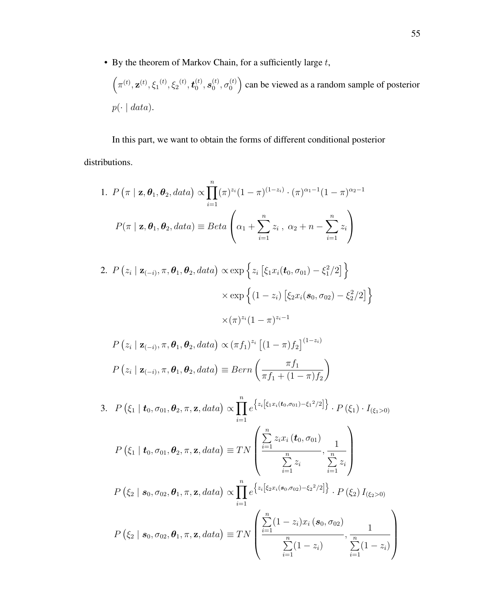• By the theorem of Markov Chain, for a sufficiently large  $t$ ,

 $\left(\pi^{(t)}, \mathbf{z}^{(t)}, \xi_1^{(t)}, \xi_2^{(t)}, \boldsymbol{t}_0^{(t)}\right)$  $_0^{(t)}, \boldsymbol{s}_0^{(t)}$  $_0^{(t)}, \sigma_0^{(t)}$  $\binom{t}{0}$  can be viewed as a random sample of posterior  $p(\cdot | data).$ 

In this part, we want to obtain the forms of different conditional posterior distributions.

1. 
$$
P(\pi | \mathbf{z}, \theta_1, \theta_2, data) \propto \prod_{i=1}^n (\pi)^{z_i} (1 - \pi)^{(1 - z_i)} \cdot (\pi)^{\alpha_1 - 1} (1 - \pi)^{\alpha_2 - 1}
$$
  
 $P(\pi | \mathbf{z}, \theta_1, \theta_2, data) \equiv Beta\left(\alpha_1 + \sum_{i=1}^n z_i, \alpha_2 + n - \sum_{i=1}^n z_i\right)$ 

2. 
$$
P(z_i | \mathbf{z}_{(-i)}, \pi, \theta_1, \theta_2, data) \propto \exp \left\{ z_i \left[ \xi_1 x_i(\bm{t}_0, \sigma_{01}) - \xi_1^2 / 2 \right] \right\}
$$
  
  $\times \exp \left\{ (1 - z_i) \left[ \xi_2 x_i(\bm{s}_0, \sigma_{02}) - \xi_2^2 / 2 \right] \right\}$   
  $\times (\pi)^{z_i} (1 - \pi)^{z_i - 1}$ 

$$
P(z_i | \mathbf{z}_{(-i)}, \pi, \boldsymbol{\theta}_1, \boldsymbol{\theta}_2, data) \propto (\pi f_1)^{z_i} \left[ (1 - \pi) f_2 \right]^{(1 - z_i)}
$$

$$
P(z_i | \mathbf{z}_{(-i)}, \pi, \boldsymbol{\theta}_1, \boldsymbol{\theta}_2, data) \equiv Bern\left(\frac{\pi f_1}{\pi f_1 + (1 - \pi) f_2}\right)
$$

3. 
$$
P(\xi_1 | t_0, \sigma_{01}, \theta_2, \pi, \mathbf{z}, data) \propto \prod_{i=1}^n e^{\{z_i [\xi_1 x_i(t_0, \sigma_{01}) - \xi_1^2/2]\}} \cdot P(\xi_1) \cdot I_{(\xi_1 > 0)}
$$
  
\n $P(\xi_1 | t_0, \sigma_{01}, \theta_2, \pi, \mathbf{z}, data) \equiv TN \left( \frac{\sum_{i=1}^n z_i x_i (t_0, \sigma_{01})}{\sum_{i=1}^n z_i}, \frac{1}{\sum_{i=1}^n z_i} \right)$   
\n $P(\xi_2 | s_0, \sigma_{02}, \theta_1, \pi, \mathbf{z}, data) \propto \prod_{i=1}^n e^{\{z_i [\xi_2 x_i(s_0, \sigma_{02}) - \xi_2^2/2]\}} \cdot P(\xi_2) I_{(\xi_2 > 0)}$   
\n $P(\xi_2 | s_0, \sigma_{02}, \theta_1, \pi, \mathbf{z}, data) \equiv TN \left( \frac{\sum_{i=1}^n (1 - z_i) x_i (s_0, \sigma_{02})}{\sum_{i=1}^n (1 - z_i)}, \frac{1}{\sum_{i=1}^n (1 - z_i)} \right)$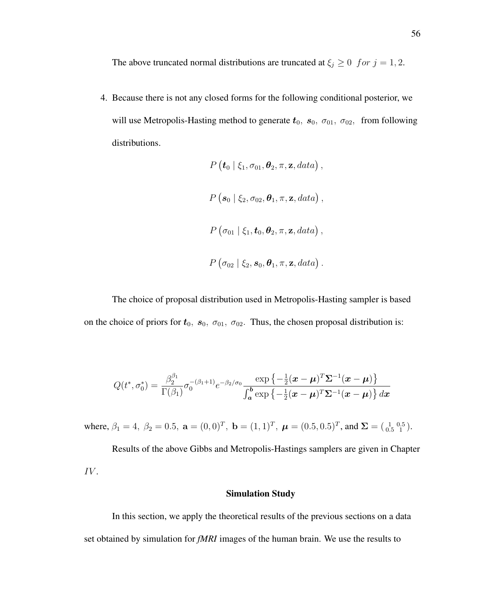The above truncated normal distributions are truncated at  $\xi_j \geq 0$  for  $j = 1, 2$ .

4. Because there is not any closed forms for the following conditional posterior, we will use Metropolis-Hasting method to generate  $t_0$ ,  $s_0$ ,  $\sigma_{01}$ ,  $\sigma_{02}$ , from following distributions.

$$
P\left(\boldsymbol{t}_0 \mid \xi_1, \sigma_{01}, \boldsymbol{\theta}_2, \pi, \mathbf{z}, data\right),
$$
  

$$
P\left(\boldsymbol{s}_0 \mid \xi_2, \sigma_{02}, \boldsymbol{\theta}_1, \pi, \mathbf{z}, data\right),
$$
  

$$
P\left(\sigma_{01} \mid \xi_1, \boldsymbol{t}_0, \boldsymbol{\theta}_2, \pi, \mathbf{z}, data\right),
$$
  

$$
P\left(\sigma_{02} \mid \xi_2, \boldsymbol{s}_0, \boldsymbol{\theta}_1, \pi, \mathbf{z}, data\right).
$$

The choice of proposal distribution used in Metropolis-Hasting sampler is based on the choice of priors for  $t_0$ ,  $s_0$ ,  $\sigma_{01}$ ,  $\sigma_{02}$ . Thus, the chosen proposal distribution is:

$$
Q(t^*, \sigma_0^*) = \frac{\beta_2^{\beta_1}}{\Gamma(\beta_1)} \sigma_0^{-(\beta_1+1)} e^{-\beta_2/\sigma_0} \frac{\exp\left\{-\frac{1}{2}(\boldsymbol{x}-\boldsymbol{\mu})^T \boldsymbol{\Sigma}^{-1}(\boldsymbol{x}-\boldsymbol{\mu})\right\}}{\int_{\boldsymbol{a}}^{\boldsymbol{b}} \exp\left\{-\frac{1}{2}(\boldsymbol{x}-\boldsymbol{\mu})^T \boldsymbol{\Sigma}^{-1}(\boldsymbol{x}-\boldsymbol{\mu})\right\} d\boldsymbol{x}}
$$

where,  $\beta_1 = 4$ ,  $\beta_2 = 0.5$ ,  $\mathbf{a} = (0, 0)^T$ ,  $\mathbf{b} = (1, 1)^T$ ,  $\boldsymbol{\mu} = (0.5, 0.5)^T$ , and  $\Sigma = (\begin{smallmatrix} 1 & 0.5 \\ 0.5 & 1 \end{smallmatrix})$ .

Results of the above Gibbs and Metropolis-Hastings samplers are given in Chapter IV.

### Simulation Study

In this section, we apply the theoretical results of the previous sections on a data set obtained by simulation for *fMRI* images of the human brain. We use the results to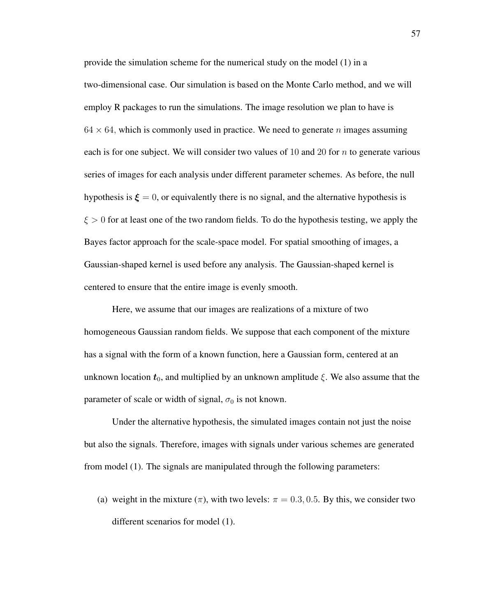provide the simulation scheme for the numerical study on the model (1) in a two-dimensional case. Our simulation is based on the Monte Carlo method, and we will employ R packages to run the simulations. The image resolution we plan to have is  $64 \times 64$ , which is commonly used in practice. We need to generate n images assuming each is for one subject. We will consider two values of 10 and 20 for  $n$  to generate various series of images for each analysis under different parameter schemes. As before, the null hypothesis is  $\xi = 0$ , or equivalently there is no signal, and the alternative hypothesis is  $\xi > 0$  for at least one of the two random fields. To do the hypothesis testing, we apply the Bayes factor approach for the scale-space model. For spatial smoothing of images, a Gaussian-shaped kernel is used before any analysis. The Gaussian-shaped kernel is centered to ensure that the entire image is evenly smooth.

Here, we assume that our images are realizations of a mixture of two homogeneous Gaussian random fields. We suppose that each component of the mixture has a signal with the form of a known function, here a Gaussian form, centered at an unknown location  $t_0$ , and multiplied by an unknown amplitude  $\xi$ . We also assume that the parameter of scale or width of signal,  $\sigma_0$  is not known.

Under the alternative hypothesis, the simulated images contain not just the noise but also the signals. Therefore, images with signals under various schemes are generated from model (1). The signals are manipulated through the following parameters:

(a) weight in the mixture  $(\pi)$ , with two levels:  $\pi = 0.3, 0.5$ . By this, we consider two different scenarios for model (1).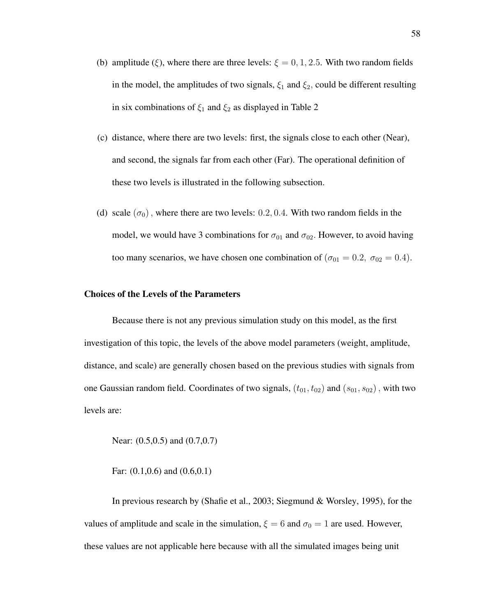- (b) amplitude (ξ), where there are three levels:  $\xi = 0, 1, 2.5$ . With two random fields in the model, the amplitudes of two signals,  $\xi_1$  and  $\xi_2$ , could be different resulting in six combinations of  $\xi_1$  and  $\xi_2$  as displayed in Table 2
- (c) distance, where there are two levels: first, the signals close to each other (Near), and second, the signals far from each other (Far). The operational definition of these two levels is illustrated in the following subsection.
- (d) scale  $(\sigma_0)$ , where there are two levels: 0.2, 0.4. With two random fields in the model, we would have 3 combinations for  $\sigma_{01}$  and  $\sigma_{02}$ . However, to avoid having too many scenarios, we have chosen one combination of ( $\sigma_{01} = 0.2$ ,  $\sigma_{02} = 0.4$ ).

#### Choices of the Levels of the Parameters

Because there is not any previous simulation study on this model, as the first investigation of this topic, the levels of the above model parameters (weight, amplitude, distance, and scale) are generally chosen based on the previous studies with signals from one Gaussian random field. Coordinates of two signals,  $(t_{01}, t_{02})$  and  $(s_{01}, s_{02})$ , with two levels are:

Near: (0.5,0.5) and (0.7,0.7)

Far: (0.1,0.6) and (0.6,0.1)

In previous research by (Shafie et al., 2003; Siegmund & Worsley, 1995), for the values of amplitude and scale in the simulation,  $\xi = 6$  and  $\sigma_0 = 1$  are used. However, these values are not applicable here because with all the simulated images being unit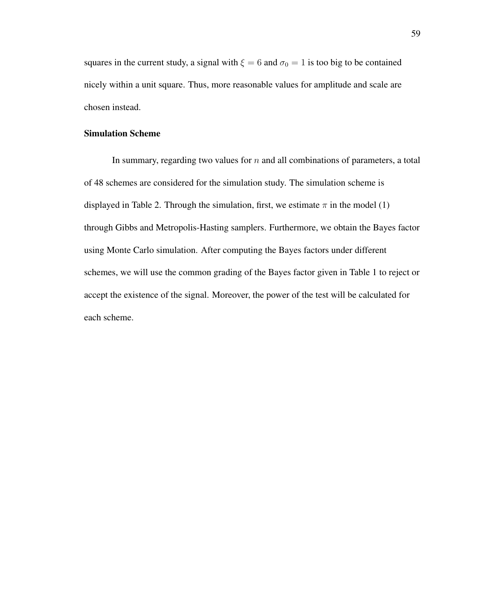squares in the current study, a signal with  $\xi = 6$  and  $\sigma_0 = 1$  is too big to be contained nicely within a unit square. Thus, more reasonable values for amplitude and scale are chosen instead.

## Simulation Scheme

In summary, regarding two values for  $n$  and all combinations of parameters, a total of 48 schemes are considered for the simulation study. The simulation scheme is displayed in Table 2. Through the simulation, first, we estimate  $\pi$  in the model (1) through Gibbs and Metropolis-Hasting samplers. Furthermore, we obtain the Bayes factor using Monte Carlo simulation. After computing the Bayes factors under different schemes, we will use the common grading of the Bayes factor given in Table 1 to reject or accept the existence of the signal. Moreover, the power of the test will be calculated for each scheme.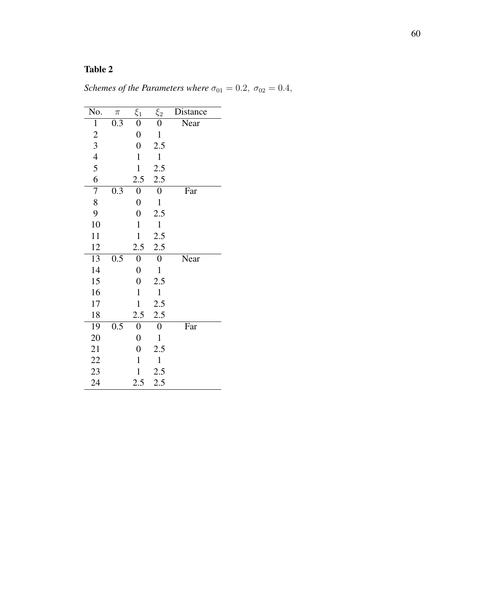# Table 2

| Schemes of the Parameters where $\sigma_{01} = 0.2$ , $\sigma_{02} = 0.4$ , |  |  |  |
|-----------------------------------------------------------------------------|--|--|--|
|-----------------------------------------------------------------------------|--|--|--|

| No.                     | $\pi$ | $\xi_1$          | $\xi_2$          | Distance |
|-------------------------|-------|------------------|------------------|----------|
| $\mathbf{1}$            | 0.3   | $\boldsymbol{0}$ | 0                | Near     |
| $\overline{\mathbf{c}}$ |       | $\boldsymbol{0}$ | $\mathbf{1}$     |          |
| 3                       |       | $\overline{0}$   | 2.5              |          |
| $\overline{4}$          |       | $\mathbf{1}$     | $\mathbf{1}$     |          |
| 5                       |       | $\mathbf{1}$     | 2.5              |          |
| 6                       |       | 2.5              | 2.5              |          |
| 7                       | 0.3   | $\boldsymbol{0}$ | $\boldsymbol{0}$ | Far      |
| 8                       |       | $\boldsymbol{0}$ | $\mathbf{1}$     |          |
| 9                       |       | $\overline{0}$   | 2.5              |          |
| 10                      |       | $\mathbf{1}$     | $\mathbf{1}$     |          |
| 11                      |       | $\mathbf{1}$     | 2.5              |          |
| 12                      |       | 2.5              | 2.5              |          |
| 13                      | 0.5   | 0                | $\boldsymbol{0}$ | Near     |
| 14                      |       | $\overline{0}$   | $\mathbf{1}$     |          |
| 15                      |       | $\overline{0}$   | 2.5              |          |
| 16                      |       | $\mathbf{1}$     | $\mathbf{1}$     |          |
| 17                      |       | $\mathbf{1}$     | 2.5              |          |
| 18                      |       | 2.5              | 2.5              |          |
| 19                      | 0.5   | 0                | 0                | Far      |
| 20                      |       | $\overline{0}$   | $\mathbf{1}$     |          |
| 21                      |       | $\boldsymbol{0}$ | 2.5              |          |
| 22                      |       | $\mathbf{1}$     | $\mathbf{1}$     |          |
| 23                      |       | $\mathbf{1}$     | 2.5              |          |
| 24                      |       | 2.5              | 2.5              |          |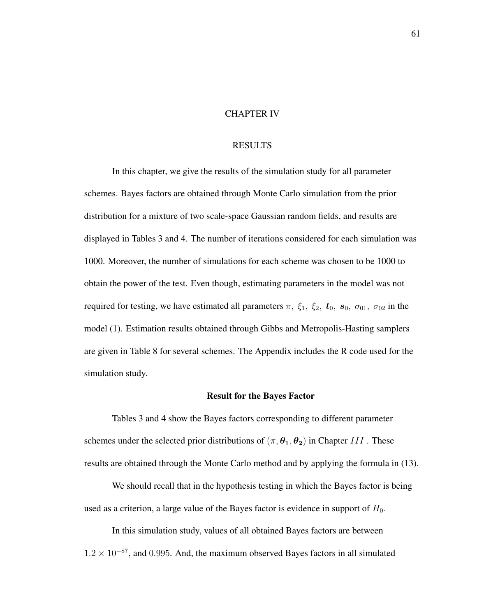#### CHAPTER IV

### RESULTS

In this chapter, we give the results of the simulation study for all parameter schemes. Bayes factors are obtained through Monte Carlo simulation from the prior distribution for a mixture of two scale-space Gaussian random fields, and results are displayed in Tables 3 and 4. The number of iterations considered for each simulation was 1000. Moreover, the number of simulations for each scheme was chosen to be 1000 to obtain the power of the test. Even though, estimating parameters in the model was not required for testing, we have estimated all parameters  $\pi$ ,  $\xi_1$ ,  $\xi_2$ ,  $t_0$ ,  $s_0$ ,  $\sigma_{01}$ ,  $\sigma_{02}$  in the model (1). Estimation results obtained through Gibbs and Metropolis-Hasting samplers are given in Table 8 for several schemes. The Appendix includes the R code used for the simulation study.

#### Result for the Bayes Factor

Tables 3 and 4 show the Bayes factors corresponding to different parameter schemes under the selected prior distributions of  $(\pi, \theta_1, \theta_2)$  in Chapter III. These results are obtained through the Monte Carlo method and by applying the formula in (13).

We should recall that in the hypothesis testing in which the Bayes factor is being used as a criterion, a large value of the Bayes factor is evidence in support of  $H_0$ .

In this simulation study, values of all obtained Bayes factors are between  $1.2 \times 10^{-87}$ , and 0.995. And, the maximum observed Bayes factors in all simulated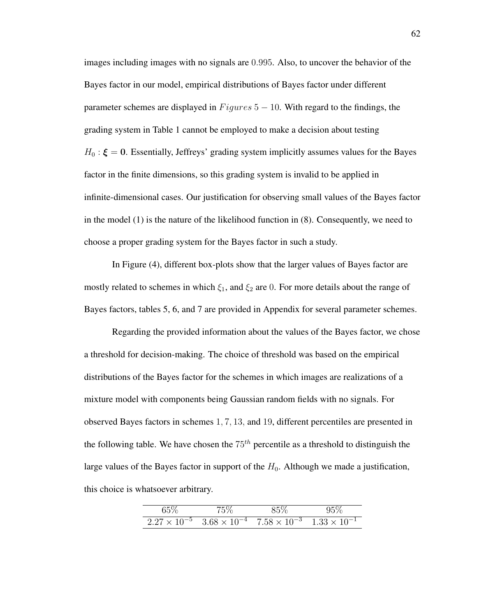images including images with no signals are 0.995. Also, to uncover the behavior of the Bayes factor in our model, empirical distributions of Bayes factor under different parameter schemes are displayed in  $Figures 5 - 10$ . With regard to the findings, the grading system in Table 1 cannot be employed to make a decision about testing  $H_0: \xi = 0$ . Essentially, Jeffreys' grading system implicitly assumes values for the Bayes factor in the finite dimensions, so this grading system is invalid to be applied in infinite-dimensional cases. Our justification for observing small values of the Bayes factor in the model (1) is the nature of the likelihood function in (8). Consequently, we need to choose a proper grading system for the Bayes factor in such a study.

In Figure (4), different box-plots show that the larger values of Bayes factor are mostly related to schemes in which  $\xi_1$ , and  $\xi_2$  are 0. For more details about the range of Bayes factors, tables 5, 6, and 7 are provided in Appendix for several parameter schemes.

Regarding the provided information about the values of the Bayes factor, we chose a threshold for decision-making. The choice of threshold was based on the empirical distributions of the Bayes factor for the schemes in which images are realizations of a mixture model with components being Gaussian random fields with no signals. For observed Bayes factors in schemes 1, 7, 13, and 19, different percentiles are presented in the following table. We have chosen the  $75<sup>th</sup>$  percentile as a threshold to distinguish the large values of the Bayes factor in support of the  $H_0$ . Although we made a justification, this choice is whatsoever arbitrary.

| $65\%$ | $5\%$ |                                                                                         |  |
|--------|-------|-----------------------------------------------------------------------------------------|--|
|        |       | $2.27 \times 10^{-5}$ $3.68 \times 10^{-4}$ $7.58 \times 10^{-3}$ $1.33 \times 10^{-1}$ |  |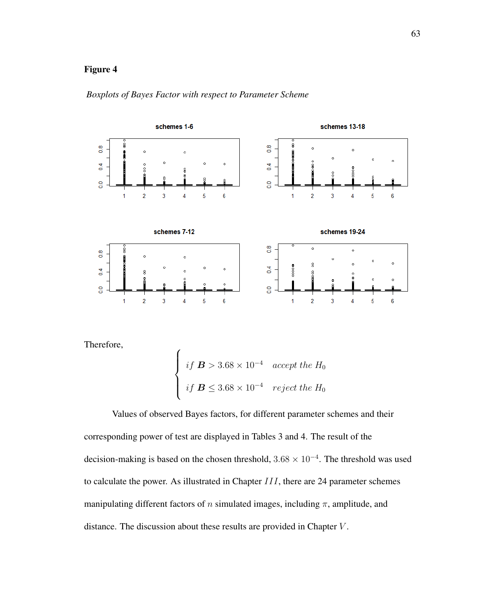

### *Boxplots of Bayes Factor with respect to Parameter Scheme*

Therefore,

$$
\begin{cases} \text{ if } \mathbf{B} > 3.68 \times 10^{-4} \quad \text{accept the } H_0 \\ \text{ if } \mathbf{B} \leq 3.68 \times 10^{-4} \quad \text{reject the } H_0 \end{cases}
$$

Values of observed Bayes factors, for different parameter schemes and their corresponding power of test are displayed in Tables 3 and 4. The result of the decision-making is based on the chosen threshold,  $3.68 \times 10^{-4}$ . The threshold was used to calculate the power. As illustrated in Chapter III, there are 24 parameter schemes manipulating different factors of n simulated images, including  $\pi$ , amplitude, and distance. The discussion about these results are provided in Chapter V .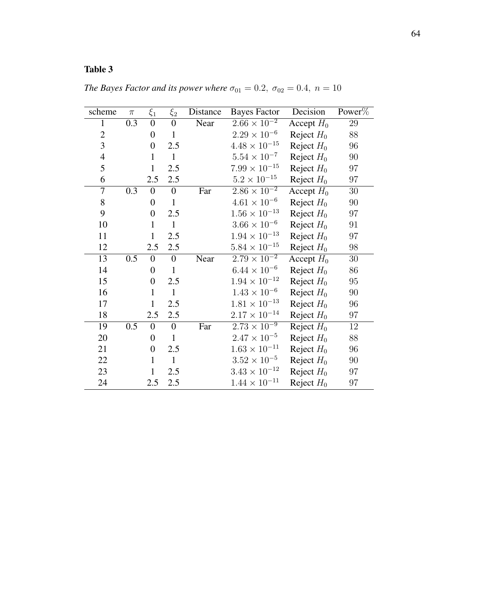# Table 3

| scheme                   | $\pi$ | $\xi_1$          | $\xi_2$          | Distance | <b>Bayes Factor</b>    | Decision                   | Power% |
|--------------------------|-------|------------------|------------------|----------|------------------------|----------------------------|--------|
| $\mathbf{1}$             | 0.3   | $\boldsymbol{0}$ | $\overline{0}$   | Near     | $2.66 \times 10^{-2}$  | Accept $H_0$               | 29     |
| $\overline{c}$           |       | $\boldsymbol{0}$ | $\mathbf{1}$     |          | $2.29 \times 10^{-6}$  | Reject $H_0$               | 88     |
| 3                        |       | $\overline{0}$   | 2.5              |          | $4.48 \times 10^{-15}$ | Reject $H_0$               | 96     |
| $\overline{\mathcal{A}}$ |       | $\mathbf{1}$     | $\mathbf{1}$     |          | $5.54 \times 10^{-7}$  | Reject $H_0$               | 90     |
| 5                        |       | $\mathbf{1}$     | 2.5              |          | $7.99 \times 10^{-15}$ | Reject $H_0$               | 97     |
| 6                        |       | 2.5              | 2.5              |          | $5.2 \times 10^{-15}$  | Reject $H_0$               | $97\,$ |
| 7                        | 0.3   | $\boldsymbol{0}$ | $\boldsymbol{0}$ | Far      | $2.86 \times 10^{-2}$  | $\overline{A}$ ccept $H_0$ | $30\,$ |
| 8                        |       | $\boldsymbol{0}$ | $\mathbf{1}$     |          | $4.61 \times 10^{-6}$  | Reject $H_0$               | 90     |
| 9                        |       | $\boldsymbol{0}$ | 2.5              |          | $1.56 \times 10^{-13}$ | Reject $H_0$               | 97     |
| 10                       |       | $\mathbf{1}$     | $\mathbf{1}$     |          | $3.66 \times 10^{-6}$  | Reject $H_0$               | 91     |
| 11                       |       | $\mathbf{1}$     | 2.5              |          | $1.94 \times 10^{-13}$ | Reject $H_0$               | 97     |
| 12                       |       | 2.5              | 2.5              |          | $5.84 \times 10^{-15}$ | Reject $H_0$               | 98     |
| 13                       | 0.5   | $\boldsymbol{0}$ | $\boldsymbol{0}$ | Near     | $2.79 \times 10^{-2}$  | Accept $H_0$               | 30     |
| 14                       |       | $\boldsymbol{0}$ | $\mathbf{1}$     |          | $6.44 \times 10^{-6}$  | Reject $H_0$               | 86     |
| 15                       |       | $\boldsymbol{0}$ | 2.5              |          | $1.94 \times 10^{-12}$ | Reject $H_0$               | 95     |
| 16                       |       | $\mathbf{1}$     | $\mathbf{1}$     |          | $1.43 \times 10^{-6}$  | Reject $H_0$               | 90     |
| 17                       |       | $\mathbf 1$      | 2.5              |          | $1.81 \times 10^{-13}$ | Reject $H_0$               | 96     |
| 18                       |       | 2.5              | 2.5              |          | $2.17 \times 10^{-14}$ | Reject $H_0$               | 97     |
| 19                       | 0.5   | $\boldsymbol{0}$ | $\overline{0}$   | Far      | $2.73 \times 10^{-9}$  | Reject $H_0$               | 12     |
| 20                       |       | $\boldsymbol{0}$ | $\mathbf{1}$     |          | $2.47 \times 10^{-5}$  | Reject $H_0$               | 88     |
| 21                       |       | $\boldsymbol{0}$ | 2.5              |          | $1.63 \times 10^{-11}$ | Reject $H_0$               | 96     |
| 22                       |       | $\mathbf{1}$     | $\mathbf{1}$     |          | $3.52 \times 10^{-5}$  | Reject $H_0$               | 90     |
| 23                       |       | $\mathbf{1}$     | 2.5              |          | $3.43 \times 10^{-12}$ | Reject $H_0$               | 97     |
| 24                       |       | 2.5              | 2.5              |          | $1.44 \times 10^{-11}$ | Reject $H_0$               | $97\,$ |

*The Bayes Factor and its power where*  $\sigma_{01} = 0.2$ ,  $\sigma_{02} = 0.4$ ,  $n = 10$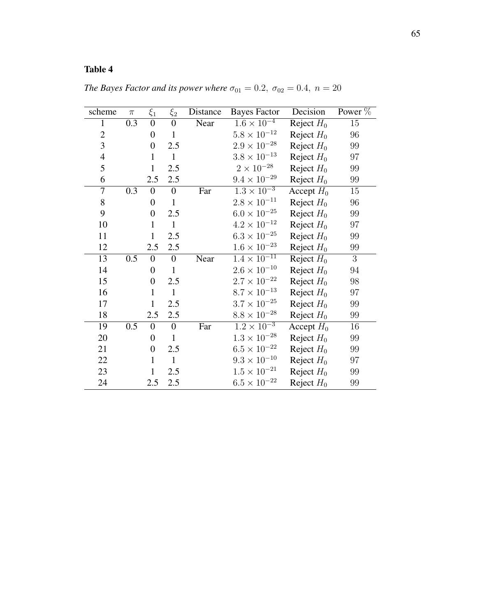# Table 4

| scheme         | $\pi$ | $\xi_1$          | $\xi_2$          | Distance | <b>Bayes Factor</b>   | Decision     | Power %        |
|----------------|-------|------------------|------------------|----------|-----------------------|--------------|----------------|
| $\mathbf{1}$   | 0.3   | $\boldsymbol{0}$ | $\overline{0}$   | Near     | $1.6 \times 10^{-4}$  | Reject $H_0$ | 15             |
| $\mathbf{2}$   |       | $\boldsymbol{0}$ | $\mathbf{1}$     |          | $5.8 \times 10^{-12}$ | Reject $H_0$ | 96             |
| $\overline{3}$ |       | $\overline{0}$   | 2.5              |          | $2.9 \times 10^{-28}$ | Reject $H_0$ | 99             |
| $\overline{4}$ |       | $\mathbf{1}$     | $\mathbf{1}$     |          | $3.8 \times 10^{-13}$ | Reject $H_0$ | 97             |
| 5              |       | $\mathbf{1}$     | 2.5              |          | $2 \times 10^{-28}$   | Reject $H_0$ | 99             |
| 6              |       | 2.5              | 2.5              |          | $9.4 \times 10^{-29}$ | Reject $H_0$ | $99\,$         |
| 7              | 0.3   | $\boldsymbol{0}$ | $\boldsymbol{0}$ | Far      | $1.3 \times 10^{-3}$  | Accept $H_0$ | 15             |
| 8              |       | $\boldsymbol{0}$ | $\mathbf{1}$     |          | $2.8 \times 10^{-11}$ | Reject $H_0$ | 96             |
| 9              |       | $\boldsymbol{0}$ | 2.5              |          | $6.0 \times 10^{-25}$ | Reject $H_0$ | 99             |
| 10             |       | $\mathbf{1}$     | $\mathbf{1}$     |          | $4.2\times10^{-12}$   | Reject $H_0$ | 97             |
| 11             |       | $\mathbf{1}$     | 2.5              |          | $6.3 \times 10^{-25}$ | Reject $H_0$ | $99\,$         |
| 12             |       | 2.5              | 2.5              |          | $1.6 \times 10^{-23}$ | Reject $H_0$ | 99             |
| 13             | 0.5   | $\boldsymbol{0}$ | $\boldsymbol{0}$ | Near     | $1.4 \times 10^{-11}$ | Reject $H_0$ | $\overline{3}$ |
| 14             |       | $\boldsymbol{0}$ | $\mathbf{1}$     |          | $2.6\times10^{-10}$   | Reject $H_0$ | 94             |
| 15             |       | $\overline{0}$   | 2.5              |          | $2.7 \times 10^{-22}$ | Reject $H_0$ | $98\,$         |
| 16             |       | $\mathbf{1}$     | $\mathbf{1}$     |          | $8.7\times10^{-13}$   | Reject $H_0$ | 97             |
| 17             |       | $\mathbf{1}$     | 2.5              |          | $3.7 \times 10^{-25}$ | Reject $H_0$ | 99             |
| 18             |       | 2.5              | 2.5              |          | $8.8 \times 10^{-28}$ | Reject $H_0$ | 99             |
| 19             | 0.5   | $\boldsymbol{0}$ | $\boldsymbol{0}$ | Far      | $1.2 \times 10^{-3}$  | Accept $H_0$ | 16             |
| 20             |       | $\overline{0}$   | $\mathbf{1}$     |          | $1.3\times10^{-28}$   | Reject $H_0$ | 99             |
| 21             |       | $\overline{0}$   | 2.5              |          | $6.5 \times 10^{-22}$ | Reject $H_0$ | 99             |
| 22             |       | $\mathbf{1}$     | $\mathbf{1}$     |          | $9.3 \times 10^{-10}$ | Reject $H_0$ | 97             |
| 23             |       | $\mathbf{1}$     | 2.5              |          | $1.5 \times 10^{-21}$ | Reject $H_0$ | 99             |
| 24             |       | 2.5              | 2.5              |          | $6.5 \times 10^{-22}$ | Reject $H_0$ | 99             |

*The Bayes Factor and its power where*  $\sigma_{01} = 0.2$ ,  $\sigma_{02} = 0.4$ ,  $n = 20$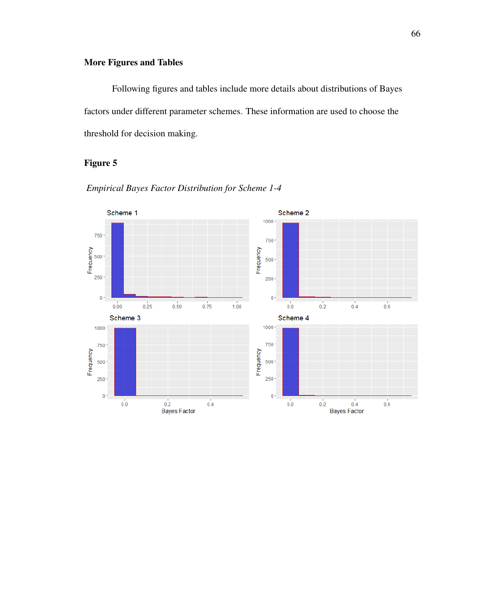## More Figures and Tables

Following figures and tables include more details about distributions of Bayes factors under different parameter schemes. These information are used to choose the threshold for decision making.

### Figure 5



*Empirical Bayes Factor Distribution for Scheme 1-4*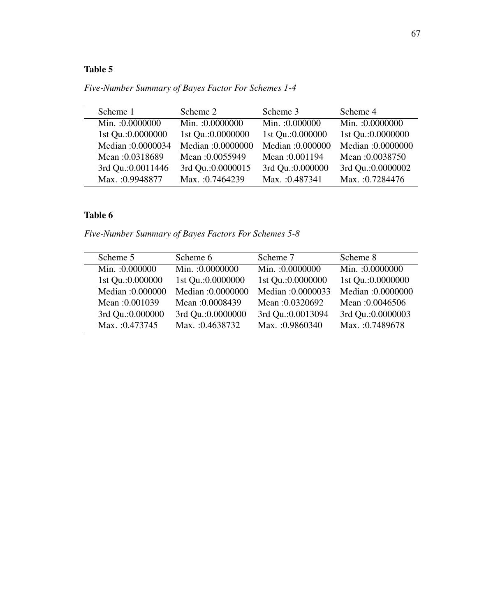## Table 5

*Five-Number Summary of Bayes Factor For Schemes 1-4*

| Min.: 0.0000000    |
|--------------------|
| 1st Qu.: 0.0000000 |
| Median :0.0000000  |
| Mean: 0.0038750    |
| 3rd Qu.: 0.0000002 |
| Max.: 0.7284476    |
|                    |

## Table 6

*Five-Number Summary of Bayes Factors For Schemes 5-8*

| Scheme 5          | Scheme 6           | Scheme 7           | Scheme 8           |
|-------------------|--------------------|--------------------|--------------------|
| Min.: 0.000000    | Min.: 0.0000000    | Min.: 0.0000000    | Min.: 0.0000000    |
| 1st Qu.: 0.000000 | 1st Qu.: 0.0000000 | 1st Qu.: 0.0000000 | 1st Qu.:0.0000000  |
| Median: 0.000000  | Median: 0.0000000  | Median: 0.0000033  | Median: 0.0000000  |
| Mean: 0.001039    | Mean: 0.0008439    | Mean: 0.0320692    | Mean: 0.0046506    |
| 3rd Qu.: 0.000000 | 3rd Qu.: 0.0000000 | 3rd Qu.: 0.0013094 | 3rd Qu.: 0.0000003 |
| Max. : 0.473745   | Max. : 0.4638732   | Max. : 0.9860340   | Max.: 0.7489678    |
|                   |                    |                    |                    |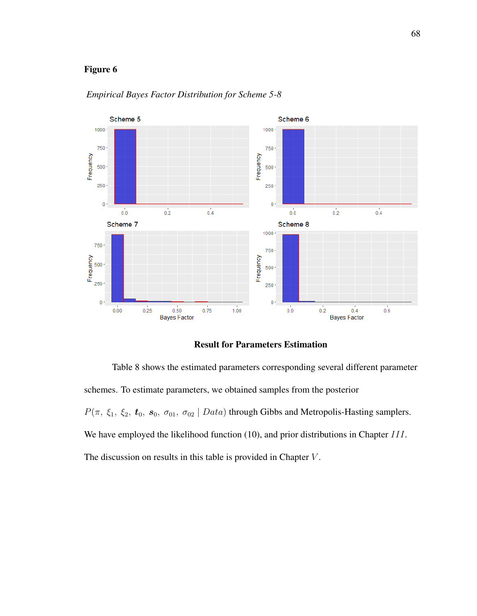

*Empirical Bayes Factor Distribution for Scheme 5-8*

Result for Parameters Estimation

Table 8 shows the estimated parameters corresponding several different parameter schemes. To estimate parameters, we obtained samples from the posterior  $P(\pi, \xi_1, \xi_2, t_0, s_0, \sigma_{01}, \sigma_{02} | Data)$  through Gibbs and Metropolis-Hasting samplers. We have employed the likelihood function (10), and prior distributions in Chapter III. The discussion on results in this table is provided in Chapter  $V$ .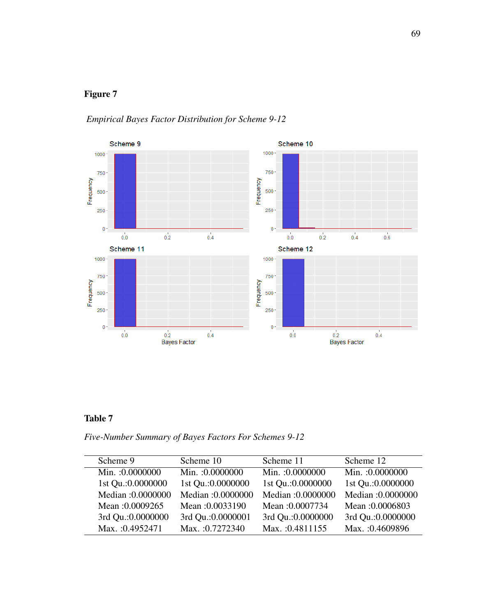

## *Empirical Bayes Factor Distribution for Scheme 9-12*

## Table 7

*Five-Number Summary of Bayes Factors For Schemes 9-12*

| Scheme 9           | Scheme 10          | Scheme 11          | Scheme 12          |
|--------------------|--------------------|--------------------|--------------------|
| Min.: 0.0000000    | Min.: 0.0000000    | Min.: 0.0000000    | Min.: 0.0000000    |
| 1st Qu.: 0.0000000 | 1st Qu.: 0.0000000 | 1st Qu.: 0.0000000 | 1st Qu.: 0.0000000 |
| Median: 0.0000000  | Median :0.0000000  | Median :0.0000000  | Median: 0.0000000  |
| Mean: 0.0009265    | Mean: 0.0033190    | Mean: 0.0007734    | Mean: 0.0006803    |
| 3rd Qu.: 0.0000000 | 3rd Qu.: 0.0000001 | 3rd Qu.: 0.0000000 | 3rd Qu.: 0.0000000 |
| Max.: 0.4952471    | Max. : 0.7272340   | Max. : 0.4811155   | Max.: 0.4609896    |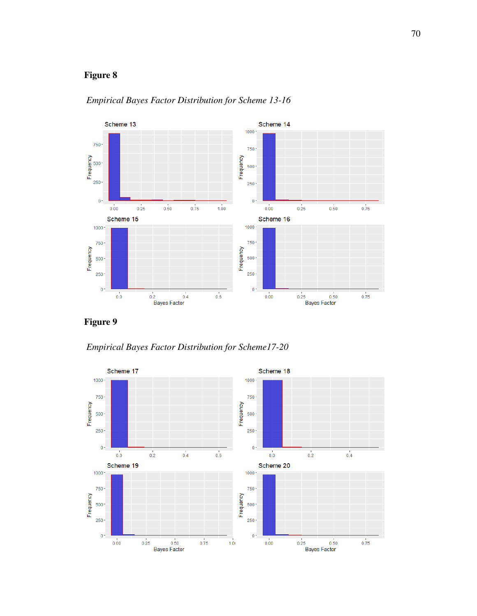

*Empirical Bayes Factor Distribution for Scheme 13-16*

Figure 9

*Empirical Bayes Factor Distribution for Scheme17-20*

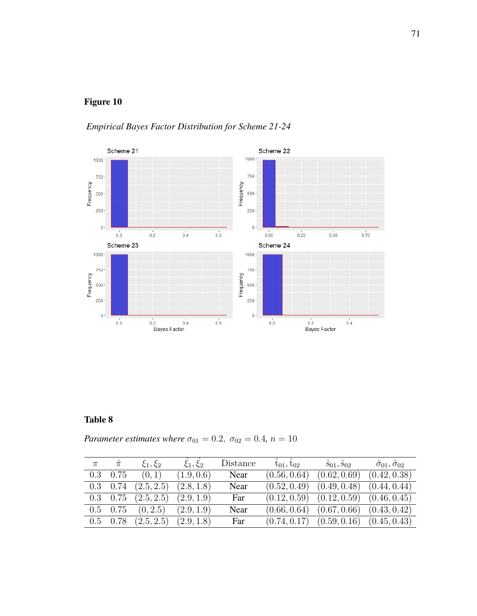*Empirical Bayes Factor Distribution for Scheme 21-24*



## Table 8

*Parameter estimates where*  $\sigma_{01} = 0.2$ ,  $\sigma_{02} = 0.4$ ,  $n = 10$ 

| $\pi$ | $\hat{\pi}$      | $\xi_1, \xi_2$            | $\xi_1,\xi_2$ | Distance | $t_{01}, t_{02}$ | $\hat{s}_{01}, \hat{s}_{02}$  | $\hat{\sigma}_{01}, \hat{\sigma}_{02}$ |
|-------|------------------|---------------------------|---------------|----------|------------------|-------------------------------|----------------------------------------|
|       | $0.3 \quad 0.75$ | (0,1)                     | (1.9, 0.6)    | Near     | (0.56, 0.64)     | (0.62, 0.69)                  | (0.42, 0.38)                           |
|       | $0.3 \quad 0.74$ | (2.5, 2.5)                | (2.8, 1.8)    | Near     | (0.52, 0.49)     | $(0.49, 0.48)$ $(0.44, 0.44)$ |                                        |
|       |                  | $0.3$ $0.75$ $(2.5, 2.5)$ | (2.9, 1.9)    | Far      | (0.12, 0.59)     | $(0.12, 0.59)$ $(0.46, 0.45)$ |                                        |
|       |                  | $0.5$ $0.75$ $(0, 2.5)$   | (2.9, 1.9)    | Near     | (0.66, 0.64)     | (0.67, 0.66)                  | (0.43, 0.42)                           |
|       | $0.5 \quad 0.78$ | (2.5, 2.5)                | (2.9, 1.8)    | Far      | (0.74, 0.17)     | $(0.59, 0.16)$ $(0.45, 0.43)$ |                                        |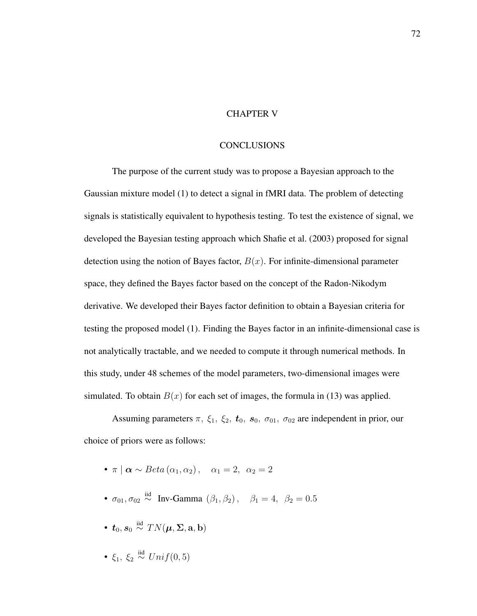### CHAPTER V

### **CONCLUSIONS**

The purpose of the current study was to propose a Bayesian approach to the Gaussian mixture model (1) to detect a signal in fMRI data. The problem of detecting signals is statistically equivalent to hypothesis testing. To test the existence of signal, we developed the Bayesian testing approach which Shafie et al. (2003) proposed for signal detection using the notion of Bayes factor,  $B(x)$ . For infinite-dimensional parameter space, they defined the Bayes factor based on the concept of the Radon-Nikodym derivative. We developed their Bayes factor definition to obtain a Bayesian criteria for testing the proposed model (1). Finding the Bayes factor in an infinite-dimensional case is not analytically tractable, and we needed to compute it through numerical methods. In this study, under 48 schemes of the model parameters, two-dimensional images were simulated. To obtain  $B(x)$  for each set of images, the formula in (13) was applied.

Assuming parameters  $\pi$ ,  $\xi_1$ ,  $\xi_2$ ,  $t_0$ ,  $s_0$ ,  $\sigma_{01}$ ,  $\sigma_{02}$  are independent in prior, our choice of priors were as follows:

- $\pi | \alpha \sim Beta(\alpha_1, \alpha_2), \quad \alpha_1 = 2, \ \alpha_2 = 2$
- $\sigma_{01}, \sigma_{02} \stackrel{\text{iid}}{\sim} \text{Inv-Gamma } (\beta_1, \beta_2), \quad \beta_1 = 4, \ \beta_2 = 0.5$
- $\bullet$   $\boldsymbol{t}_0, \boldsymbol{s}_0 \stackrel{\text{iid}}{\sim} TN(\boldsymbol{\mu}, \boldsymbol{\Sigma}, \mathbf{a}, \mathbf{b})$
- $\xi_1, \xi_2 \stackrel{\text{iid}}{\sim} Unif(0,5)$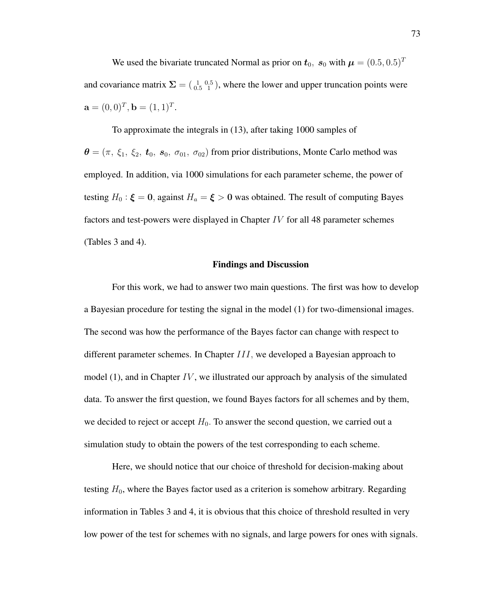We used the bivariate truncated Normal as prior on  $t_0$ ,  $s_0$  with  $\mu = (0.5, 0.5)^T$ and covariance matrix  $\Sigma = \begin{pmatrix} 1 & 0.5 \\ 0.5 & 1 \end{pmatrix}$ , where the lower and upper truncation points were  $\mathbf{a} = (0,0)^T, \mathbf{b} = (1,1)^T.$ 

To approximate the integrals in (13), after taking 1000 samples of  $\theta = (\pi, \xi_1, \xi_2, t_0, s_0, \sigma_{01}, \sigma_{02})$  from prior distributions, Monte Carlo method was employed. In addition, via 1000 simulations for each parameter scheme, the power of testing  $H_0: \xi = 0$ , against  $H_a = \xi > 0$  was obtained. The result of computing Bayes factors and test-powers were displayed in Chapter IV for all 48 parameter schemes (Tables 3 and 4).

#### Findings and Discussion

For this work, we had to answer two main questions. The first was how to develop a Bayesian procedure for testing the signal in the model (1) for two-dimensional images. The second was how the performance of the Bayes factor can change with respect to different parameter schemes. In Chapter III, we developed a Bayesian approach to model  $(1)$ , and in Chapter IV, we illustrated our approach by analysis of the simulated data. To answer the first question, we found Bayes factors for all schemes and by them, we decided to reject or accept  $H_0$ . To answer the second question, we carried out a simulation study to obtain the powers of the test corresponding to each scheme.

Here, we should notice that our choice of threshold for decision-making about testing  $H_0$ , where the Bayes factor used as a criterion is somehow arbitrary. Regarding information in Tables 3 and 4, it is obvious that this choice of threshold resulted in very low power of the test for schemes with no signals, and large powers for ones with signals.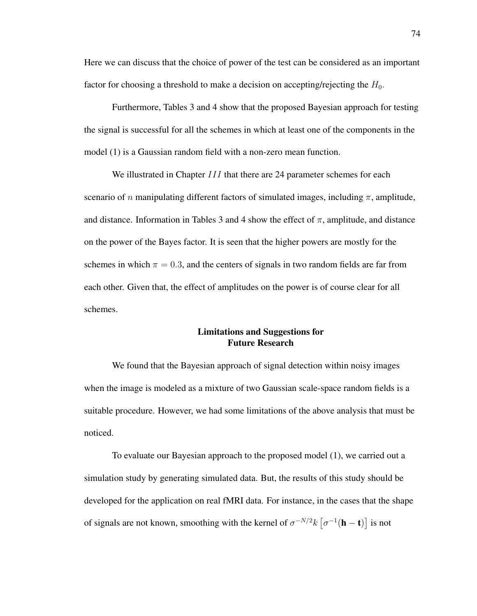Here we can discuss that the choice of power of the test can be considered as an important factor for choosing a threshold to make a decision on accepting/rejecting the  $H_0$ .

Furthermore, Tables 3 and 4 show that the proposed Bayesian approach for testing the signal is successful for all the schemes in which at least one of the components in the model (1) is a Gaussian random field with a non-zero mean function.

We illustrated in Chapter *III* that there are 24 parameter schemes for each scenario of n manipulating different factors of simulated images, including  $\pi$ , amplitude, and distance. Information in Tables 3 and 4 show the effect of  $\pi$ , amplitude, and distance on the power of the Bayes factor. It is seen that the higher powers are mostly for the schemes in which  $\pi = 0.3$ , and the centers of signals in two random fields are far from each other. Given that, the effect of amplitudes on the power is of course clear for all schemes.

### Limitations and Suggestions for Future Research

We found that the Bayesian approach of signal detection within noisy images when the image is modeled as a mixture of two Gaussian scale-space random fields is a suitable procedure. However, we had some limitations of the above analysis that must be noticed.

To evaluate our Bayesian approach to the proposed model (1), we carried out a simulation study by generating simulated data. But, the results of this study should be developed for the application on real fMRI data. For instance, in the cases that the shape of signals are not known, smoothing with the kernel of  $\sigma^{-N/2} k \left[ \sigma^{-1}(\mathbf{h} - \mathbf{t}) \right]$  is not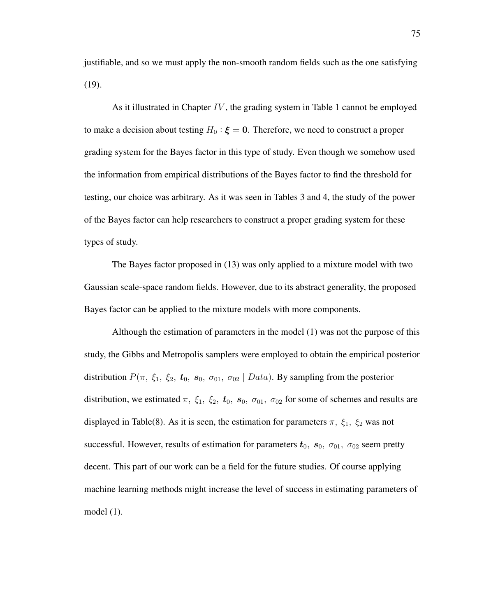justifiable, and so we must apply the non-smooth random fields such as the one satisfying (19).

As it illustrated in Chapter  $IV$ , the grading system in Table 1 cannot be employed to make a decision about testing  $H_0$ :  $\boldsymbol{\xi} = \boldsymbol{0}$ . Therefore, we need to construct a proper grading system for the Bayes factor in this type of study. Even though we somehow used the information from empirical distributions of the Bayes factor to find the threshold for testing, our choice was arbitrary. As it was seen in Tables 3 and 4, the study of the power of the Bayes factor can help researchers to construct a proper grading system for these types of study.

The Bayes factor proposed in (13) was only applied to a mixture model with two Gaussian scale-space random fields. However, due to its abstract generality, the proposed Bayes factor can be applied to the mixture models with more components.

Although the estimation of parameters in the model (1) was not the purpose of this study, the Gibbs and Metropolis samplers were employed to obtain the empirical posterior distribution  $P(\pi, \xi_1, \xi_2, t_0, s_0, \sigma_{01}, \sigma_{02} | Data)$ . By sampling from the posterior distribution, we estimated  $\pi$ ,  $\xi_1$ ,  $\xi_2$ ,  $t_0$ ,  $s_0$ ,  $\sigma_{01}$ ,  $\sigma_{02}$  for some of schemes and results are displayed in Table(8). As it is seen, the estimation for parameters  $\pi$ ,  $\xi_1$ ,  $\xi_2$  was not successful. However, results of estimation for parameters  $t_0$ ,  $s_0$ ,  $\sigma_{01}$ ,  $\sigma_{02}$  seem pretty decent. This part of our work can be a field for the future studies. Of course applying machine learning methods might increase the level of success in estimating parameters of model (1).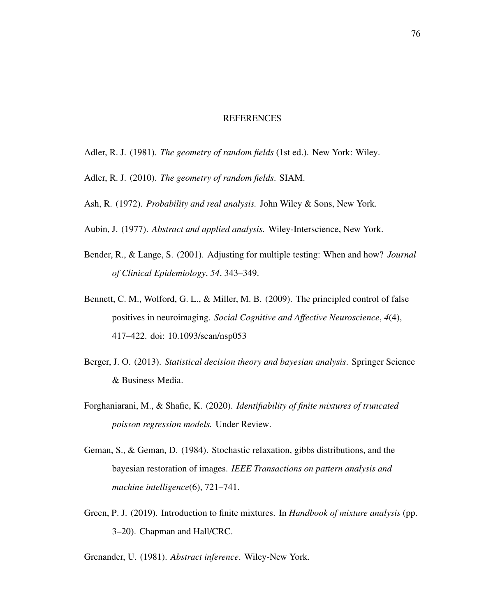#### REFERENCES

- Adler, R. J. (1981). *The geometry of random fields* (1st ed.). New York: Wiley.
- Adler, R. J. (2010). *The geometry of random fields*. SIAM.
- Ash, R. (1972). *Probability and real analysis.* John Wiley & Sons, New York.
- Aubin, J. (1977). *Abstract and applied analysis.* Wiley-Interscience, New York.
- Bender, R., & Lange, S. (2001). Adjusting for multiple testing: When and how? *Journal of Clinical Epidemiology*, *54*, 343–349.
- Bennett, C. M., Wolford, G. L., & Miller, M. B. (2009). The principled control of false positives in neuroimaging. *Social Cognitive and Affective Neuroscience*, *4*(4), 417–422. doi: 10.1093/scan/nsp053
- Berger, J. O. (2013). *Statistical decision theory and bayesian analysis*. Springer Science & Business Media.
- Forghaniarani, M., & Shafie, K. (2020). *Identifiability of finite mixtures of truncated poisson regression models.* Under Review.
- Geman, S., & Geman, D. (1984). Stochastic relaxation, gibbs distributions, and the bayesian restoration of images. *IEEE Transactions on pattern analysis and machine intelligence*(6), 721–741.
- Green, P. J. (2019). Introduction to finite mixtures. In *Handbook of mixture analysis* (pp. 3–20). Chapman and Hall/CRC.

Grenander, U. (1981). *Abstract inference*. Wiley-New York.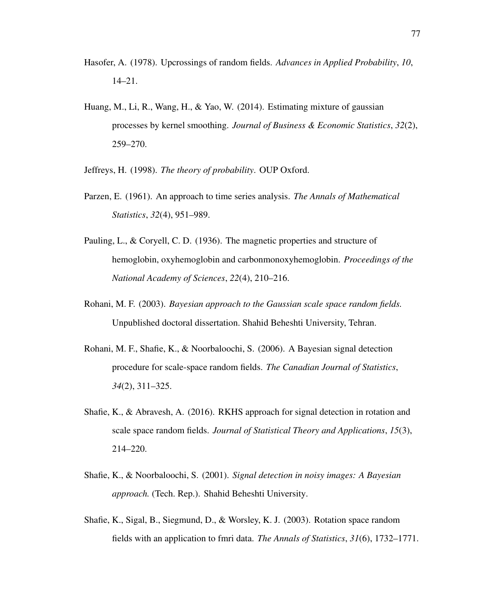- Hasofer, A. (1978). Upcrossings of random fields. *Advances in Applied Probability*, *10*, 14–21.
- Huang, M., Li, R., Wang, H., & Yao, W. (2014). Estimating mixture of gaussian processes by kernel smoothing. *Journal of Business & Economic Statistics*, *32*(2), 259–270.
- Jeffreys, H. (1998). *The theory of probability*. OUP Oxford.
- Parzen, E. (1961). An approach to time series analysis. *The Annals of Mathematical Statistics*, *32*(4), 951–989.
- Pauling, L., & Coryell, C. D. (1936). The magnetic properties and structure of hemoglobin, oxyhemoglobin and carbonmonoxyhemoglobin. *Proceedings of the National Academy of Sciences*, *22*(4), 210–216.
- Rohani, M. F. (2003). *Bayesian approach to the Gaussian scale space random fields.* Unpublished doctoral dissertation. Shahid Beheshti University, Tehran.
- Rohani, M. F., Shafie, K., & Noorbaloochi, S. (2006). A Bayesian signal detection procedure for scale-space random fields. *The Canadian Journal of Statistics*, *34*(2), 311–325.
- Shafie, K., & Abravesh, A. (2016). RKHS approach for signal detection in rotation and scale space random fields. *Journal of Statistical Theory and Applications*, *15*(3), 214–220.
- Shafie, K., & Noorbaloochi, S. (2001). *Signal detection in noisy images: A Bayesian approach.* (Tech. Rep.). Shahid Beheshti University.
- Shafie, K., Sigal, B., Siegmund, D., & Worsley, K. J. (2003). Rotation space random fields with an application to fmri data. *The Annals of Statistics*, *31*(6), 1732–1771.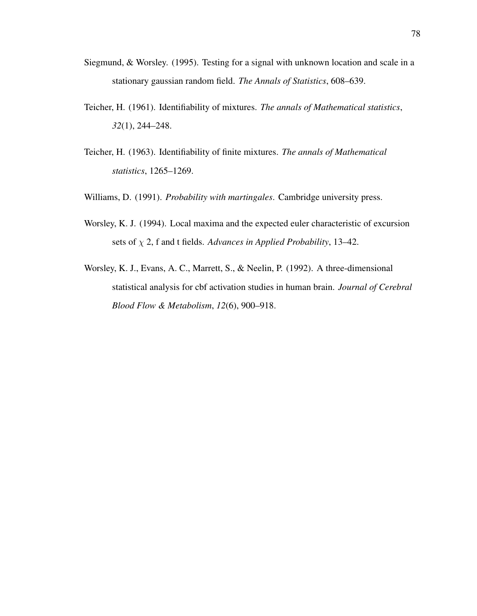- Siegmund, & Worsley. (1995). Testing for a signal with unknown location and scale in a stationary gaussian random field. *The Annals of Statistics*, 608–639.
- Teicher, H. (1961). Identifiability of mixtures. *The annals of Mathematical statistics*, *32*(1), 244–248.
- Teicher, H. (1963). Identifiability of finite mixtures. *The annals of Mathematical statistics*, 1265–1269.
- Williams, D. (1991). *Probability with martingales*. Cambridge university press.
- Worsley, K. J. (1994). Local maxima and the expected euler characteristic of excursion sets of χ 2, f and t fields. *Advances in Applied Probability*, 13–42.
- Worsley, K. J., Evans, A. C., Marrett, S., & Neelin, P. (1992). A three-dimensional statistical analysis for cbf activation studies in human brain. *Journal of Cerebral Blood Flow & Metabolism*, *12*(6), 900–918.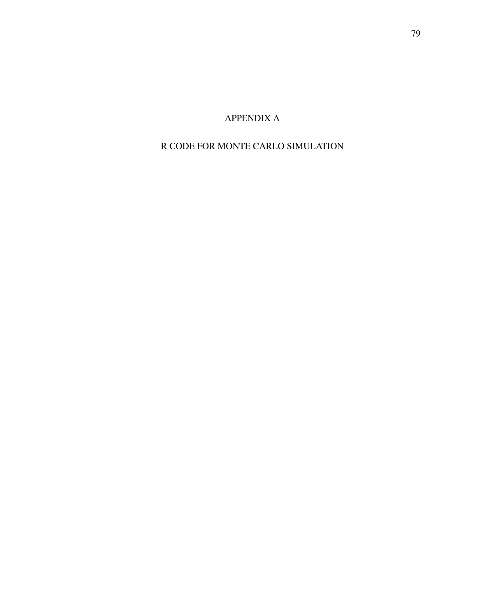APPENDIX A

# R CODE FOR MONTE CARLO SIMULATION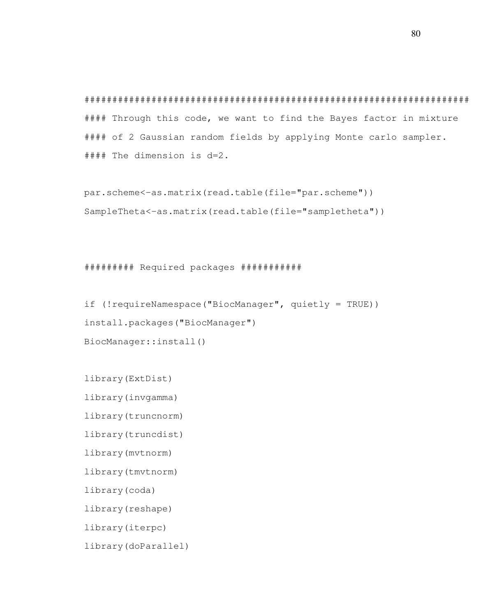##################################################################### #### Through this code, we want to find the Bayes factor in mixture #### of 2 Gaussian random fields by applying Monte carlo sampler. #### The dimension is d=2.

par.scheme<-as.matrix(read.table(file="par.scheme")) SampleTheta<-as.matrix(read.table(file="sampletheta"))

######### Required packages ###########

if (!requireNamespace("BiocManager", quietly = TRUE)) install.packages("BiocManager") BiocManager::install()

library(ExtDist)

library(invgamma)

library(truncnorm)

library(truncdist)

library(mvtnorm)

library(tmvtnorm)

library(coda)

library(reshape)

library(iterpc)

library(doParallel)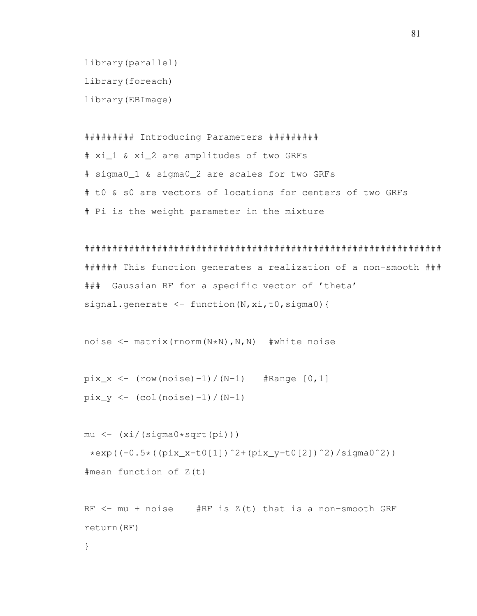```
library(parallel)
library(foreach)
library(EBImage)
```
######### Introducing Parameters ######### # xi\_1 & xi\_2 are amplitudes of two GRFs # sigma0\_1 & sigma0\_2 are scales for two GRFs # t0 & s0 are vectors of locations for centers of two GRFs # Pi is the weight parameter in the mixture

```
################################################################
###### This function generates a realization of a non-smooth ###
### Gaussian RF for a specific vector of 'theta'
signal.generate <- function(N, xi, t0, sigma0){
```

```
noise \leq matrix(rnorm(N*N),N,N) #white noise
```

```
pix_x \leftarrow (row(noise)-1) / (N-1) #Range [0, 1]pix_y \leftarrow (col(noise)-1) / (N-1)
```

```
mu \leftarrow (xi/(sigma0*sqrt10))*exp((-0.5*(pi x_x-t0[1])^2+(pix_y-t0[2])^2)/sigma(0^2))#mean function of Z(t)
```

```
RF <- mu + noise #RF is Z(t) that is a non-smooth GRF
return(RF)
```
}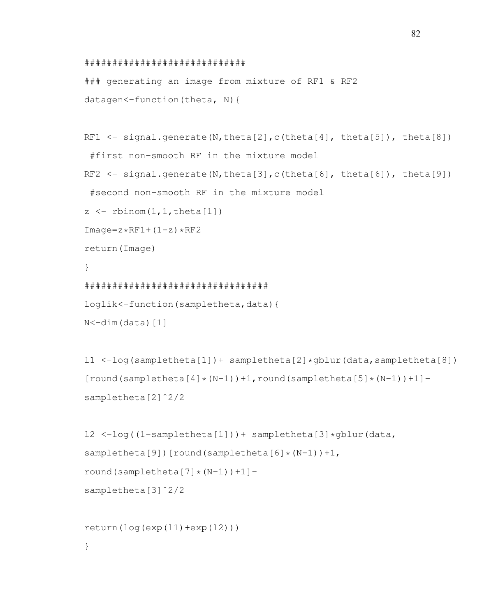```
#############################
```
### generating an image from mixture of RF1 & RF2 datagen<-function(theta, N){

```
RF1 \leftarrow signal.generate(N,theta[2],c(theta[4], theta[5]), theta[8])
 #first non-smooth RF in the mixture model
RF2 \leq signal.generate(N,theta[3],c(theta[6], theta[6]), theta[9])
 #second non-smooth RF in the mixture model
z \leftarrow rbinom(1, 1, theta[1])
Image=z*RF1+(1-z)*RF2return(Image)
}
#################################
loglik<-function(sampletheta,data){
N < -dim(data)[1]
```

```
l1 <-log(sampletheta[1])+ sampletheta[2]*gblur(data,sampletheta[8])
[round(sampletheta[4]*(N-1))+1,round(sampletheta[5]*(N-1))+1]sampletheta[2]ˆ2/2
```

```
l2 <-log((1-sampletheta[1]))+ sampletheta[3]*gblur(data,
sampletheta[9])[round(sampletheta[6] *(N-1)) +1,
round(sampletheta[7]*(N-1)))+1]-
sampletheta[3]<sup>^2</sup>/2
```

```
return(log(exp(11)+exp(12)))
```
}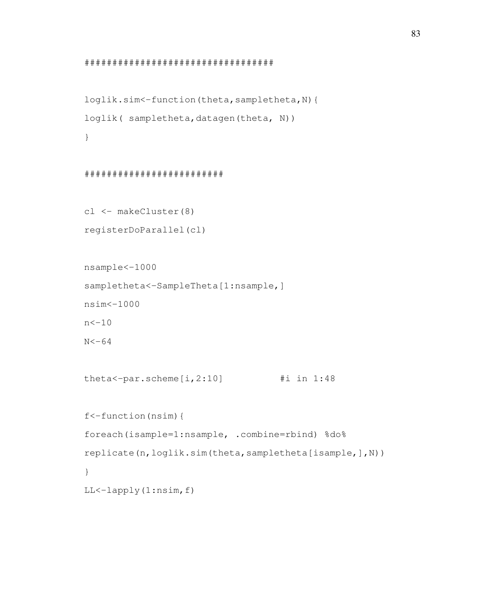```
##################################
```

```
loglik.sim<-function(theta,sampletheta,N){
loglik( sampletheta, datagen(theta, N))
}
```
#### #########################

```
cl <- makeCluster(8)
registerDoParallel(cl)
```

```
nsample<-1000
sampletheta<-SampleTheta[1:nsample,]
nsim<-1000
n < -10N < -64
```

```
theta<-par.scheme[i,2:10] #i in 1:48
```

```
f<-function(nsim){
foreach(isample=1:nsample, .combine=rbind) %do%
replicate(n,loglik.sim(theta,sampletheta[isample,],N))
}
LL<-lapply(1:nsim,f)
```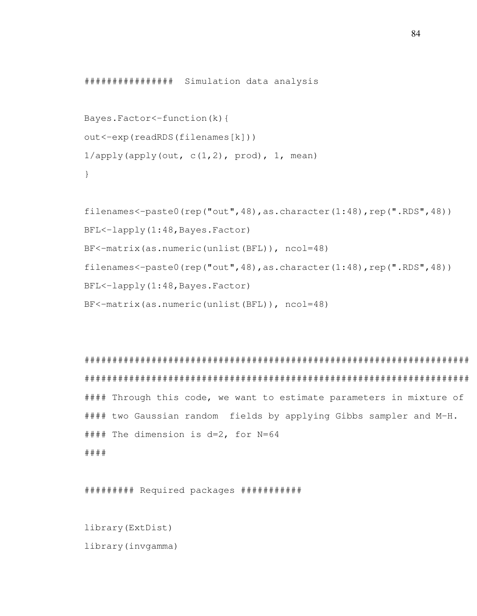################ Simulation data analysis

```
Bayes.Factor<-function(k){
out<-exp(readRDS(filenames[k]))
1/apply(apply(out, c(1,2), prod), 1, mean)
}
```

```
filenames<-paste0(rep("out",48),as.character(1:48),rep(".RDS",48))
BFL<-lapply(1:48,Bayes.Factor)
BF<-matrix(as.numeric(unlist(BFL)), ncol=48)
filenames<-paste0(rep("out",48),as.character(1:48),rep(".RDS",48))
BFL<-lapply(1:48,Bayes.Factor)
BF<-matrix(as.numeric(unlist(BFL)), ncol=48)
```

```
#####################################################################
#####################################################################
#### Through this code, we want to estimate parameters in mixture of
#### two Gaussian random fields by applying Gibbs sampler and M-H.
#### The dimension is d=2, for N=64
####
```
######### Required packages ###########

```
library(ExtDist)
library(invgamma)
```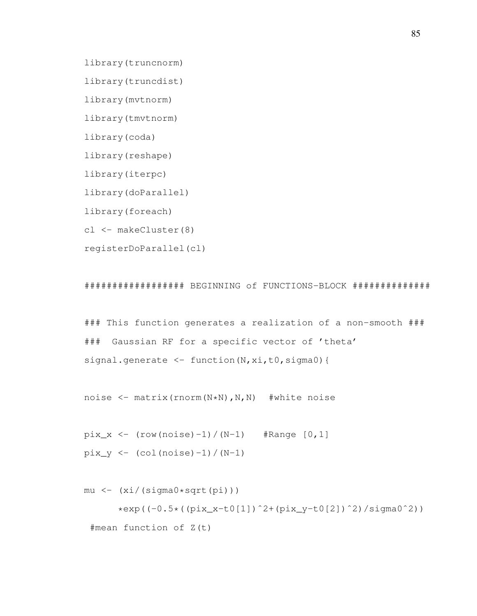library(truncnorm)

library(truncdist)

library(mvtnorm)

library(tmvtnorm)

library(coda)

library(reshape)

library(iterpc)

library(doParallel)

library(foreach)

cl <- makeCluster(8)

registerDoParallel(cl)

################## BEGINNING of FUNCTIONS-BLOCK ##############

### This function generates a realization of a non-smooth ### ### Gaussian RF for a specific vector of 'theta' signal.generate <- function(N, xi, t0, sigma0) {

noise <- matrix(rnorm(N\*N),N,N) #white noise

 $pix_x \leftarrow (row(noise)-1) / (N-1)$  #Range  $[0, 1]$  $pix_y \leftarrow (col (noise) - 1) / (N-1)$ 

 $mu \leftarrow (xi/(sigma0*sqrt+pi))$ )

\*exp((-0.5\*((pix\_x-t0[1])ˆ2+(pix\_y-t0[2])ˆ2)/sigma0ˆ2)) #mean function of Z(t)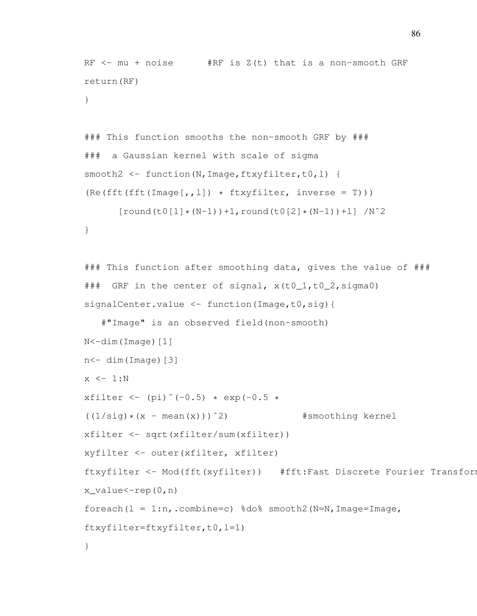```
RF \le - mu + noise \qquad #RF is Z(t) that is a non-smooth GRF
return(RF)
}
```

```
### This function smooths the non-smooth GRF by ###
### a Gaussian kernel with scale of sigma
smooth2 <- function(N, Image, ftxyfilter, t0, l) {
(Re(fft(fft(Image[,, l])) * ftxyfilter, inverse = T)))
```

```
[round(t0[1] * (N-1)) + 1, round(t0[2] * (N-1)) + 1] / N^2
```

```
}
```

```
### This function after smoothing data, gives the value of ###
### GRF in the center of signal, x(t0_1,t0_2,sigma0)signalCenter.value <- function(Image,t0,sig){
```

```
#"Image" is an observed field(non-smooth)
N<-dim(Image)[1]
n < - dim(Image)[3]
x \leftarrow 1:Nxfilter <- (pi)^(-0.5) * exp(-0.5 *
((1/sig)*(x - mean(x)))^2) #smoothing kernel
xfilter <- sqrt(xfilter/sum(xfilter))
xyfilter <- outer(xfilter, xfilter)
ftxyfilter <- Mod(fft(xyfilter)) #fft:Fast Discrete Fourier Transform
x_value < -rep(0,n)foreach(l = 1:n, .combine=c) %do% smooth2(N=N, Image=Image,
ftxyfilter=ftxyfilter,t0,l=1)
}
```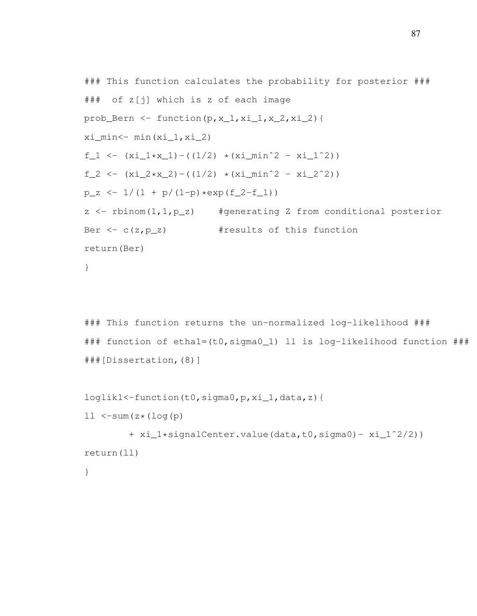```
### This function calculates the probability for posterior ###
### of z[j] which is z of each image
prob_Bern <- function(p, x_1, x_1, x_2, x_2, x_1){
x_i_min <- min (x_i_1,x_i_2)
f_1 <- (xi_1*x_1) - ((1/2) * (xi_1min^2 - xi_1^2))f_2 <- (xi_2*x_2) - ((1/2) * (xi_min^2 - xi_2^2))p_z \leftarrow 1/(1 + p/(1-p) * exp(f_2-f_1))z \leq rbinom(1,1,p_z) #generating Z from conditional posterior
Ber \leftarrow c(z, p_z) #results of this function
return(Ber)
}
```

```
### This function returns the un-normalized log-likelihood ###
### function of etha1=(t0,sigma0_1) ll is log-likelihood function ###
###[Dissertation,(8)]
```

```
loglik1<-function(t0,sigma0,p,xi_1,data,z){
```

```
11 \le -sum(z*(log(p))
```

```
+ xi_1*signalCenter.value(data,t0,sigma0)- xi_1ˆ2/2))
return(ll)
```

```
}
```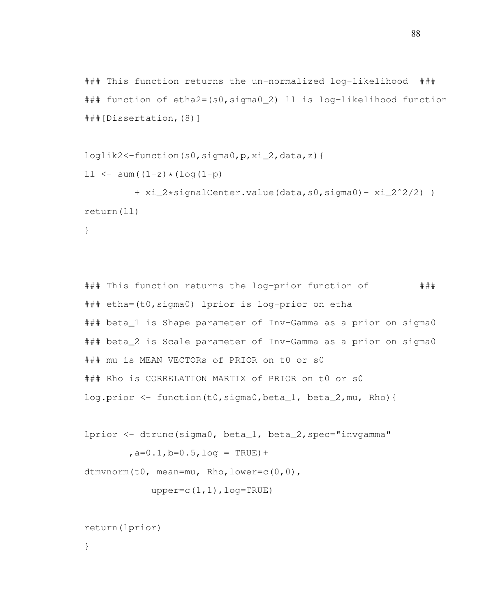```
### This function returns the un-normalized log-likelihood ###
### function of etha2=(s0,sigma0_2) ll is log-likelihood function
###[Dissertation,(8)]
```

```
loglik2<-function(s0,sigma0,p,xi_2,data,z){
```

```
11 \le -\text{sum}((1-z)*(log(1-p))
```

```
+ xi_2*signalCenter.value(data,s0,sigma0)- xi_2ˆ2/2) )
return(ll)
```

```
}
```

```
### This function returns the log-prior function of ###
### etha=(t0,sigma0) lprior is log-prior on etha
### beta_1 is Shape parameter of Inv-Gamma as a prior on sigma0
### beta_2 is Scale parameter of Inv-Gamma as a prior on sigma0
### mu is MEAN VECTORs of PRIOR on t0 or s0
### Rho is CORRELATION MARTIX of PRIOR on t0 or s0
log.prior <- function(t0,sigma0,beta_1, beta_2,mu, Rho){
```

```
lprior <- dtrunc(sigma0, beta_1, beta_2,spec="invgamma"
        a=0.1, b=0.5, log = TRUE) +
```
dtmvnorm(t0, mean=mu, Rho,lower=c(0,0),

```
upper=c(1,1), log=TRUE)
```

```
return(lprior)
```

```
}
```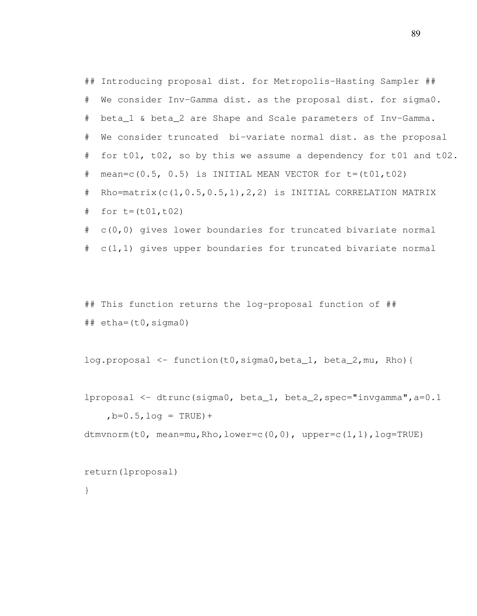## Introducing proposal dist. for Metropolis-Hasting Sampler ## # We consider Inv-Gamma dist. as the proposal dist. for sigma0. # beta\_1 & beta\_2 are Shape and Scale parameters of Inv-Gamma. # We consider truncated bi-variate normal dist. as the proposal # for t01, t02, so by this we assume a dependency for t01 and t02. # mean=c(0.5, 0.5) is INITIAL MEAN VECTOR for  $t=(t01,t02)$ # Rho=matrix(c(1,0.5,0.5,1),2,2) is INITIAL CORRELATION MATRIX  $#$  for  $t=(t01, t02)$ # c(0,0) gives lower boundaries for truncated bivariate normal # c(1,1) gives upper boundaries for truncated bivariate normal

## This function returns the log-proposal function of ##  $\#$ # etha= $(t0, \text{sigma}0)$ 

log.proposal <- function(t0,sigma0,beta\_1, beta\_2,mu, Rho){

```
lproposal <- dtrunc(sigma0, beta_1, beta_2,spec="invgamma",a=0.1
    ,b=0.5,log = TRUE) +
```

```
dtmvnorm(t0, mean=mu, Rho, lower=c(0,0), upper=c(1,1), log=TRUE)
```

```
return(lproposal)
```
}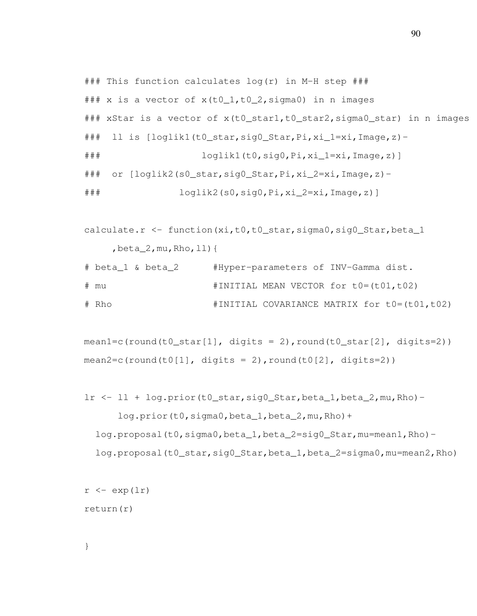```
### This function calculates log(r) in M-H step ###
### x is a vector of x(t0_1,t0_2,sigma0) in n images
### xStar is a vector of x(t0_star1,t0_star2,sigma0_star) in n images
### ll is [loglik1(t0_star,sig0_Star,Pi,xi_1=xi,Image,z)-
### loglik1(t0,sig0,Pi,xi_1=xi,Image,z)]
### or [loglik2(s0_star,sig0_Star,Pi,xi_2=xi,Image,z)-
### loglik2(s0,sig0,Pi,xi_2=xi,Image,z)]
```

```
calculate.r <- function(xi,t0,t0_star,sigma0,sig0_Star,beta_1
     , beta\_2, mu, Rho, \bot\bot) {
```

```
# beta_1 & beta_2 #Hyper-parameters of INV-Gamma dist.
# mu #INITIAL MEAN VECTOR for t0=(t01,t02)
# Rho #INITIAL COVARIANCE MATRIX for t0=(t01,t02)
```

```
mean1=c(round(t0_star[1], digits = 2), round(t0_star[2], digits=2))
mean2=c(round(t0[1], digits = 2), round(t0[2], digits=2))
```

```
lr <- ll + log.prior(t0_star,sig0_Star,beta_1,beta_2,mu,Rho)-
      log.prior(t0,sigma0,beta_1,beta_2,mu,Rho)+
  log.proposal(t0,sigma0,beta_1,beta_2=sig0_Star,mu=mean1,Rho)-
  log.proposal(t0_star,sig0_Star,beta_1,beta_2=sigma0,mu=mean2,Rho)
```

```
r \leftarrow \exp(\ln \ln \theta)return(r)
```
}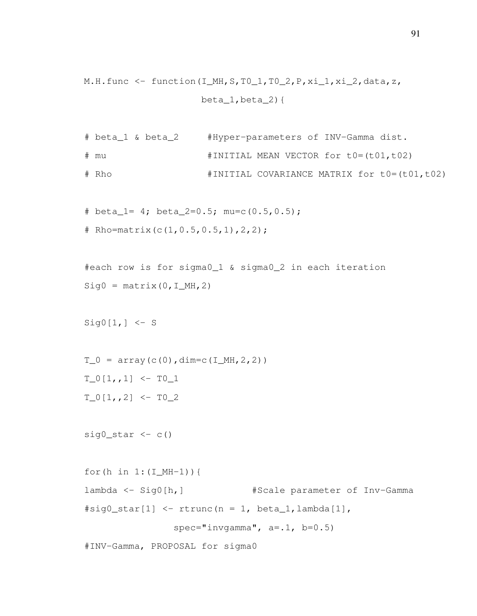```
M.H.func \le function(I_MH, S, TO_1, TO_2, P, xi_1, xi_2, data, z,
                        beta_1,beta_2){
```

```
# beta_1 & beta_2 #Hyper-parameters of INV-Gamma dist.
# mu #INITIAL MEAN VECTOR for t0=(t01,t02)
# Rho #INITIAL COVARIANCE MATRIX for t0=(t01,t02)
```
# beta\_1= 4; beta\_2=0.5; mu=c(0.5,0.5); # Rho=matrix(c(1,  $0.5, 0.5, 1$ ),  $2, 2$ );

```
#each row is for sigma0_1 & sigma0_2 in each iteration
Sig0 = matrix(0, I_MH, 2)
```

```
Sig0[1, ] \leftarrow S
```

```
T_0 = \text{array}(c(0), \text{dim}=c(I_MH, 2, 2))T_0[1,1] < -T_01T_0[1, 2] <- T0_2
```

```
sig0\_star <- c()
```

```
for(h in 1: (I_MH-1)) {
lambda <- Sig0[h,] #Scale parameter of Inv-Gamma
\# \text{sig0\_star}[1] \leftarrow \text{rtrunc}(n = 1, \text{beta\_1}, \text{lambda}[1],spec="invgamma", a = .1, b = 0.5)
```
#INV-Gamma, PROPOSAL for sigma0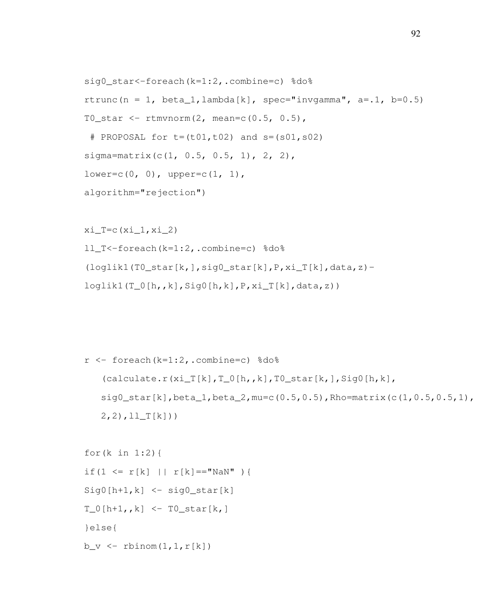```
sig0_star<-foreach(k=1:2,.combine=c) %do%
rtrunc(n = 1, beta_1, lambda[k], spec="invgamma", a=.1, b=0.5)
T0_star <- rtmvnorm(2, mean=c(0.5, 0.5),
 # PROPOSAL for t = (t01, t02) and s = (s01, s02)sigma=matrix(c(1, 0.5, 0.5, 1), 2, 2),
lower=c(0, 0), upper=c(1, 1),algorithm="rejection")
```

```
x_i_T = c(x_i_1, x_i_2)ll_T<-foreach(k=1:2,.combine=c) %do%
(loglik1(T0\_star[k,],sig0\_star[k],P,xi_T[k],data,z)-
loglik1(T_0[h,k],Sig0[h,k],P,xi_T[k],data,z))
```

```
r <- foreach (k=1:2, .combine=c) %do%
   (calculate.r(xi_T[k],T_0[h,k],T_0[k,tk],Siq0[h,k],sig0_star[k],beta_1,beta_2,mu=c(0.5,0.5),Rho=matrix(c(1,0.5,0.5,1),
   2, 2), 11_T[k])
```

```
for(k in 1:2){
if(1 <= r[k] || r[k] == "NaN" ){
Sig0[h+1,k] \leq - sig0\_star[k]T_0[h+1, k] <- T0_stat[k,]}else{
b_v \leftarrow rbinom(1, 1, r[k])
```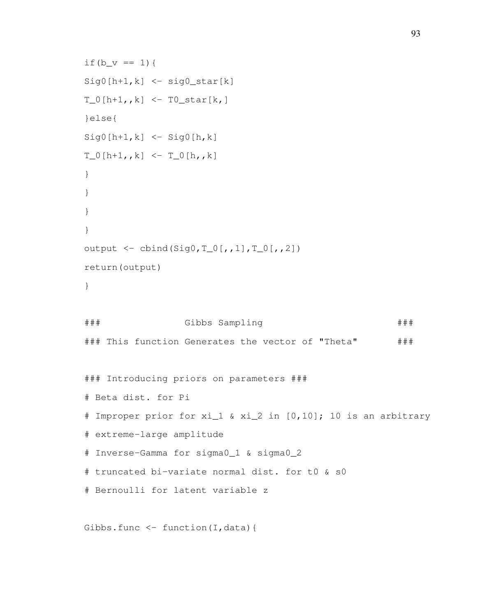```
if(b_v == 1){
Sig0[h+1,k] \leq - sig0\_star[k]T_0[h+1, k] <- T0_star[k,]
}else{
Sig0[h+1,k] \leq - Sig0[h,k]T_0[h+1, k] < - T_0[h, k]}
}
}
}
output <- cbind(Sig0,T_0[,,1],T_0[,,2])
return(output)
}
### Gibbs Sampling ###
### This function Generates the vector of "Theta" ###
### Introducing priors on parameters ###
# Beta dist. for Pi
# Improper prior for xi_1 & xi_2 in [0,10]; 10 is an arbitrary
# extreme-large amplitude
# Inverse-Gamma for sigma0_1 & sigma0_2
# truncated bi-variate normal dist. for t0 & s0
# Bernoulli for latent variable z
Gibbs.func \leftarrow function(I, data){
```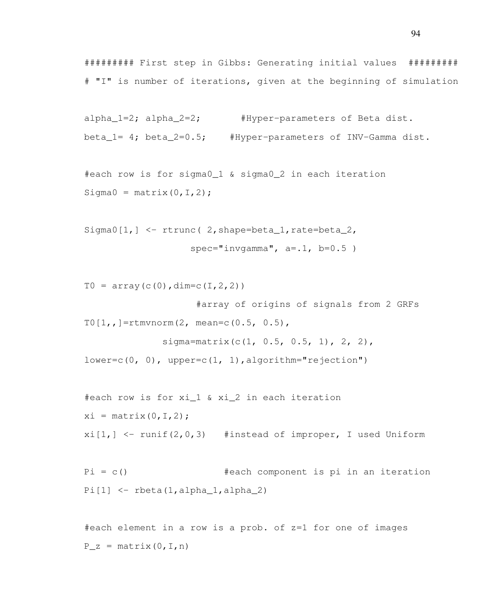######### First step in Gibbs: Generating initial values ######### # "I" is number of iterations, given at the beginning of simulation

```
alpha_1=2; alpha_2=2; #Hyper-parameters of Beta dist.
beta_1= 4; beta_2=0.5; #Hyper-parameters of INV-Gamma dist.
```

```
#each row is for sigma0_1 & sigma0_2 in each iteration
Sigma0 = matrix(0, I, 2);
```

```
Sigma0[1,] <- rtrunc( 2, shape=beta_1, rate=beta_2,
                    spec="invgamma", a = .1, b = 0.5)
```

```
T0 = \arctan(c(0), \text{dim} = c(1, 2, 2))#array of origins of signals from 2 GRFs
T0[1, ]=rtmvnorm(2, mean=c(0.5, 0.5),
               sigma=matrix(c(1, 0.5, 0.5, 1), 2, 2),
lower=c(0, 0), upper=c(1, 1), algorithm="rejection")
```

```
#each row is for xi_1 & xi_2 in each iteration
xi = matrix(0, I, 2);
xi[1,] \leftarrow \text{runif}(2,0,3) #instead of improper, I used Uniform
```

```
Pi = c() #each component is pi in an iteration
Pi[1] \leftarrowrbeta(1,alpha_1,alpha_1,alpha_2)
```
#each element in a row is a prob. of z=1 for one of images  $P_Z = matrix(0, I, n)$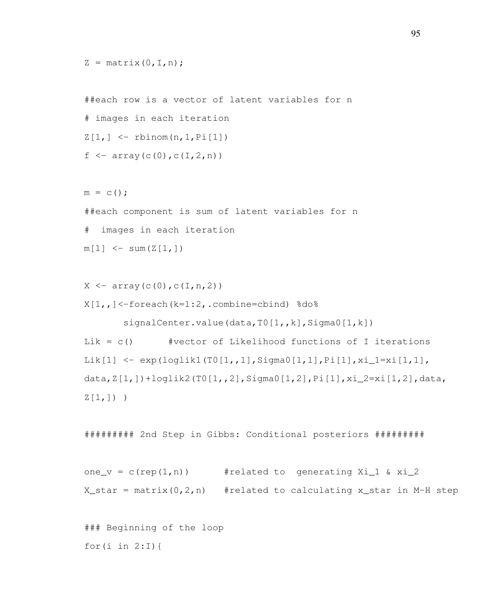```
Z = matrix(0, I, n);
```

```
##each row is a vector of latent variables for n
# images in each iteration
Z[1, ] \leftarrow rbinom(n, 1, Pi[1])
f \leftarrow \text{array}(c(0), c(I, 2, n))
```
 $m = C()$ ; ##each component is sum of latent variables for n # images in each iteration  $m[1]$  <- sum  $(Z[1,])$ 

```
X \leftarrow \text{array}(c(0), c(I, n, 2))X[1,1] <-foreach(k=1:2,.combine=cbind) %do%
       signalCenter.value(data,T0[1,,k],Sigma0[1,k])
Lik = c() #vector of Likelihood functions of I iterations
Lik[1] <- exp(loglik1(T0[1,,1],Sigma0[1,1],Pi[1],xi_1=xi[1,1],
data,Z[1,])+loglik2(T0[1,,2],Sigma0[1,2],Pi[1],xi_2=xi[1,2],data,
Z[1,]) )
```
######### 2nd Step in Gibbs: Conditional posteriors #########

```
one_v = c(rep(1,n)) #related to generating Xi_1 & xi_2
X_{\text{start}} = \text{matrix}(0, 2, n) #related to calculating x_star in M-H step
```
### Beginning of the loop for(i in  $2:I$ ) {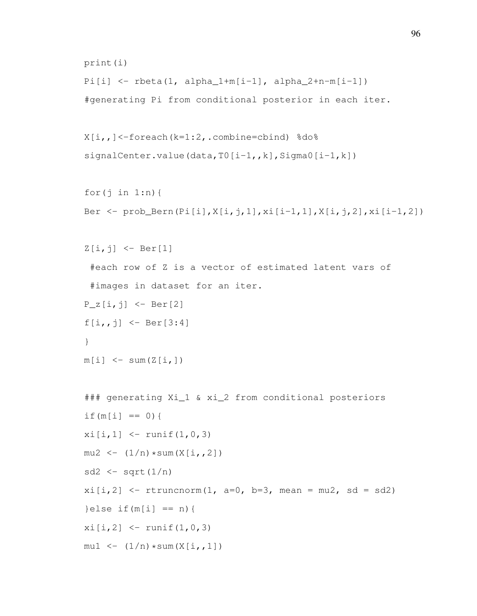```
print(i)
Pi[i] <- rbeta(1, alpha_1+m[i-1], alpha_2+n-m[i-1])
#generating Pi from conditional posterior in each iter.
X[i, j] <-foreach(k=1:2, .combine=cbind) %do%
signalCenter.value(data,T0[i-1, k], Sigma0[i-1, k])
for(j in 1:n) {
Ber \le prob_Bern(Pi[i],X[i,j,1],xi[i-1,1],X[i,j,2],xi[i-1,2])
Z[i, j] <- Ber[1]
 #each row of Z is a vector of estimated latent vars of
 #images in dataset for an iter.
P_{Z}[i, j] <- Ber[2]
f[i, j] <- Ber[3:4]}
m[i] <- sum (Z[i,])### generating Xi_1 & xi_2 from conditional posteriors
if (m[i] == 0) {
xi[i,1] <- runif(1,0,3)
mu2 \leq (1/n) * sum(X[i, 2])sd2 \leftarrow sqrt(1/n)xi[i,2] \leq rtruncnorm(1, a=0, b=3, mean = mu2, sd = sd2)
}else if(m[i] == n){
x_i[i,2] <- runif(1,0,3)
mul \leftarrow (1/n) * sum(X[i, 1])
```
96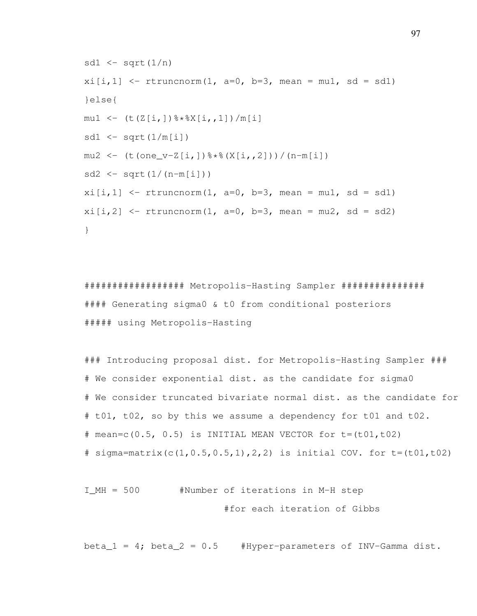```
sd1 \leftarrow sqrt(1/n)xi[i,1] <- rtruncnorm(1, a=0, b=3, mean = mu1, sd = sd1)
}else{
mu1 \leq - (t(Z[i,])\*X[i,1])/m[i]
sd1 \leftarrow sqrt(1/m[i])mu2 \le - (t(one v-Z[i,1)%*%(X[i,,2]))/(n-m[i])
sd2 \le -sqrt(1/(n-m[i]))xi[i,1] <- rtruncnorm(1, a=0, b=3, mean = mu1, sd = sd1)
xi[i,2] <- rtruncnorm(1, a=0, b=3, mean = mu2, sd = sd2)
}
```
################## Metropolis-Hasting Sampler ############### #### Generating sigma0 & t0 from conditional posteriors ##### using Metropolis-Hasting

### Introducing proposal dist. for Metropolis-Hasting Sampler ### # We consider exponential dist. as the candidate for sigma0 # We consider truncated bivariate normal dist. as the candidate for # t01, t02, so by this we assume a dependency for t01 and t02. # mean=c( $0.5$ ,  $0.5$ ) is INITIAL MEAN VECTOR for  $t=(t01,t02)$ # sigma=matrix(c(1,0.5,0.5,1),2,2) is initial COV. for  $t=(t01,t02)$ 

I\_MH = 500 #Number of iterations in M-H step #for each iteration of Gibbs

beta $1 = 4$ ; beta $2 = 0.5$  #Hyper-parameters of INV-Gamma dist.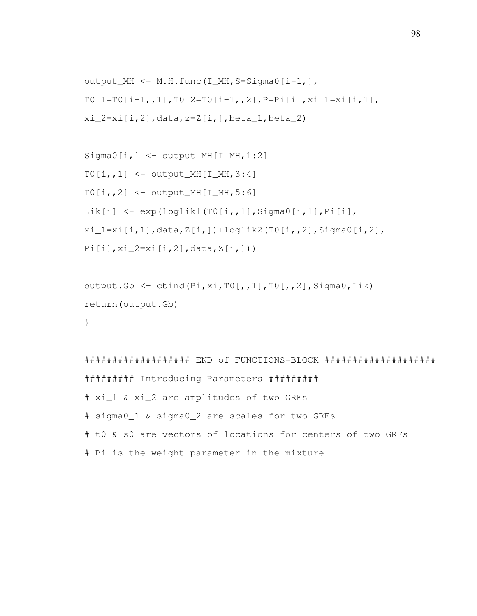```
output_MH <- M.H.func(I_MH,S=Sigma0[i-1,],
T0_1 = T0[i-1,1], T0_2 = T0[i-1,2], P = P i[i], xi_1 = x i[i,1],xi_2=xi[i,2], data, z=Z[i,],beta=1,beta_2)
```

```
Sigma[1,] < - output_MH[I_MH, 1:2]
TO[i, 1] <- output_MH[I_MH, 3:4]TO[i, 2] <- output_MH[I_MH, 5:6]Lik[i] \leftarrow exp(loglik1(T0[i,,1],Sigma0[i,1],Pi[i],
xi_1=xi[i,1],data,Z[i,])+loglik2(T0[i,,2],Sigma0[i,2],
Pi[i], xi_2=xi[i,2], data, Z[i,])
```

```
output.Gb \leq cbind(Pi,xi,T0[,,1],T0[,,2],Sigma0,Lik)
return(output.Gb)
```

```
}
```

```
################### END of FUNCTIONS-BLOCK ####################
######### Introducing Parameters #########
# xi_1 & xi_2 are amplitudes of two GRFs
# sigma0_1 & sigma0_2 are scales for two GRFs
# t0 & s0 are vectors of locations for centers of two GRFs
# Pi is the weight parameter in the mixture
```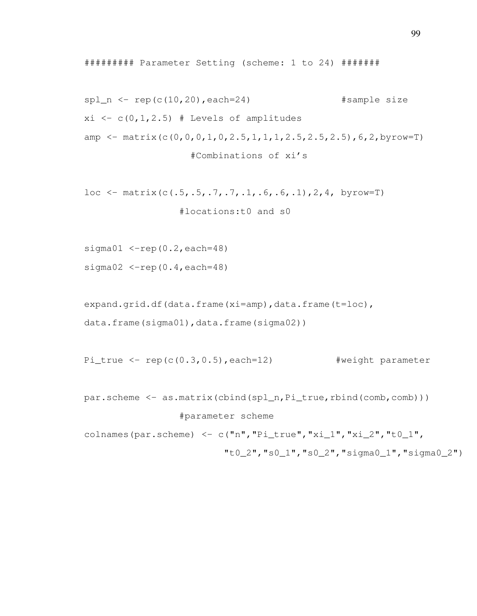######### Parameter Setting (scheme: 1 to 24) #######

```
spl_n \leftarrow rep(c(10,20), each=24) #sample size
xi \leftarrow c(0, 1, 2.5) # Levels of amplitudes
amp \leq matrix(c(0,0,0,1,0,2.5,1,1,1,2.5,2.5,2.5),6,2,byrow=T)
                   #Combinations of xi's
```

```
loc \leftarrow matrix(c(.5,.5,.7,.7,.1,.6,.6,.1), 2, 4, byrow=T)
                   #locations:t0 and s0
```
sigma $01 \le -rep(0.2, each=48)$ 

sigma02  $\le$ -rep(0.4,each=48)

```
expand.grid.df(data.frame(xi=amp),data.frame(t=loc),
data.frame(sigma01),data.frame(sigma02))
```
Pi\_true  $\leq$  rep(c(0.3,0.5), each=12) #weight parameter

par.scheme <- as.matrix(cbind(spl\_n,Pi\_true,rbind(comb,comb)))

## #parameter scheme

colnames(par.scheme) <- c("n", "Pi\_true", "xi\_1", "xi\_2", "t0\_1",

 $"t0_2"$ ,  $"s0_1"$ ,  $"s0_2"$ ,  $"sima0_1"$ ,  $"sima0_2"$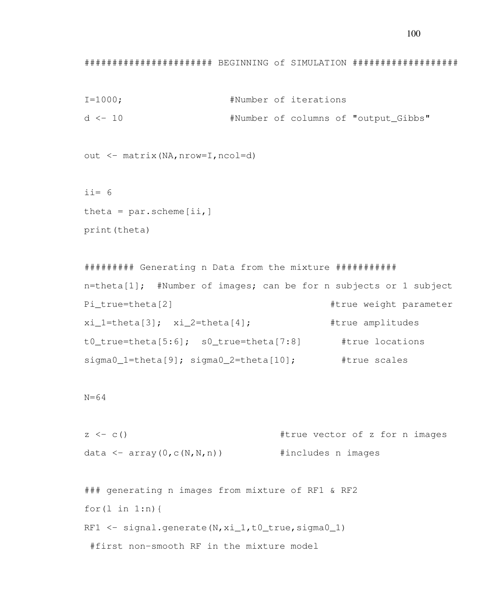100

## ####################### BEGINNING of SIMULATION ###################

```
I=1000; #Number of iterations
d <- 10 #Number of columns of "output_Gibbs"
```
out <- matrix(NA,nrow=I,ncol=d)

 $i = 6$ theta =  $par.scheme[ii,]$ print(theta)

######### Generating n Data from the mixture ########### n=theta[1]; #Number of images; can be for n subjects or 1 subject Pi true=theta[2]  $#true$  weight parameter xi\_1=theta[3]; xi\_2=theta[4]; #true amplitudes t0\_true=theta[5:6]; s0\_true=theta[7:8] #true locations sigma0\_1=theta[9]; sigma0\_2=theta[10]; #true scales

N=64

```
z \leq c() #true vector of z for n images
data \leq array(0, c(N, N, n)) #includes n images
```

```
### generating n images from mixture of RF1 & RF2
for(l \text{ in } 1:n) {
RF1 \le signal.generate(N, xi 1, t0 true, sigma0 1)
 #first non-smooth RF in the mixture model
```